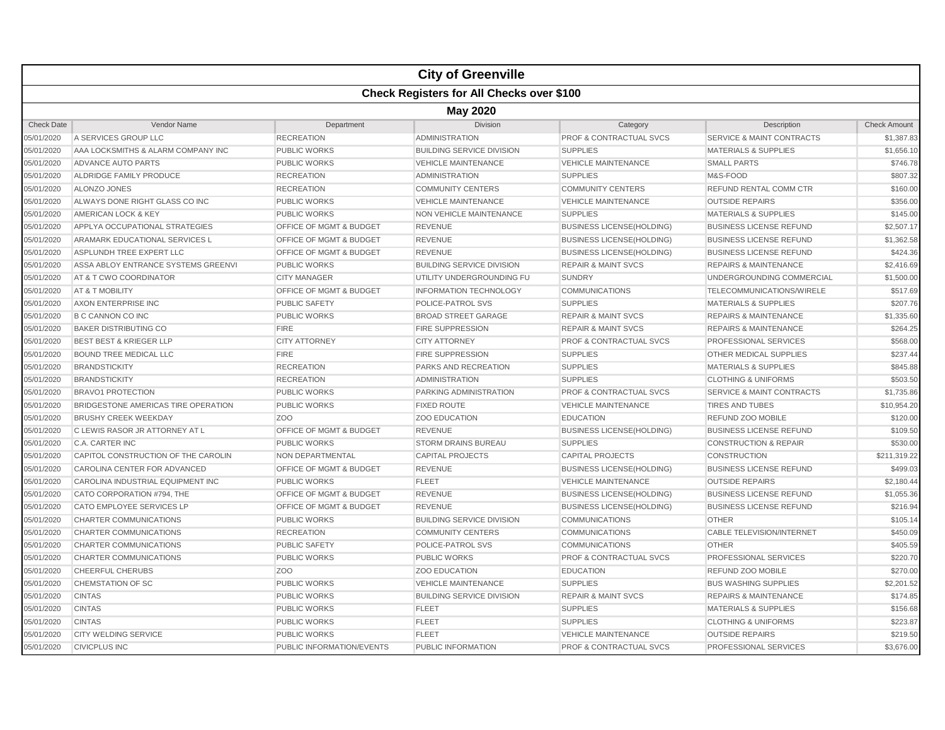|                   |                                                  |                           | <b>City of Greenville</b>        |                                    |                                      |                     |  |  |  |
|-------------------|--------------------------------------------------|---------------------------|----------------------------------|------------------------------------|--------------------------------------|---------------------|--|--|--|
|                   | <b>Check Registers for All Checks over \$100</b> |                           |                                  |                                    |                                      |                     |  |  |  |
|                   | <b>May 2020</b>                                  |                           |                                  |                                    |                                      |                     |  |  |  |
| <b>Check Date</b> | Vendor Name                                      | Department                | <b>Division</b>                  | Category                           | Description                          | <b>Check Amount</b> |  |  |  |
| 05/01/2020        | A SERVICES GROUP LLC                             | <b>RECREATION</b>         | <b>ADMINISTRATION</b>            | <b>PROF &amp; CONTRACTUAL SVCS</b> | <b>SERVICE &amp; MAINT CONTRACTS</b> | \$1,387.83          |  |  |  |
| 05/01/2020        | AAA LOCKSMITHS & ALARM COMPANY INC               | <b>PUBLIC WORKS</b>       | <b>BUILDING SERVICE DIVISION</b> | <b>SUPPLIES</b>                    | <b>MATERIALS &amp; SUPPLIES</b>      | \$1,656.10          |  |  |  |
| 05/01/2020        | ADVANCE AUTO PARTS                               | <b>PUBLIC WORKS</b>       | <b>VEHICLE MAINTENANCE</b>       | <b>VEHICLE MAINTENANCE</b>         | <b>SMALL PARTS</b>                   | \$746.78            |  |  |  |
| 05/01/2020        | ALDRIDGE FAMILY PRODUCE                          | <b>RECREATION</b>         | <b>ADMINISTRATION</b>            | <b>SUPPLIES</b>                    | M&S-FOOD                             | \$807.32            |  |  |  |
| 05/01/2020        | ALONZO JONES                                     | <b>RECREATION</b>         | <b>COMMUNITY CENTERS</b>         | <b>COMMUNITY CENTERS</b>           | REFUND RENTAL COMM CTR               | \$160.00            |  |  |  |
| 05/01/2020        | ALWAYS DONE RIGHT GLASS CO INC                   | <b>PUBLIC WORKS</b>       | <b>VEHICLE MAINTENANCE</b>       | <b>VEHICLE MAINTENANCE</b>         | <b>OUTSIDE REPAIRS</b>               | \$356.00            |  |  |  |
| 05/01/2020        | AMERICAN LOCK & KEY                              | <b>PUBLIC WORKS</b>       | NON VEHICLE MAINTENANCE          | <b>SUPPLIES</b>                    | <b>MATERIALS &amp; SUPPLIES</b>      | \$145.00            |  |  |  |
| 05/01/2020        | APPLYA OCCUPATIONAL STRATEGIES                   | OFFICE OF MGMT & BUDGET   | <b>REVENUE</b>                   | <b>BUSINESS LICENSE(HOLDING)</b>   | <b>BUSINESS LICENSE REFUND</b>       | \$2,507.17          |  |  |  |
| 05/01/2020        | ARAMARK EDUCATIONAL SERVICES L                   | OFFICE OF MGMT & BUDGET   | <b>REVENUE</b>                   | <b>BUSINESS LICENSE(HOLDING)</b>   | <b>BUSINESS LICENSE REFUND</b>       | \$1,362.58          |  |  |  |
| 05/01/2020        | <b>ASPLUNDH TREE EXPERT LLC</b>                  | OFFICE OF MGMT & BUDGET   | <b>REVENUE</b>                   | <b>BUSINESS LICENSE(HOLDING)</b>   | <b>BUSINESS LICENSE REFUND</b>       | \$424.36            |  |  |  |
| 05/01/2020        | ASSA ABLOY ENTRANCE SYSTEMS GREENVI              | <b>PUBLIC WORKS</b>       | <b>BUILDING SERVICE DIVISION</b> | <b>REPAIR &amp; MAINT SVCS</b>     | <b>REPAIRS &amp; MAINTENANCE</b>     | \$2,416.69          |  |  |  |
| 05/01/2020        | AT & T CWO COORDINATOR                           | <b>CITY MANAGER</b>       | UTILITY UNDERGROUNDING FU        | <b>SUNDRY</b>                      | UNDERGROUNDING COMMERCIAL            | \$1,500.00          |  |  |  |
| 05/01/2020        | AT & T MOBILITY                                  | OFFICE OF MGMT & BUDGET   | <b>INFORMATION TECHNOLOGY</b>    | <b>COMMUNICATIONS</b>              | TELECOMMUNICATIONS/WIRELE            | \$517.69            |  |  |  |
| 05/01/2020        | AXON ENTERPRISE INC                              | PUBLIC SAFETY             | POLICE-PATROL SVS                | <b>SUPPLIES</b>                    | <b>MATERIALS &amp; SUPPLIES</b>      | \$207.76            |  |  |  |
| 05/01/2020        | <b>B C CANNON CO INC</b>                         | <b>PUBLIC WORKS</b>       | <b>BROAD STREET GARAGE</b>       | <b>REPAIR &amp; MAINT SVCS</b>     | <b>REPAIRS &amp; MAINTENANCE</b>     | \$1,335.60          |  |  |  |
| 05/01/2020        | <b>BAKER DISTRIBUTING CO</b>                     | <b>FIRE</b>               | <b>FIRE SUPPRESSION</b>          | <b>REPAIR &amp; MAINT SVCS</b>     | <b>REPAIRS &amp; MAINTENANCE</b>     | \$264.25            |  |  |  |
| 05/01/2020        | <b>BEST BEST &amp; KRIEGER LLP</b>               | <b>CITY ATTORNEY</b>      | <b>CITY ATTORNEY</b>             | <b>PROF &amp; CONTRACTUAL SVCS</b> | PROFESSIONAL SERVICES                | \$568.00            |  |  |  |
| 05/01/2020        | <b>BOUND TREE MEDICAL LLC</b>                    | <b>FIRE</b>               | <b>FIRE SUPPRESSION</b>          | <b>SUPPLIES</b>                    | OTHER MEDICAL SUPPLIES               | \$237.44            |  |  |  |
| 05/01/2020        | <b>BRANDSTICKITY</b>                             | <b>RECREATION</b>         | PARKS AND RECREATION             | <b>SUPPLIES</b>                    | <b>MATERIALS &amp; SUPPLIES</b>      | \$845.88            |  |  |  |
| 05/01/2020        | <b>BRANDSTICKITY</b>                             | <b>RECREATION</b>         | <b>ADMINISTRATION</b>            | <b>SUPPLIES</b>                    | <b>CLOTHING &amp; UNIFORMS</b>       | \$503.50            |  |  |  |
| 05/01/2020        | <b>BRAVO1 PROTECTION</b>                         | <b>PUBLIC WORKS</b>       | PARKING ADMINISTRATION           | PROF & CONTRACTUAL SVCS            | <b>SERVICE &amp; MAINT CONTRACTS</b> | \$1,735.86          |  |  |  |
| 05/01/2020        | BRIDGESTONE AMERICAS TIRE OPERATION              | <b>PUBLIC WORKS</b>       | <b>FIXED ROUTE</b>               | <b>VEHICLE MAINTENANCE</b>         | <b>TIRES AND TUBES</b>               | \$10,954.20         |  |  |  |
| 05/01/2020        | <b>BRUSHY CREEK WEEKDAY</b>                      | ZO <sub>O</sub>           | <b>ZOO EDUCATION</b>             | <b>EDUCATION</b>                   | REFUND ZOO MOBILE                    | \$120.00            |  |  |  |
| 05/01/2020        | C LEWIS RASOR JR ATTORNEY AT L                   | OFFICE OF MGMT & BUDGET   | <b>REVENUE</b>                   | <b>BUSINESS LICENSE(HOLDING)</b>   | <b>BUSINESS LICENSE REFUND</b>       | \$109.50            |  |  |  |
| 05/01/2020        | C.A. CARTER INC                                  | <b>PUBLIC WORKS</b>       | <b>STORM DRAINS BUREAU</b>       | <b>SUPPLIES</b>                    | <b>CONSTRUCTION &amp; REPAIR</b>     | \$530.00            |  |  |  |
| 05/01/2020        | CAPITOL CONSTRUCTION OF THE CAROLIN              | NON DEPARTMENTAL          | <b>CAPITAL PROJECTS</b>          | <b>CAPITAL PROJECTS</b>            | <b>CONSTRUCTION</b>                  | \$211,319.22        |  |  |  |
| 05/01/2020        | CAROLINA CENTER FOR ADVANCED                     | OFFICE OF MGMT & BUDGET   | <b>REVENUE</b>                   | <b>BUSINESS LICENSE(HOLDING)</b>   | <b>BUSINESS LICENSE REFUND</b>       | \$499.03            |  |  |  |
| 05/01/2020        | CAROLINA INDUSTRIAL EQUIPMENT INC                | <b>PUBLIC WORKS</b>       | <b>FLEET</b>                     | <b>VEHICLE MAINTENANCE</b>         | <b>OUTSIDE REPAIRS</b>               | \$2,180.44          |  |  |  |
| 05/01/2020        | CATO CORPORATION #794, THE                       | OFFICE OF MGMT & BUDGET   | <b>REVENUE</b>                   | <b>BUSINESS LICENSE(HOLDING)</b>   | <b>BUSINESS LICENSE REFUND</b>       | \$1,055.36          |  |  |  |
| 05/01/2020        | CATO EMPLOYEE SERVICES LP                        | OFFICE OF MGMT & BUDGET   | <b>REVENUE</b>                   | <b>BUSINESS LICENSE(HOLDING)</b>   | <b>BUSINESS LICENSE REFUND</b>       | \$216.94            |  |  |  |
| 05/01/2020        | <b>CHARTER COMMUNICATIONS</b>                    | <b>PUBLIC WORKS</b>       | <b>BUILDING SERVICE DIVISION</b> | <b>COMMUNICATIONS</b>              | <b>OTHER</b>                         | \$105.14            |  |  |  |
| 05/01/2020        | CHARTER COMMUNICATIONS                           | <b>RECREATION</b>         | <b>COMMUNITY CENTERS</b>         | <b>COMMUNICATIONS</b>              | CABLE TELEVISION/INTERNET            | \$450.09            |  |  |  |
| 05/01/2020        | <b>CHARTER COMMUNICATIONS</b>                    | <b>PUBLIC SAFETY</b>      | POLICE-PATROL SVS                | <b>COMMUNICATIONS</b>              | <b>OTHER</b>                         | \$405.59            |  |  |  |
| 05/01/2020        | <b>CHARTER COMMUNICATIONS</b>                    | <b>PUBLIC WORKS</b>       | <b>PUBLIC WORKS</b>              | <b>PROF &amp; CONTRACTUAL SVCS</b> | PROFESSIONAL SERVICES                | \$220.70            |  |  |  |
| 05/01/2020        | CHEERFUL CHERUBS                                 | ZOO                       | <b>ZOO EDUCATION</b>             | <b>EDUCATION</b>                   | <b>REFUND ZOO MOBILE</b>             | \$270.00            |  |  |  |
| 05/01/2020        | CHEMSTATION OF SC                                | <b>PUBLIC WORKS</b>       | <b>VEHICLE MAINTENANCE</b>       | <b>SUPPLIES</b>                    | <b>BUS WASHING SUPPLIES</b>          | \$2,201.52          |  |  |  |
| 05/01/2020        | <b>CINTAS</b>                                    | <b>PUBLIC WORKS</b>       | <b>BUILDING SERVICE DIVISION</b> | <b>REPAIR &amp; MAINT SVCS</b>     | <b>REPAIRS &amp; MAINTENANCE</b>     | \$174.85            |  |  |  |
| 05/01/2020        | <b>CINTAS</b>                                    | <b>PUBLIC WORKS</b>       | <b>FLEET</b>                     | <b>SUPPLIES</b>                    | <b>MATERIALS &amp; SUPPLIES</b>      | \$156.68            |  |  |  |
| 05/01/2020        | <b>CINTAS</b>                                    | <b>PUBLIC WORKS</b>       | <b>FLEET</b>                     | <b>SUPPLIES</b>                    | <b>CLOTHING &amp; UNIFORMS</b>       | \$223.87            |  |  |  |
| 05/01/2020        | <b>CITY WELDING SERVICE</b>                      | <b>PUBLIC WORKS</b>       | <b>FLEET</b>                     | <b>VEHICLE MAINTENANCE</b>         | <b>OUTSIDE REPAIRS</b>               | \$219.50            |  |  |  |
| 05/01/2020        | <b>CIVICPLUS INC</b>                             | PUBLIC INFORMATION/EVENTS | PUBLIC INFORMATION               | <b>PROF &amp; CONTRACTUAL SVCS</b> | PROFESSIONAL SERVICES                | \$3,676.00          |  |  |  |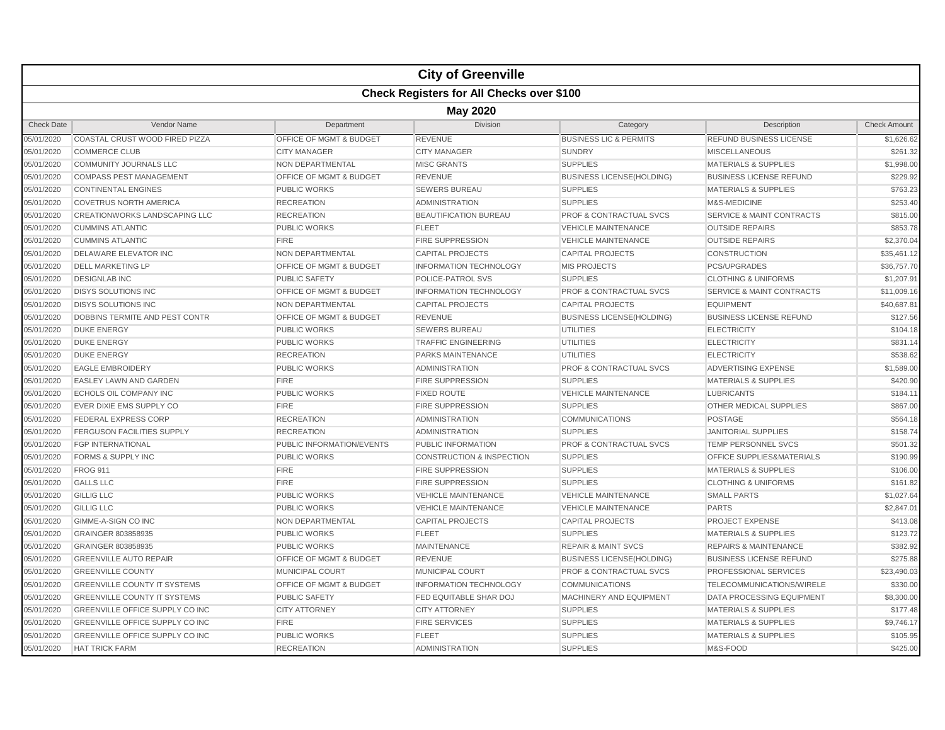|                   |                                                  |                                    | <b>City of Greenville</b>            |                                    |                                      |                     |  |  |  |
|-------------------|--------------------------------------------------|------------------------------------|--------------------------------------|------------------------------------|--------------------------------------|---------------------|--|--|--|
|                   | <b>Check Registers for All Checks over \$100</b> |                                    |                                      |                                    |                                      |                     |  |  |  |
|                   | <b>May 2020</b>                                  |                                    |                                      |                                    |                                      |                     |  |  |  |
| <b>Check Date</b> | Vendor Name                                      | Department                         | <b>Division</b>                      | Category                           | Description                          | <b>Check Amount</b> |  |  |  |
| 05/01/2020        | COASTAL CRUST WOOD FIRED PIZZA                   | <b>OFFICE OF MGMT &amp; BUDGET</b> | <b>REVENUE</b>                       | <b>BUSINESS LIC &amp; PERMITS</b>  | REFUND BUSINESS LICENSE              | \$1,626.62          |  |  |  |
| 05/01/2020        | <b>COMMERCE CLUB</b>                             | <b>CITY MANAGER</b>                | <b>CITY MANAGER</b>                  | <b>SUNDRY</b>                      | <b>MISCELLANEOUS</b>                 | \$261.32            |  |  |  |
| 05/01/2020        | <b>COMMUNITY JOURNALS LLC</b>                    | <b>NON DEPARTMENTAL</b>            | <b>MISC GRANTS</b>                   | <b>SUPPLIES</b>                    | <b>MATERIALS &amp; SUPPLIES</b>      | \$1,998.00          |  |  |  |
| 05/01/2020        | <b>COMPASS PEST MANAGEMENT</b>                   | OFFICE OF MGMT & BUDGET            | <b>REVENUE</b>                       | <b>BUSINESS LICENSE(HOLDING)</b>   | <b>BUSINESS LICENSE REFUND</b>       | \$229.92            |  |  |  |
| 05/01/2020        | <b>CONTINENTAL ENGINES</b>                       | <b>PUBLIC WORKS</b>                | <b>SEWERS BUREAU</b>                 | <b>SUPPLIES</b>                    | <b>MATERIALS &amp; SUPPLIES</b>      | \$763.23            |  |  |  |
| 05/01/2020        | <b>COVETRUS NORTH AMERICA</b>                    | <b>RECREATION</b>                  | ADMINISTRATION                       | <b>SUPPLIES</b>                    | M&S-MEDICINE                         | \$253.40            |  |  |  |
| 05/01/2020        | CREATIONWORKS LANDSCAPING LLC                    | <b>RECREATION</b>                  | <b>BEAUTIFICATION BUREAU</b>         | PROF & CONTRACTUAL SVCS            | <b>SERVICE &amp; MAINT CONTRACTS</b> | \$815.00            |  |  |  |
| 05/01/2020        | <b>CUMMINS ATLANTIC</b>                          | <b>PUBLIC WORKS</b>                | <b>FLEET</b>                         | <b>VEHICLE MAINTENANCE</b>         | <b>OUTSIDE REPAIRS</b>               | \$853.78            |  |  |  |
| 05/01/2020        | <b>CUMMINS ATLANTIC</b>                          | <b>FIRE</b>                        | <b>FIRE SUPPRESSION</b>              | <b>VEHICLE MAINTENANCE</b>         | <b>OUTSIDE REPAIRS</b>               | \$2,370.04          |  |  |  |
| 05/01/2020        | <b>DELAWARE ELEVATOR INC</b>                     | NON DEPARTMENTAL                   | <b>CAPITAL PROJECTS</b>              | <b>CAPITAL PROJECTS</b>            | <b>CONSTRUCTION</b>                  | \$35,461.12         |  |  |  |
| 05/01/2020        | <b>DELL MARKETING LP</b>                         | OFFICE OF MGMT & BUDGET            | <b>INFORMATION TECHNOLOGY</b>        | <b>MIS PROJECTS</b>                | <b>PCS/UPGRADES</b>                  | \$36,757.70         |  |  |  |
| 05/01/2020        | <b>DESIGNLAB INC</b>                             | <b>PUBLIC SAFETY</b>               | <b>POLICE-PATROL SVS</b>             | <b>SUPPLIES</b>                    | <b>CLOTHING &amp; UNIFORMS</b>       | \$1,207.91          |  |  |  |
| 05/01/2020        | <b>DISYS SOLUTIONS INC</b>                       | OFFICE OF MGMT & BUDGET            | <b>INFORMATION TECHNOLOGY</b>        | <b>PROF &amp; CONTRACTUAL SVCS</b> | <b>SERVICE &amp; MAINT CONTRACTS</b> | \$11,009.16         |  |  |  |
| 05/01/2020        | <b>DISYS SOLUTIONS INC</b>                       | NON DEPARTMENTAL                   | <b>CAPITAL PROJECTS</b>              | <b>CAPITAL PROJECTS</b>            | <b>EQUIPMENT</b>                     | \$40,687.81         |  |  |  |
| 05/01/2020        | DOBBINS TERMITE AND PEST CONTR                   | OFFICE OF MGMT & BUDGET            | <b>REVENUE</b>                       | <b>BUSINESS LICENSE(HOLDING)</b>   | <b>BUSINESS LICENSE REFUND</b>       | \$127.56            |  |  |  |
| 05/01/2020        | <b>DUKE ENERGY</b>                               | <b>PUBLIC WORKS</b>                | <b>SEWERS BUREAU</b>                 | <b>UTILITIES</b>                   | <b>ELECTRICITY</b>                   | \$104.18            |  |  |  |
| 05/01/2020        | <b>DUKE ENERGY</b>                               | <b>PUBLIC WORKS</b>                | <b>TRAFFIC ENGINEERING</b>           | <b>UTILITIES</b>                   | <b>ELECTRICITY</b>                   | \$831.14            |  |  |  |
| 05/01/2020        | <b>DUKE ENERGY</b>                               | <b>RECREATION</b>                  | PARKS MAINTENANCE                    | <b>UTILITIES</b>                   | <b>ELECTRICITY</b>                   | \$538.62            |  |  |  |
| 05/01/2020        | <b>EAGLE EMBROIDERY</b>                          | <b>PUBLIC WORKS</b>                | <b>ADMINISTRATION</b>                | <b>PROF &amp; CONTRACTUAL SVCS</b> | <b>ADVERTISING EXPENSE</b>           | \$1,589.00          |  |  |  |
| 05/01/2020        | <b>EASLEY LAWN AND GARDEN</b>                    | <b>FIRE</b>                        | <b>FIRE SUPPRESSION</b>              | <b>SUPPLIES</b>                    | <b>MATERIALS &amp; SUPPLIES</b>      | \$420.90            |  |  |  |
| 05/01/2020        | ECHOLS OIL COMPANY INC                           | <b>PUBLIC WORKS</b>                | <b>FIXED ROUTE</b>                   | <b>VEHICLE MAINTENANCE</b>         | <b>LUBRICANTS</b>                    | \$184.11            |  |  |  |
| 05/01/2020        | EVER DIXIE EMS SUPPLY CO                         | <b>FIRE</b>                        | <b>FIRE SUPPRESSION</b>              | <b>SUPPLIES</b>                    | <b>OTHER MEDICAL SUPPLIES</b>        | \$867.00            |  |  |  |
| 05/01/2020        | <b>FEDERAL EXPRESS CORP</b>                      | <b>RECREATION</b>                  | <b>ADMINISTRATION</b>                | <b>COMMUNICATIONS</b>              | POSTAGE                              | \$564.18            |  |  |  |
| 05/01/2020        | <b>FERGUSON FACILITIES SUPPLY</b>                | <b>RECREATION</b>                  | <b>ADMINISTRATION</b>                | <b>SUPPLIES</b>                    | <b>JANITORIAL SUPPLIES</b>           | \$158.74            |  |  |  |
| 05/01/2020        | <b>FGP INTERNATIONAL</b>                         | PUBLIC INFORMATION/EVENTS          | PUBLIC INFORMATION                   | <b>PROF &amp; CONTRACTUAL SVCS</b> | <b>TEMP PERSONNEL SVCS</b>           | \$501.32            |  |  |  |
| 05/01/2020        | <b>FORMS &amp; SUPPLY INC</b>                    | <b>PUBLIC WORKS</b>                | <b>CONSTRUCTION &amp; INSPECTION</b> | <b>SUPPLIES</b>                    | OFFICE SUPPLIES&MATERIALS            | \$190.99            |  |  |  |
| 05/01/2020        | <b>FROG 911</b>                                  | <b>FIRE</b>                        | <b>FIRE SUPPRESSION</b>              | <b>SUPPLIES</b>                    | <b>MATERIALS &amp; SUPPLIES</b>      | \$106.00            |  |  |  |
| 05/01/2020        | <b>GALLS LLC</b>                                 | <b>FIRE</b>                        | <b>FIRE SUPPRESSION</b>              | <b>SUPPLIES</b>                    | <b>CLOTHING &amp; UNIFORMS</b>       | \$161.82            |  |  |  |
| 05/01/2020        | <b>GILLIG LLC</b>                                | <b>PUBLIC WORKS</b>                | <b>VEHICLE MAINTENANCE</b>           | <b>VEHICLE MAINTENANCE</b>         | <b>SMALL PARTS</b>                   | \$1,027.64          |  |  |  |
| 05/01/2020        | <b>GILLIG LLC</b>                                | <b>PUBLIC WORKS</b>                | <b>VEHICLE MAINTENANCE</b>           | <b>VEHICLE MAINTENANCE</b>         | <b>PARTS</b>                         | \$2,847.01          |  |  |  |
| 05/01/2020        | GIMME-A-SIGN CO INC                              | NON DEPARTMENTAL                   | <b>CAPITAL PROJECTS</b>              | <b>CAPITAL PROJECTS</b>            | <b>PROJECT EXPENSE</b>               | \$413.08            |  |  |  |
| 05/01/2020        | GRAINGER 803858935                               | <b>PUBLIC WORKS</b>                | <b>FLEET</b>                         | <b>SUPPLIES</b>                    | <b>MATERIALS &amp; SUPPLIES</b>      | \$123.72            |  |  |  |
| 05/01/2020        | GRAINGER 803858935                               | <b>PUBLIC WORKS</b>                | <b>MAINTENANCE</b>                   | <b>REPAIR &amp; MAINT SVCS</b>     | <b>REPAIRS &amp; MAINTENANCE</b>     | \$382.92            |  |  |  |
| 05/01/2020        | <b>GREENVILLE AUTO REPAIR</b>                    | OFFICE OF MGMT & BUDGET            | <b>REVENUE</b>                       | <b>BUSINESS LICENSE(HOLDING)</b>   | <b>BUSINESS LICENSE REFUND</b>       | \$275.88            |  |  |  |
| 05/01/2020        | <b>GREENVILLE COUNTY</b>                         | <b>MUNICIPAL COURT</b>             | <b>MUNICIPAL COURT</b>               | <b>PROF &amp; CONTRACTUAL SVCS</b> | PROFESSIONAL SERVICES                | \$23,490.03         |  |  |  |
| 05/01/2020        | <b>GREENVILLE COUNTY IT SYSTEMS</b>              | OFFICE OF MGMT & BUDGET            | <b>INFORMATION TECHNOLOGY</b>        | <b>COMMUNICATIONS</b>              | TELECOMMUNICATIONS/WIRELE            | \$330.00            |  |  |  |
| 05/01/2020        | <b>GREENVILLE COUNTY IT SYSTEMS</b>              | <b>PUBLIC SAFETY</b>               | FED EQUITABLE SHAR DOJ               | MACHINERY AND EQUIPMENT            | DATA PROCESSING EQUIPMENT            | \$8,300.00          |  |  |  |
| 05/01/2020        | GREENVILLE OFFICE SUPPLY CO INC                  | <b>CITY ATTORNEY</b>               | <b>CITY ATTORNEY</b>                 | <b>SUPPLIES</b>                    | <b>MATERIALS &amp; SUPPLIES</b>      | \$177.48            |  |  |  |
| 05/01/2020        | GREENVILLE OFFICE SUPPLY CO INC                  | <b>FIRE</b>                        | <b>FIRE SERVICES</b>                 | <b>SUPPLIES</b>                    | <b>MATERIALS &amp; SUPPLIES</b>      | \$9,746.17          |  |  |  |
| 05/01/2020        | <b>GREENVILLE OFFICE SUPPLY CO INC</b>           | <b>PUBLIC WORKS</b>                | <b>FLEET</b>                         | <b>SUPPLIES</b>                    | <b>MATERIALS &amp; SUPPLIES</b>      | \$105.95            |  |  |  |
| 05/01/2020        | <b>HAT TRICK FARM</b>                            | <b>RECREATION</b>                  | <b>ADMINISTRATION</b>                | <b>SUPPLIES</b>                    | M&S-FOOD                             | \$425.00            |  |  |  |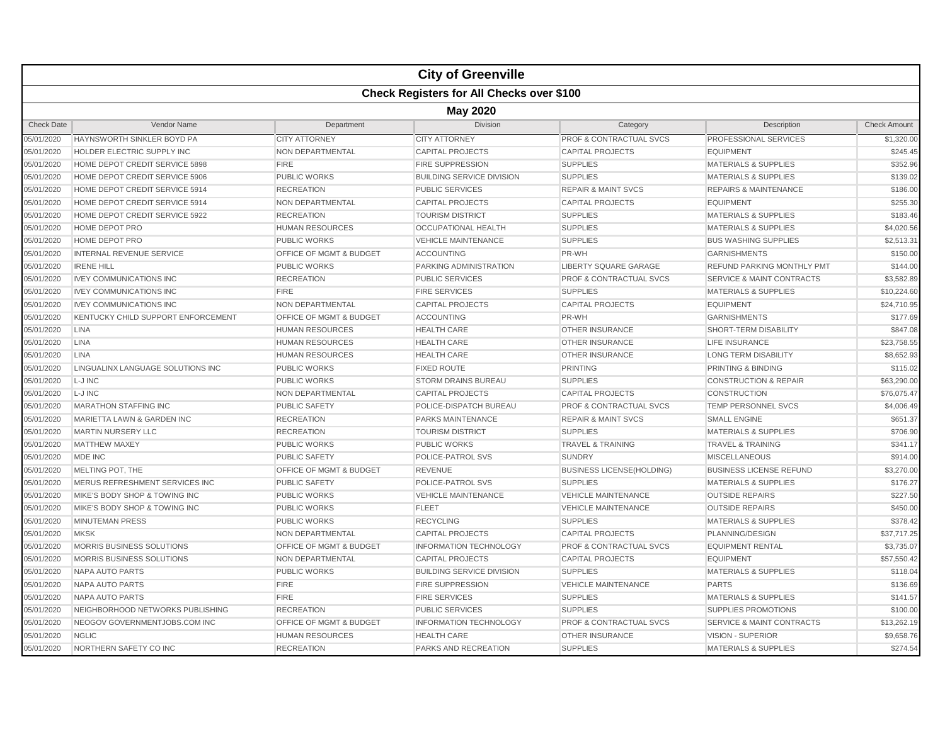|                   |                                                  |                                    | <b>City of Greenville</b>        |                                    |                                      |                     |  |  |  |
|-------------------|--------------------------------------------------|------------------------------------|----------------------------------|------------------------------------|--------------------------------------|---------------------|--|--|--|
|                   | <b>Check Registers for All Checks over \$100</b> |                                    |                                  |                                    |                                      |                     |  |  |  |
|                   | <b>May 2020</b>                                  |                                    |                                  |                                    |                                      |                     |  |  |  |
| <b>Check Date</b> | Vendor Name                                      | Department                         | <b>Division</b>                  | Category                           | Description                          | <b>Check Amount</b> |  |  |  |
| 05/01/2020        | HAYNSWORTH SINKLER BOYD PA                       | <b>CITY ATTORNEY</b>               | <b>CITY ATTORNEY</b>             | <b>PROF &amp; CONTRACTUAL SVCS</b> | PROFESSIONAL SERVICES                | \$1,320.00          |  |  |  |
| 05/01/2020        | <b>HOLDER ELECTRIC SUPPLY INC</b>                | NON DEPARTMENTAL                   | <b>CAPITAL PROJECTS</b>          | <b>CAPITAL PROJECTS</b>            | <b>EQUIPMENT</b>                     | \$245.45            |  |  |  |
| 05/01/2020        | HOME DEPOT CREDIT SERVICE 5898                   | <b>FIRE</b>                        | <b>FIRE SUPPRESSION</b>          | <b>SUPPLIES</b>                    | <b>MATERIALS &amp; SUPPLIES</b>      | \$352.96            |  |  |  |
| 05/01/2020        | HOME DEPOT CREDIT SERVICE 5906                   | <b>PUBLIC WORKS</b>                | <b>BUILDING SERVICE DIVISION</b> | <b>SUPPLIES</b>                    | <b>MATERIALS &amp; SUPPLIES</b>      | \$139.02            |  |  |  |
| 05/01/2020        | HOME DEPOT CREDIT SERVICE 5914                   | <b>RECREATION</b>                  | PUBLIC SERVICES                  | <b>REPAIR &amp; MAINT SVCS</b>     | <b>REPAIRS &amp; MAINTENANCE</b>     | \$186.00            |  |  |  |
| 05/01/2020        | HOME DEPOT CREDIT SERVICE 5914                   | NON DEPARTMENTAL                   | <b>CAPITAL PROJECTS</b>          | <b>CAPITAL PROJECTS</b>            | <b>EQUIPMENT</b>                     | \$255.30            |  |  |  |
| 05/01/2020        | HOME DEPOT CREDIT SERVICE 5922                   | <b>RECREATION</b>                  | <b>TOURISM DISTRICT</b>          | <b>SUPPLIES</b>                    | <b>MATERIALS &amp; SUPPLIES</b>      | \$183.46            |  |  |  |
| 05/01/2020        | <b>HOME DEPOT PRO</b>                            | <b>HUMAN RESOURCES</b>             | OCCUPATIONAL HEALTH              | <b>SUPPLIES</b>                    | <b>MATERIALS &amp; SUPPLIES</b>      | \$4,020.56          |  |  |  |
| 05/01/2020        | <b>HOME DEPOT PRO</b>                            | <b>PUBLIC WORKS</b>                | <b>VEHICLE MAINTENANCE</b>       | <b>SUPPLIES</b>                    | <b>BUS WASHING SUPPLIES</b>          | \$2,513.31          |  |  |  |
| 05/01/2020        | <b>INTERNAL REVENUE SERVICE</b>                  | OFFICE OF MGMT & BUDGET            | <b>ACCOUNTING</b>                | PR-WH                              | <b>GARNISHMENTS</b>                  | \$150.00            |  |  |  |
| 05/01/2020        | <b>IRENE HILL</b>                                | <b>PUBLIC WORKS</b>                | PARKING ADMINISTRATION           | <b>LIBERTY SQUARE GARAGE</b>       | <b>REFUND PARKING MONTHLY PMT</b>    | \$144.00            |  |  |  |
| 05/01/2020        | <b>IVEY COMMUNICATIONS INC</b>                   | <b>RECREATION</b>                  | <b>PUBLIC SERVICES</b>           | <b>PROF &amp; CONTRACTUAL SVCS</b> | <b>SERVICE &amp; MAINT CONTRACTS</b> | \$3,582.89          |  |  |  |
| 05/01/2020        | <b>IVEY COMMUNICATIONS INC</b>                   | <b>FIRE</b>                        | <b>FIRE SERVICES</b>             | <b>SUPPLIES</b>                    | <b>MATERIALS &amp; SUPPLIES</b>      | \$10,224.60         |  |  |  |
| 05/01/2020        | <b>IVEY COMMUNICATIONS INC</b>                   | NON DEPARTMENTAL                   | <b>CAPITAL PROJECTS</b>          | <b>CAPITAL PROJECTS</b>            | <b>EQUIPMENT</b>                     | \$24,710.95         |  |  |  |
| 05/01/2020        | KENTUCKY CHILD SUPPORT ENFORCEMENT               | OFFICE OF MGMT & BUDGET            | <b>ACCOUNTING</b>                | PR-WH                              | <b>GARNISHMENTS</b>                  | \$177.69            |  |  |  |
| 05/01/2020        | <b>LINA</b>                                      | <b>HUMAN RESOURCES</b>             | <b>HEALTH CARE</b>               | <b>OTHER INSURANCE</b>             | SHORT-TERM DISABILITY                | \$847.08            |  |  |  |
| 05/01/2020        | <b>LINA</b>                                      | <b>HUMAN RESOURCES</b>             | <b>HEALTH CARE</b>               | <b>OTHER INSURANCE</b>             | <b>LIFE INSURANCE</b>                | \$23,758.55         |  |  |  |
| 05/01/2020        | <b>LINA</b>                                      | <b>HUMAN RESOURCES</b>             | <b>HEALTH CARE</b>               | <b>OTHER INSURANCE</b>             | <b>LONG TERM DISABILITY</b>          | \$8,652.93          |  |  |  |
| 05/01/2020        | LINGUALINX LANGUAGE SOLUTIONS INC                | <b>PUBLIC WORKS</b>                | <b>FIXED ROUTE</b>               | <b>PRINTING</b>                    | <b>PRINTING &amp; BINDING</b>        | \$115.02            |  |  |  |
| 05/01/2020        | L-J INC                                          | <b>PUBLIC WORKS</b>                | <b>STORM DRAINS BUREAU</b>       | <b>SUPPLIES</b>                    | <b>CONSTRUCTION &amp; REPAIR</b>     | \$63,290.00         |  |  |  |
| 05/01/2020        | L-J INC                                          | NON DEPARTMENTAL                   | <b>CAPITAL PROJECTS</b>          | <b>CAPITAL PROJECTS</b>            | <b>CONSTRUCTION</b>                  | \$76,075.47         |  |  |  |
| 05/01/2020        | <b>MARATHON STAFFING INC</b>                     | <b>PUBLIC SAFETY</b>               | POLICE-DISPATCH BUREAU           | <b>PROF &amp; CONTRACTUAL SVCS</b> | <b>TEMP PERSONNEL SVCS</b>           | \$4,006.49          |  |  |  |
| 05/01/2020        | MARIETTA LAWN & GARDEN INC                       | <b>RECREATION</b>                  | PARKS MAINTENANCE                | <b>REPAIR &amp; MAINT SVCS</b>     | <b>SMALL ENGINE</b>                  | \$651.37            |  |  |  |
| 05/01/2020        | <b>MARTIN NURSERY LLC</b>                        | <b>RECREATION</b>                  | <b>TOURISM DISTRICT</b>          | <b>SUPPLIES</b>                    | <b>MATERIALS &amp; SUPPLIES</b>      | \$706.90            |  |  |  |
| 05/01/2020        | <b>MATTHEW MAXEY</b>                             | <b>PUBLIC WORKS</b>                | <b>PUBLIC WORKS</b>              | <b>TRAVEL &amp; TRAINING</b>       | <b>TRAVEL &amp; TRAINING</b>         | \$341.17            |  |  |  |
| 05/01/2020        | MDE INC                                          | <b>PUBLIC SAFETY</b>               | POLICE-PATROL SVS                | <b>SUNDRY</b>                      | <b>MISCELLANEOUS</b>                 | \$914.00            |  |  |  |
| 05/01/2020        | MELTING POT, THE                                 | <b>OFFICE OF MGMT &amp; BUDGET</b> | <b>REVENUE</b>                   | <b>BUSINESS LICENSE(HOLDING)</b>   | <b>BUSINESS LICENSE REFUND</b>       | \$3,270.00          |  |  |  |
| 05/01/2020        | MERUS REFRESHMENT SERVICES INC                   | <b>PUBLIC SAFETY</b>               | POLICE-PATROL SVS                | <b>SUPPLIES</b>                    | <b>MATERIALS &amp; SUPPLIES</b>      | \$176.27            |  |  |  |
| 05/01/2020        | MIKE'S BODY SHOP & TOWING INC                    | <b>PUBLIC WORKS</b>                | <b>VEHICLE MAINTENANCE</b>       | <b>VEHICLE MAINTENANCE</b>         | <b>OUTSIDE REPAIRS</b>               | \$227.50            |  |  |  |
| 05/01/2020        | MIKE'S BODY SHOP & TOWING INC                    | <b>PUBLIC WORKS</b>                | <b>FLEET</b>                     | <b>VEHICLE MAINTENANCE</b>         | <b>OUTSIDE REPAIRS</b>               | \$450.00            |  |  |  |
| 05/01/2020        | <b>MINUTEMAN PRESS</b>                           | <b>PUBLIC WORKS</b>                | <b>RECYCLING</b>                 | <b>SUPPLIES</b>                    | <b>MATERIALS &amp; SUPPLIES</b>      | \$378.42            |  |  |  |
| 05/01/2020        | <b>MKSK</b>                                      | NON DEPARTMENTAL                   | <b>CAPITAL PROJECTS</b>          | <b>CAPITAL PROJECTS</b>            | PLANNING/DESIGN                      | \$37,717.25         |  |  |  |
| 05/01/2020        | MORRIS BUSINESS SOLUTIONS                        | OFFICE OF MGMT & BUDGET            | <b>INFORMATION TECHNOLOGY</b>    | <b>PROF &amp; CONTRACTUAL SVCS</b> | <b>EQUIPMENT RENTAL</b>              | \$3,735.07          |  |  |  |
| 05/01/2020        | MORRIS BUSINESS SOLUTIONS                        | NON DEPARTMENTAL                   | <b>CAPITAL PROJECTS</b>          | <b>CAPITAL PROJECTS</b>            | <b>EQUIPMENT</b>                     | \$57,550.42         |  |  |  |
| 05/01/2020        | <b>NAPA AUTO PARTS</b>                           | <b>PUBLIC WORKS</b>                | <b>BUILDING SERVICE DIVISION</b> | <b>SUPPLIES</b>                    | <b>MATERIALS &amp; SUPPLIES</b>      | \$118.04            |  |  |  |
| 05/01/2020        | <b>NAPA AUTO PARTS</b>                           | <b>FIRE</b>                        | <b>FIRE SUPPRESSION</b>          | <b>VEHICLE MAINTENANCE</b>         | <b>PARTS</b>                         | \$136.69            |  |  |  |
| 05/01/2020        | <b>NAPA AUTO PARTS</b>                           | <b>FIRE</b>                        | <b>FIRE SERVICES</b>             | <b>SUPPLIES</b>                    | <b>MATERIALS &amp; SUPPLIES</b>      | \$141.57            |  |  |  |
| 05/01/2020        | NEIGHBORHOOD NETWORKS PUBLISHING                 | <b>RECREATION</b>                  | PUBLIC SERVICES                  | <b>SUPPLIES</b>                    | <b>SUPPLIES PROMOTIONS</b>           | \$100.00            |  |  |  |
| 05/01/2020        | NEOGOV GOVERNMENTJOBS.COM INC                    | OFFICE OF MGMT & BUDGET            | <b>INFORMATION TECHNOLOGY</b>    | <b>PROF &amp; CONTRACTUAL SVCS</b> | <b>SERVICE &amp; MAINT CONTRACTS</b> | \$13,262.19         |  |  |  |
| 05/01/2020        | <b>NGLIC</b>                                     | <b>HUMAN RESOURCES</b>             | <b>HEALTH CARE</b>               | <b>OTHER INSURANCE</b>             | VISION - SUPERIOR                    | \$9,658.76          |  |  |  |
| 05/01/2020        | NORTHERN SAFETY CO INC                           | <b>RECREATION</b>                  | PARKS AND RECREATION             | <b>SUPPLIES</b>                    | <b>MATERIALS &amp; SUPPLIES</b>      | \$274.54            |  |  |  |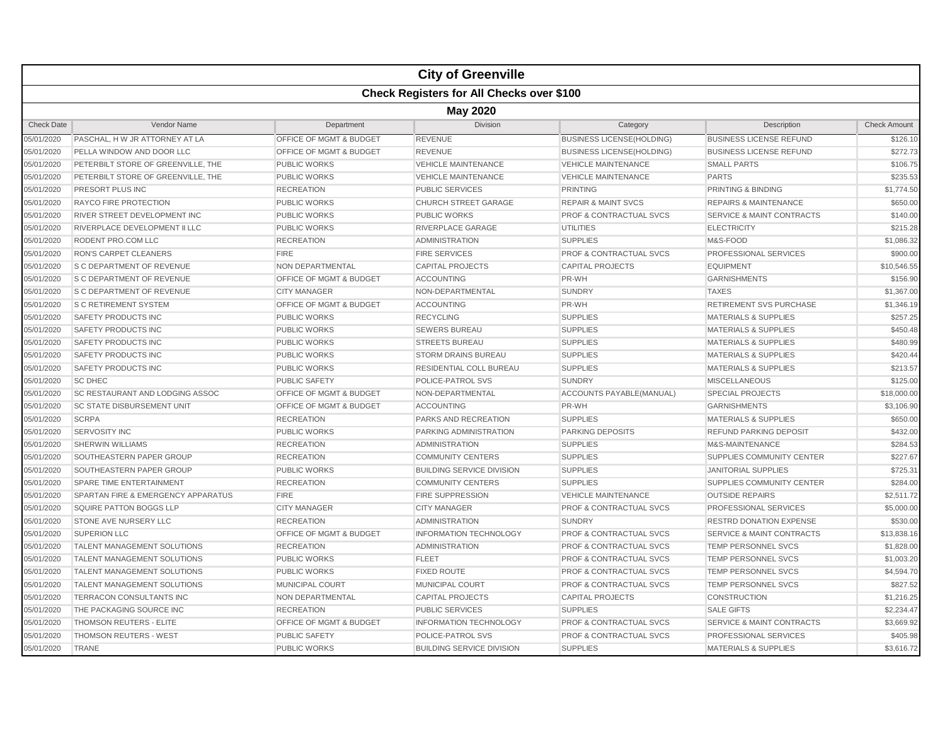|                   |                                                  |                                    | <b>City of Greenville</b>        |                                    |                                      |                     |  |  |  |
|-------------------|--------------------------------------------------|------------------------------------|----------------------------------|------------------------------------|--------------------------------------|---------------------|--|--|--|
|                   | <b>Check Registers for All Checks over \$100</b> |                                    |                                  |                                    |                                      |                     |  |  |  |
|                   | <b>May 2020</b>                                  |                                    |                                  |                                    |                                      |                     |  |  |  |
| <b>Check Date</b> | Vendor Name                                      | Department                         | <b>Division</b>                  | Category                           | Description                          | <b>Check Amount</b> |  |  |  |
| 05/01/2020        | PASCHAL, H W JR ATTORNEY AT LA                   | <b>OFFICE OF MGMT &amp; BUDGET</b> | <b>REVENUE</b>                   | <b>BUSINESS LICENSE(HOLDING)</b>   | <b>BUSINESS LICENSE REFUND</b>       | \$126.10            |  |  |  |
| 05/01/2020        | PELLA WINDOW AND DOOR LLC                        | <b>OFFICE OF MGMT &amp; BUDGET</b> | <b>REVENUE</b>                   | <b>BUSINESS LICENSE(HOLDING)</b>   | <b>BUSINESS LICENSE REFUND</b>       | \$272.73            |  |  |  |
| 05/01/2020        | PETERBILT STORE OF GREENVILLE, THE               | <b>PUBLIC WORKS</b>                | <b>VEHICLE MAINTENANCE</b>       | <b>VEHICLE MAINTENANCE</b>         | <b>SMALL PARTS</b>                   | \$106.75            |  |  |  |
| 05/01/2020        | PETERBILT STORE OF GREENVILLE, THE               | <b>PUBLIC WORKS</b>                | <b>VEHICLE MAINTENANCE</b>       | <b>VEHICLE MAINTENANCE</b>         | <b>PARTS</b>                         | \$235.53            |  |  |  |
| 05/01/2020        | PRESORT PLUS INC                                 | <b>RECREATION</b>                  | <b>PUBLIC SERVICES</b>           | <b>PRINTING</b>                    | PRINTING & BINDING                   | \$1,774.50          |  |  |  |
| 05/01/2020        | <b>RAYCO FIRE PROTECTION</b>                     | <b>PUBLIC WORKS</b>                | <b>CHURCH STREET GARAGE</b>      | <b>REPAIR &amp; MAINT SVCS</b>     | <b>REPAIRS &amp; MAINTENANCE</b>     | \$650.00            |  |  |  |
| 05/01/2020        | RIVER STREET DEVELOPMENT INC                     | <b>PUBLIC WORKS</b>                | <b>PUBLIC WORKS</b>              | <b>PROF &amp; CONTRACTUAL SVCS</b> | <b>SERVICE &amp; MAINT CONTRACTS</b> | \$140.00            |  |  |  |
| 05/01/2020        | RIVERPLACE DEVELOPMENT II LLC                    | <b>PUBLIC WORKS</b>                | RIVERPLACE GARAGE                | <b>UTILITIES</b>                   | <b>ELECTRICITY</b>                   | \$215.28            |  |  |  |
| 05/01/2020        | RODENT PRO.COM LLC                               | <b>RECREATION</b>                  | <b>ADMINISTRATION</b>            | <b>SUPPLIES</b>                    | M&S-FOOD                             | \$1,086.32          |  |  |  |
| 05/01/2020        | RON'S CARPET CLEANERS                            | <b>FIRE</b>                        | <b>FIRE SERVICES</b>             | PROF & CONTRACTUAL SVCS            | PROFESSIONAL SERVICES                | \$900.00            |  |  |  |
| 05/01/2020        | S C DEPARTMENT OF REVENUE                        | NON DEPARTMENTAL                   | <b>CAPITAL PROJECTS</b>          | <b>CAPITAL PROJECTS</b>            | <b>EQUIPMENT</b>                     | \$10,546.55         |  |  |  |
| 05/01/2020        | S C DEPARTMENT OF REVENUE                        | OFFICE OF MGMT & BUDGET            | <b>ACCOUNTING</b>                | PR-WH                              | <b>GARNISHMENTS</b>                  | \$156.90            |  |  |  |
| 05/01/2020        | <b>S C DEPARTMENT OF REVENUE</b>                 | <b>CITY MANAGER</b>                | NON-DEPARTMENTAL                 | <b>SUNDRY</b>                      | <b>TAXES</b>                         | \$1,367.00          |  |  |  |
| 05/01/2020        | <b>S C RETIREMENT SYSTEM</b>                     | OFFICE OF MGMT & BUDGET            | <b>ACCOUNTING</b>                | PR-WH                              | <b>RETIREMENT SVS PURCHASE</b>       | \$1,346.19          |  |  |  |
| 05/01/2020        | SAFETY PRODUCTS INC                              | PUBLIC WORKS                       | <b>RECYCLING</b>                 | <b>SUPPLIES</b>                    | <b>MATERIALS &amp; SUPPLIES</b>      | \$257.25            |  |  |  |
| 05/01/2020        | SAFETY PRODUCTS INC                              | <b>PUBLIC WORKS</b>                | <b>SEWERS BUREAU</b>             | <b>SUPPLIES</b>                    | <b>MATERIALS &amp; SUPPLIES</b>      | \$450.48            |  |  |  |
| 05/01/2020        | SAFETY PRODUCTS INC                              | <b>PUBLIC WORKS</b>                | <b>STREETS BUREAU</b>            | <b>SUPPLIES</b>                    | <b>MATERIALS &amp; SUPPLIES</b>      | \$480.99            |  |  |  |
| 05/01/2020        | <b>SAFETY PRODUCTS INC</b>                       | <b>PUBLIC WORKS</b>                | <b>STORM DRAINS BUREAU</b>       | <b>SUPPLIES</b>                    | <b>MATERIALS &amp; SUPPLIES</b>      | \$420.44            |  |  |  |
| 05/01/2020        | <b>SAFETY PRODUCTS INC</b>                       | <b>PUBLIC WORKS</b>                | <b>RESIDENTIAL COLL BUREAU</b>   | <b>SUPPLIES</b>                    | <b>MATERIALS &amp; SUPPLIES</b>      | \$213.57            |  |  |  |
| 05/01/2020        | <b>SC DHEC</b>                                   | <b>PUBLIC SAFETY</b>               | POLICE-PATROL SVS                | <b>SUNDRY</b>                      | <b>MISCELLANEOUS</b>                 | \$125.00            |  |  |  |
| 05/01/2020        | SC RESTAURANT AND LODGING ASSOC                  | OFFICE OF MGMT & BUDGET            | NON-DEPARTMENTAL                 | ACCOUNTS PAYABLE(MANUAL)           | <b>SPECIAL PROJECTS</b>              | \$18,000.00         |  |  |  |
| 05/01/2020        | <b>SC STATE DISBURSEMENT UNIT</b>                | OFFICE OF MGMT & BUDGET            | <b>ACCOUNTING</b>                | PR-WH                              | <b>GARNISHMENTS</b>                  | \$3,106.90          |  |  |  |
| 05/01/2020        | <b>SCRPA</b>                                     | <b>RECREATION</b>                  | PARKS AND RECREATION             | <b>SUPPLIES</b>                    | <b>MATERIALS &amp; SUPPLIES</b>      | \$650.00            |  |  |  |
| 05/01/2020        | <b>SERVOSITY INC</b>                             | <b>PUBLIC WORKS</b>                | <b>PARKING ADMINISTRATION</b>    | <b>PARKING DEPOSITS</b>            | <b>REFUND PARKING DEPOSIT</b>        | \$432.00            |  |  |  |
| 05/01/2020        | <b>SHERWIN WILLIAMS</b>                          | <b>RECREATION</b>                  | <b>ADMINISTRATION</b>            | <b>SUPPLIES</b>                    | M&S-MAINTENANCE                      | \$284.53            |  |  |  |
| 05/01/2020        | SOUTHEASTERN PAPER GROUP                         | <b>RECREATION</b>                  | <b>COMMUNITY CENTERS</b>         | <b>SUPPLIES</b>                    | SUPPLIES COMMUNITY CENTER            | \$227.67            |  |  |  |
| 05/01/2020        | SOUTHEASTERN PAPER GROUP                         | <b>PUBLIC WORKS</b>                | <b>BUILDING SERVICE DIVISION</b> | <b>SUPPLIES</b>                    | <b>JANITORIAL SUPPLIES</b>           | \$725.31            |  |  |  |
| 05/01/2020        | SPARE TIME ENTERTAINMENT                         | <b>RECREATION</b>                  | <b>COMMUNITY CENTERS</b>         | <b>SUPPLIES</b>                    | SUPPLIES COMMUNITY CENTER            | \$284.00            |  |  |  |
| 05/01/2020        | SPARTAN FIRE & EMERGENCY APPARATUS               | <b>FIRE</b>                        | <b>FIRE SUPPRESSION</b>          | <b>VEHICLE MAINTENANCE</b>         | <b>OUTSIDE REPAIRS</b>               | \$2,511.72          |  |  |  |
| 05/01/2020        | <b>SQUIRE PATTON BOGGS LLP</b>                   | <b>CITY MANAGER</b>                | <b>CITY MANAGER</b>              | <b>PROF &amp; CONTRACTUAL SVCS</b> | PROFESSIONAL SERVICES                | \$5,000.00          |  |  |  |
| 05/01/2020        | STONE AVE NURSERY LLC                            | <b>RECREATION</b>                  | <b>ADMINISTRATION</b>            | <b>SUNDRY</b>                      | <b>RESTRD DONATION EXPENSE</b>       | \$530.00            |  |  |  |
| 05/01/2020        | <b>SUPERION LLC</b>                              | <b>OFFICE OF MGMT &amp; BUDGET</b> | <b>INFORMATION TECHNOLOGY</b>    | <b>PROF &amp; CONTRACTUAL SVCS</b> | <b>SERVICE &amp; MAINT CONTRACTS</b> | \$13,838.16         |  |  |  |
| 05/01/2020        | TALENT MANAGEMENT SOLUTIONS                      | <b>RECREATION</b>                  | <b>ADMINISTRATION</b>            | <b>PROF &amp; CONTRACTUAL SVCS</b> | TEMP PERSONNEL SVCS                  | \$1,828.00          |  |  |  |
| 05/01/2020        | <b>TALENT MANAGEMENT SOLUTIONS</b>               | <b>PUBLIC WORKS</b>                | <b>FLEET</b>                     | <b>PROF &amp; CONTRACTUAL SVCS</b> | <b>TEMP PERSONNEL SVCS</b>           | \$1,003.20          |  |  |  |
| 05/01/2020        | TALENT MANAGEMENT SOLUTIONS                      | <b>PUBLIC WORKS</b>                | <b>FIXED ROUTE</b>               | <b>PROF &amp; CONTRACTUAL SVCS</b> | <b>TEMP PERSONNEL SVCS</b>           | \$4,594.70          |  |  |  |
| 05/01/2020        | TALENT MANAGEMENT SOLUTIONS                      | MUNICIPAL COURT                    | MUNICIPAL COURT                  | <b>PROF &amp; CONTRACTUAL SVCS</b> | <b>TEMP PERSONNEL SVCS</b>           | \$827.52            |  |  |  |
| 05/01/2020        | TERRACON CONSULTANTS INC                         | NON DEPARTMENTAL                   | <b>CAPITAL PROJECTS</b>          | <b>CAPITAL PROJECTS</b>            | <b>CONSTRUCTION</b>                  | \$1,216.25          |  |  |  |
| 05/01/2020        | THE PACKAGING SOURCE INC                         | <b>RECREATION</b>                  | PUBLIC SERVICES                  | <b>SUPPLIES</b>                    | <b>SALE GIFTS</b>                    | \$2,234.47          |  |  |  |
| 05/01/2020        | THOMSON REUTERS - ELITE                          | OFFICE OF MGMT & BUDGET            | <b>INFORMATION TECHNOLOGY</b>    | PROF & CONTRACTUAL SVCS            | <b>SERVICE &amp; MAINT CONTRACTS</b> | \$3,669.92          |  |  |  |
| 05/01/2020        | <b>THOMSON REUTERS - WEST</b>                    | PUBLIC SAFETY                      | POLICE-PATROL SVS                | <b>PROF &amp; CONTRACTUAL SVCS</b> | PROFESSIONAL SERVICES                | \$405.98            |  |  |  |
| 05/01/2020        | <b>TRANE</b>                                     | <b>PUBLIC WORKS</b>                | <b>BUILDING SERVICE DIVISION</b> | <b>SUPPLIES</b>                    | <b>MATERIALS &amp; SUPPLIES</b>      | \$3,616.72          |  |  |  |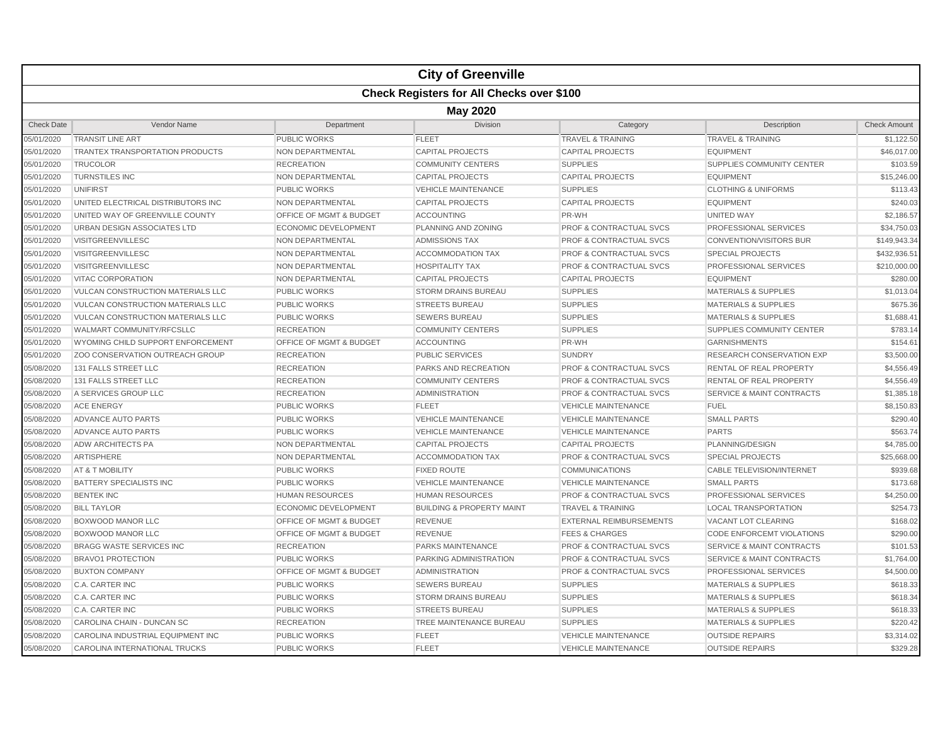|                   |                                                  |                                    | <b>City of Greenville</b>            |                                    |                                      |                     |  |  |  |
|-------------------|--------------------------------------------------|------------------------------------|--------------------------------------|------------------------------------|--------------------------------------|---------------------|--|--|--|
|                   | <b>Check Registers for All Checks over \$100</b> |                                    |                                      |                                    |                                      |                     |  |  |  |
|                   | <b>May 2020</b>                                  |                                    |                                      |                                    |                                      |                     |  |  |  |
| <b>Check Date</b> | Vendor Name                                      | Department                         | Division                             | Category                           | Description                          | <b>Check Amount</b> |  |  |  |
| 05/01/2020        | <b>TRANSIT LINE ART</b>                          | <b>PUBLIC WORKS</b>                | <b>FLEET</b>                         | <b>TRAVEL &amp; TRAINING</b>       | <b>TRAVEL &amp; TRAINING</b>         | \$1,122.50          |  |  |  |
| 05/01/2020        | <b>TRANTEX TRANSPORTATION PRODUCTS</b>           | <b>NON DEPARTMENTAL</b>            | <b>CAPITAL PROJECTS</b>              | <b>CAPITAL PROJECTS</b>            | <b>EQUIPMENT</b>                     | \$46,017.00         |  |  |  |
| 05/01/2020        | <b>TRUCOLOR</b>                                  | <b>RECREATION</b>                  | <b>COMMUNITY CENTERS</b>             | <b>SUPPLIES</b>                    | SUPPLIES COMMUNITY CENTER            | \$103.59            |  |  |  |
| 05/01/2020        | <b>TURNSTILES INC</b>                            | NON DEPARTMENTAL                   | <b>CAPITAL PROJECTS</b>              | <b>CAPITAL PROJECTS</b>            | <b>EQUIPMENT</b>                     | \$15,246.00         |  |  |  |
| 05/01/2020        | <b>UNIFIRST</b>                                  | <b>PUBLIC WORKS</b>                | <b>VEHICLE MAINTENANCE</b>           | <b>SUPPLIES</b>                    | <b>CLOTHING &amp; UNIFORMS</b>       | \$113.43            |  |  |  |
| 05/01/2020        | UNITED ELECTRICAL DISTRIBUTORS INC               | <b>NON DEPARTMENTAL</b>            | <b>CAPITAL PROJECTS</b>              | <b>CAPITAL PROJECTS</b>            | <b>EQUIPMENT</b>                     | \$240.03            |  |  |  |
| 05/01/2020        | UNITED WAY OF GREENVILLE COUNTY                  | OFFICE OF MGMT & BUDGET            | <b>ACCOUNTING</b>                    | PR-WH                              | <b>UNITED WAY</b>                    | \$2,186.57          |  |  |  |
| 05/01/2020        | URBAN DESIGN ASSOCIATES LTD                      | <b>ECONOMIC DEVELOPMENT</b>        | PLANNING AND ZONING                  | <b>PROF &amp; CONTRACTUAL SVCS</b> | PROFESSIONAL SERVICES                | \$34,750.03         |  |  |  |
| 05/01/2020        | <b>VISITGREENVILLESC</b>                         | <b>NON DEPARTMENTAL</b>            | <b>ADMISSIONS TAX</b>                | <b>PROF &amp; CONTRACTUAL SVCS</b> | <b>CONVENTION/VISITORS BUR</b>       | \$149,943.34        |  |  |  |
| 05/01/2020        | <b>VISITGREENVILLESC</b>                         | <b>NON DEPARTMENTAL</b>            | <b>ACCOMMODATION TAX</b>             | <b>PROF &amp; CONTRACTUAL SVCS</b> | <b>SPECIAL PROJECTS</b>              | \$432,936.51        |  |  |  |
| 05/01/2020        | <b>VISITGREENVILLESC</b>                         | NON DEPARTMENTAL                   | <b>HOSPITALITY TAX</b>               | <b>PROF &amp; CONTRACTUAL SVCS</b> | PROFESSIONAL SERVICES                | \$210,000.00        |  |  |  |
| 05/01/2020        | <b>VITAC CORPORATION</b>                         | NON DEPARTMENTAL                   | <b>CAPITAL PROJECTS</b>              | <b>CAPITAL PROJECTS</b>            | <b>EQUIPMENT</b>                     | \$280.00            |  |  |  |
| 05/01/2020        | <b>VULCAN CONSTRUCTION MATERIALS LLC</b>         | <b>PUBLIC WORKS</b>                | <b>STORM DRAINS BUREAU</b>           | <b>SUPPLIES</b>                    | <b>MATERIALS &amp; SUPPLIES</b>      | \$1,013.04          |  |  |  |
| 05/01/2020        | <b>VULCAN CONSTRUCTION MATERIALS LLC</b>         | <b>PUBLIC WORKS</b>                | <b>STREETS BUREAU</b>                | <b>SUPPLIES</b>                    | <b>MATERIALS &amp; SUPPLIES</b>      | \$675.36            |  |  |  |
| 05/01/2020        | VULCAN CONSTRUCTION MATERIALS LLC                | <b>PUBLIC WORKS</b>                | <b>SEWERS BUREAU</b>                 | <b>SUPPLIES</b>                    | <b>MATERIALS &amp; SUPPLIES</b>      | \$1,688.41          |  |  |  |
| 05/01/2020        | WALMART COMMUNITY/RFCSLLC                        | <b>RECREATION</b>                  | <b>COMMUNITY CENTERS</b>             | <b>SUPPLIES</b>                    | SUPPLIES COMMUNITY CENTER            | \$783.14            |  |  |  |
| 05/01/2020        | WYOMING CHILD SUPPORT ENFORCEMENT                | <b>OFFICE OF MGMT &amp; BUDGET</b> | <b>ACCOUNTING</b>                    | PR-WH                              | <b>GARNISHMENTS</b>                  | \$154.61            |  |  |  |
| 05/01/2020        | ZOO CONSERVATION OUTREACH GROUP                  | <b>RECREATION</b>                  | <b>PUBLIC SERVICES</b>               | <b>SUNDRY</b>                      | RESEARCH CONSERVATION EXP            | \$3,500.00          |  |  |  |
| 05/08/2020        | 131 FALLS STREET LLC                             | <b>RECREATION</b>                  | <b>PARKS AND RECREATION</b>          | <b>PROF &amp; CONTRACTUAL SVCS</b> | <b>RENTAL OF REAL PROPERTY</b>       | \$4,556.49          |  |  |  |
| 05/08/2020        | 131 FALLS STREET LLC                             | <b>RECREATION</b>                  | <b>COMMUNITY CENTERS</b>             | <b>PROF &amp; CONTRACTUAL SVCS</b> | RENTAL OF REAL PROPERTY              | \$4,556.49          |  |  |  |
| 05/08/2020        | A SERVICES GROUP LLC                             | <b>RECREATION</b>                  | <b>ADMINISTRATION</b>                | <b>PROF &amp; CONTRACTUAL SVCS</b> | <b>SERVICE &amp; MAINT CONTRACTS</b> | \$1,385.18          |  |  |  |
| 05/08/2020        | <b>ACE ENERGY</b>                                | <b>PUBLIC WORKS</b>                | <b>FLEET</b>                         | <b>VEHICLE MAINTENANCE</b>         | <b>FUEL</b>                          | \$8,150.83          |  |  |  |
| 05/08/2020        | ADVANCE AUTO PARTS                               | <b>PUBLIC WORKS</b>                | <b>VEHICLE MAINTENANCE</b>           | <b>VEHICLE MAINTENANCE</b>         | <b>SMALL PARTS</b>                   | \$290.40            |  |  |  |
| 05/08/2020        | ADVANCE AUTO PARTS                               | <b>PUBLIC WORKS</b>                | <b>VEHICLE MAINTENANCE</b>           | <b>VEHICLE MAINTENANCE</b>         | <b>PARTS</b>                         | \$563.74            |  |  |  |
| 05/08/2020        | <b>ADW ARCHITECTS PA</b>                         | NON DEPARTMENTAL                   | <b>CAPITAL PROJECTS</b>              | <b>CAPITAL PROJECTS</b>            | PLANNING/DESIGN                      | \$4,785.00          |  |  |  |
| 05/08/2020        | ARTISPHERE                                       | NON DEPARTMENTAL                   | <b>ACCOMMODATION TAX</b>             | <b>PROF &amp; CONTRACTUAL SVCS</b> | <b>SPECIAL PROJECTS</b>              | \$25,668.00         |  |  |  |
| 05/08/2020        | AT & T MOBILITY                                  | <b>PUBLIC WORKS</b>                | <b>FIXED ROUTE</b>                   | <b>COMMUNICATIONS</b>              | <b>CABLE TELEVISION/INTERNET</b>     | \$939.68            |  |  |  |
| 05/08/2020        | BATTERY SPECIALISTS INC                          | <b>PUBLIC WORKS</b>                | <b>VEHICLE MAINTENANCE</b>           | <b>VEHICLE MAINTENANCE</b>         | <b>SMALL PARTS</b>                   | \$173.68            |  |  |  |
| 05/08/2020        | <b>BENTEK INC</b>                                | <b>HUMAN RESOURCES</b>             | <b>HUMAN RESOURCES</b>               | <b>PROF &amp; CONTRACTUAL SVCS</b> | PROFESSIONAL SERVICES                | \$4,250.00          |  |  |  |
| 05/08/2020        | <b>BILL TAYLOR</b>                               | ECONOMIC DEVELOPMENT               | <b>BUILDING &amp; PROPERTY MAINT</b> | <b>TRAVEL &amp; TRAINING</b>       | <b>LOCAL TRANSPORTATION</b>          | \$254.73            |  |  |  |
| 05/08/2020        | <b>BOXWOOD MANOR LLC</b>                         | OFFICE OF MGMT & BUDGET            | <b>REVENUE</b>                       | <b>EXTERNAL REIMBURSEMENTS</b>     | VACANT LOT CLEARING                  | \$168.02            |  |  |  |
| 05/08/2020        | <b>BOXWOOD MANOR LLC</b>                         | OFFICE OF MGMT & BUDGET            | <b>REVENUE</b>                       | <b>FEES &amp; CHARGES</b>          | <b>CODE ENFORCEMT VIOLATIONS</b>     | \$290.00            |  |  |  |
| 05/08/2020        | <b>BRAGG WASTE SERVICES INC</b>                  | <b>RECREATION</b>                  | <b>PARKS MAINTENANCE</b>             | <b>PROF &amp; CONTRACTUAL SVCS</b> | <b>SERVICE &amp; MAINT CONTRACTS</b> | \$101.53            |  |  |  |
| 05/08/2020        | <b>BRAVO1 PROTECTION</b>                         | <b>PUBLIC WORKS</b>                | <b>PARKING ADMINISTRATION</b>        | <b>PROF &amp; CONTRACTUAL SVCS</b> | <b>SERVICE &amp; MAINT CONTRACTS</b> | \$1,764.00          |  |  |  |
| 05/08/2020        | <b>BUXTON COMPANY</b>                            | OFFICE OF MGMT & BUDGET            | <b>ADMINISTRATION</b>                | PROF & CONTRACTUAL SVCS            | PROFESSIONAL SERVICES                | \$4,500.00          |  |  |  |
| 05/08/2020        | C.A. CARTER INC                                  | <b>PUBLIC WORKS</b>                | <b>SEWERS BUREAU</b>                 | <b>SUPPLIES</b>                    | <b>MATERIALS &amp; SUPPLIES</b>      | \$618.33            |  |  |  |
| 05/08/2020        | <b>C.A. CARTER INC</b>                           | <b>PUBLIC WORKS</b>                | <b>STORM DRAINS BUREAU</b>           | <b>SUPPLIES</b>                    | <b>MATERIALS &amp; SUPPLIES</b>      | \$618.34            |  |  |  |
| 05/08/2020        | <b>C.A. CARTER INC</b>                           | <b>PUBLIC WORKS</b>                | <b>STREETS BUREAU</b>                | <b>SUPPLIES</b>                    | <b>MATERIALS &amp; SUPPLIES</b>      | \$618.33            |  |  |  |
| 05/08/2020        | CAROLINA CHAIN - DUNCAN SC                       | <b>RECREATION</b>                  | TREE MAINTENANCE BUREAU              | <b>SUPPLIES</b>                    | <b>MATERIALS &amp; SUPPLIES</b>      | \$220.42            |  |  |  |
| 05/08/2020        | CAROLINA INDUSTRIAL EQUIPMENT INC                | <b>PUBLIC WORKS</b>                | <b>FLEET</b>                         | <b>VEHICLE MAINTENANCE</b>         | <b>OUTSIDE REPAIRS</b>               | \$3,314.02          |  |  |  |
| 05/08/2020        | CAROLINA INTERNATIONAL TRUCKS                    | <b>PUBLIC WORKS</b>                | <b>FLEET</b>                         | <b>VEHICLE MAINTENANCE</b>         | <b>OUTSIDE REPAIRS</b>               | \$329.28            |  |  |  |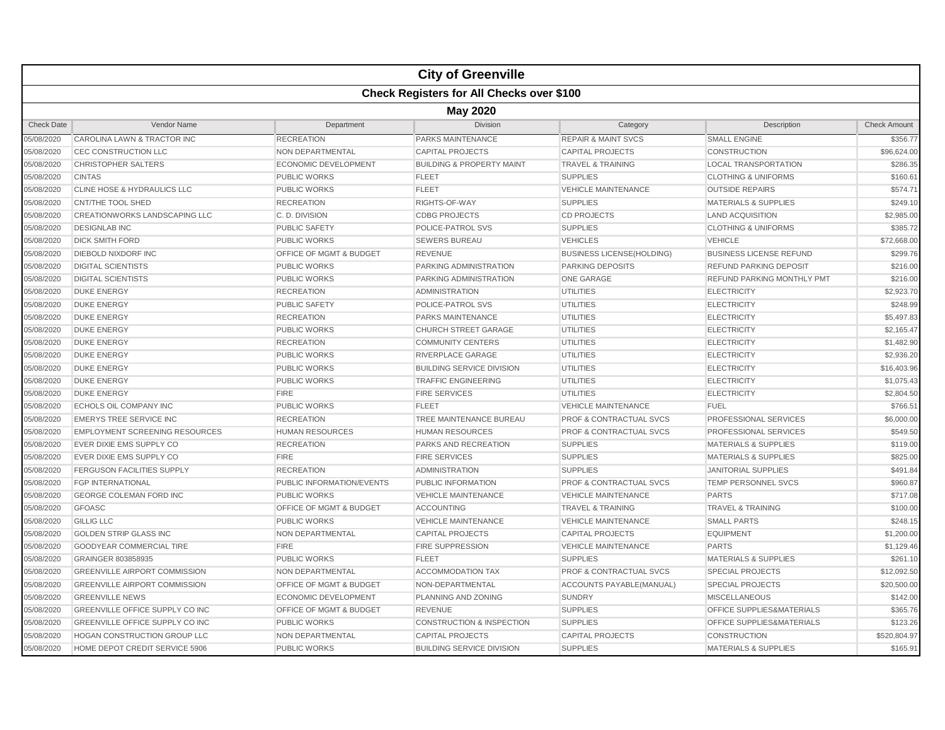|                   |                                                  |                                    | <b>City of Greenville</b>            |                                    |                                 |                     |  |  |  |
|-------------------|--------------------------------------------------|------------------------------------|--------------------------------------|------------------------------------|---------------------------------|---------------------|--|--|--|
|                   | <b>Check Registers for All Checks over \$100</b> |                                    |                                      |                                    |                                 |                     |  |  |  |
|                   | <b>May 2020</b>                                  |                                    |                                      |                                    |                                 |                     |  |  |  |
| <b>Check Date</b> | Vendor Name                                      | Department                         | <b>Division</b>                      | Category                           | Description                     | <b>Check Amount</b> |  |  |  |
| 05/08/2020        | CAROLINA LAWN & TRACTOR INC                      | <b>RECREATION</b>                  | <b>PARKS MAINTENANCE</b>             | <b>REPAIR &amp; MAINT SVCS</b>     | <b>SMALL ENGINE</b>             | \$356.77            |  |  |  |
| 05/08/2020        | CEC CONSTRUCTION LLC                             | NON DEPARTMENTAL                   | <b>CAPITAL PROJECTS</b>              | <b>CAPITAL PROJECTS</b>            | <b>CONSTRUCTION</b>             | \$96,624.00         |  |  |  |
| 05/08/2020        | CHRISTOPHER SALTERS                              | <b>ECONOMIC DEVELOPMENT</b>        | <b>BUILDING &amp; PROPERTY MAINT</b> | <b>TRAVEL &amp; TRAINING</b>       | <b>LOCAL TRANSPORTATION</b>     | \$286.35            |  |  |  |
| 05/08/2020        | <b>CINTAS</b>                                    | <b>PUBLIC WORKS</b>                | <b>FLEET</b>                         | <b>SUPPLIES</b>                    | <b>CLOTHING &amp; UNIFORMS</b>  | \$160.61            |  |  |  |
| 05/08/2020        | CLINE HOSE & HYDRAULICS LLC                      | <b>PUBLIC WORKS</b>                | <b>FLEET</b>                         | <b>VEHICLE MAINTENANCE</b>         | <b>OUTSIDE REPAIRS</b>          | \$574.71            |  |  |  |
| 05/08/2020        | CNT/THE TOOL SHED                                | <b>RECREATION</b>                  | RIGHTS-OF-WAY                        | <b>SUPPLIES</b>                    | <b>MATERIALS &amp; SUPPLIES</b> | \$249.10            |  |  |  |
| 05/08/2020        | CREATIONWORKS LANDSCAPING LLC                    | C.D. DIVISION                      | <b>CDBG PROJECTS</b>                 | <b>CD PROJECTS</b>                 | <b>LAND ACQUISITION</b>         | \$2,985.00          |  |  |  |
| 05/08/2020        | <b>DESIGNLAB INC</b>                             | <b>PUBLIC SAFETY</b>               | POLICE-PATROL SVS                    | <b>SUPPLIES</b>                    | <b>CLOTHING &amp; UNIFORMS</b>  | \$385.72            |  |  |  |
| 05/08/2020        | <b>DICK SMITH FORD</b>                           | <b>PUBLIC WORKS</b>                | <b>SEWERS BUREAU</b>                 | <b>VEHICLES</b>                    | <b>VEHICLE</b>                  | \$72,668.00         |  |  |  |
| 05/08/2020        | DIEBOLD NIXDORF INC                              | OFFICE OF MGMT & BUDGET            | <b>REVENUE</b>                       | <b>BUSINESS LICENSE(HOLDING)</b>   | <b>BUSINESS LICENSE REFUND</b>  | \$299.76            |  |  |  |
| 05/08/2020        | <b>DIGITAL SCIENTISTS</b>                        | <b>PUBLIC WORKS</b>                | <b>PARKING ADMINISTRATION</b>        | <b>PARKING DEPOSITS</b>            | <b>REFUND PARKING DEPOSIT</b>   | \$216.00            |  |  |  |
| 05/08/2020        | <b>DIGITAL SCIENTISTS</b>                        | <b>PUBLIC WORKS</b>                | PARKING ADMINISTRATION               | <b>ONE GARAGE</b>                  | REFUND PARKING MONTHLY PMT      | \$216.00            |  |  |  |
| 05/08/2020        | <b>DUKE ENERGY</b>                               | <b>RECREATION</b>                  | <b>ADMINISTRATION</b>                | <b>UTILITIES</b>                   | <b>ELECTRICITY</b>              | \$2,923.70          |  |  |  |
| 05/08/2020        | <b>DUKE ENERGY</b>                               | <b>PUBLIC SAFETY</b>               | POLICE-PATROL SVS                    | <b>UTILITIES</b>                   | <b>ELECTRICITY</b>              | \$248.99            |  |  |  |
| 05/08/2020        | <b>DUKE ENERGY</b>                               | <b>RECREATION</b>                  | PARKS MAINTENANCE                    | <b>UTILITIES</b>                   | <b>ELECTRICITY</b>              | \$5,497.83          |  |  |  |
| 05/08/2020        | <b>DUKE ENERGY</b>                               | <b>PUBLIC WORKS</b>                | <b>CHURCH STREET GARAGE</b>          | <b>UTILITIES</b>                   | <b>ELECTRICITY</b>              | \$2,165.47          |  |  |  |
| 05/08/2020        | <b>DUKE ENERGY</b>                               | <b>RECREATION</b>                  | <b>COMMUNITY CENTERS</b>             | <b>UTILITIES</b>                   | <b>ELECTRICITY</b>              | \$1,482.90          |  |  |  |
| 05/08/2020        | <b>DUKE ENERGY</b>                               | <b>PUBLIC WORKS</b>                | RIVERPLACE GARAGE                    | <b>UTILITIES</b>                   | <b>ELECTRICITY</b>              | \$2,936.20          |  |  |  |
| 05/08/2020        | <b>DUKE ENERGY</b>                               | <b>PUBLIC WORKS</b>                | <b>BUILDING SERVICE DIVISION</b>     | <b>UTILITIES</b>                   | <b>ELECTRICITY</b>              | \$16,403.96         |  |  |  |
| 05/08/2020        | <b>DUKE ENERGY</b>                               | <b>PUBLIC WORKS</b>                | <b>TRAFFIC ENGINEERING</b>           | <b>UTILITIES</b>                   | <b>ELECTRICITY</b>              | \$1,075.43          |  |  |  |
| 05/08/2020        | <b>DUKE ENERGY</b>                               | <b>FIRE</b>                        | <b>FIRE SERVICES</b>                 | <b>UTILITIES</b>                   | <b>ELECTRICITY</b>              | \$2,804.50          |  |  |  |
| 05/08/2020        | ECHOLS OIL COMPANY INC                           | <b>PUBLIC WORKS</b>                | <b>FLEET</b>                         | <b>VEHICLE MAINTENANCE</b>         | <b>FUEL</b>                     | \$766.51            |  |  |  |
| 05/08/2020        | <b>EMERYS TREE SERVICE INC</b>                   | <b>RECREATION</b>                  | TREE MAINTENANCE BUREAU              | <b>PROF &amp; CONTRACTUAL SVCS</b> | PROFESSIONAL SERVICES           | \$6,000.00          |  |  |  |
| 05/08/2020        | <b>EMPLOYMENT SCREENING RESOURCES</b>            | <b>HUMAN RESOURCES</b>             | <b>HUMAN RESOURCES</b>               | <b>PROF &amp; CONTRACTUAL SVCS</b> | <b>PROFESSIONAL SERVICES</b>    | \$549.50            |  |  |  |
| 05/08/2020        | EVER DIXIE EMS SUPPLY CO                         | <b>RECREATION</b>                  | <b>PARKS AND RECREATION</b>          | <b>SUPPLIES</b>                    | <b>MATERIALS &amp; SUPPLIES</b> | \$119.00            |  |  |  |
| 05/08/2020        | EVER DIXIE EMS SUPPLY CO                         | <b>FIRE</b>                        | <b>FIRE SERVICES</b>                 | <b>SUPPLIES</b>                    | <b>MATERIALS &amp; SUPPLIES</b> | \$825.00            |  |  |  |
| 05/08/2020        | <b>FERGUSON FACILITIES SUPPLY</b>                | <b>RECREATION</b>                  | <b>ADMINISTRATION</b>                | <b>SUPPLIES</b>                    | <b>JANITORIAL SUPPLIES</b>      | \$491.84            |  |  |  |
| 05/08/2020        | <b>FGP INTERNATIONAL</b>                         | PUBLIC INFORMATION/EVENTS          | PUBLIC INFORMATION                   | <b>PROF &amp; CONTRACTUAL SVCS</b> | TEMP PERSONNEL SVCS             | \$960.87            |  |  |  |
| 05/08/2020        | <b>GEORGE COLEMAN FORD INC</b>                   | <b>PUBLIC WORKS</b>                | <b>VEHICLE MAINTENANCE</b>           | <b>VEHICLE MAINTENANCE</b>         | <b>PARTS</b>                    | \$717.08            |  |  |  |
| 05/08/2020        | <b>GFOASC</b>                                    | OFFICE OF MGMT & BUDGET            | <b>ACCOUNTING</b>                    | <b>TRAVEL &amp; TRAINING</b>       | <b>TRAVEL &amp; TRAINING</b>    | \$100.00            |  |  |  |
| 05/08/2020        | <b>GILLIG LLC</b>                                | <b>PUBLIC WORKS</b>                | <b>VEHICLE MAINTENANCE</b>           | <b>VEHICLE MAINTENANCE</b>         | <b>SMALL PARTS</b>              | \$248.15            |  |  |  |
| 05/08/2020        | <b>GOLDEN STRIP GLASS INC</b>                    | NON DEPARTMENTAL                   | <b>CAPITAL PROJECTS</b>              | <b>CAPITAL PROJECTS</b>            | <b>EQUIPMENT</b>                | \$1,200.00          |  |  |  |
| 05/08/2020        | <b>GOODYEAR COMMERCIAL TIRE</b>                  | <b>FIRE</b>                        | <b>FIRE SUPPRESSION</b>              | <b>VEHICLE MAINTENANCE</b>         | <b>PARTS</b>                    | \$1,129.46          |  |  |  |
| 05/08/2020        | GRAINGER 803858935                               | <b>PUBLIC WORKS</b>                | <b>FLEET</b>                         | <b>SUPPLIES</b>                    | <b>MATERIALS &amp; SUPPLIES</b> | \$261.10            |  |  |  |
| 05/08/2020        | <b>GREENVILLE AIRPORT COMMISSION</b>             | NON DEPARTMENTAL                   | <b>ACCOMMODATION TAX</b>             | <b>PROF &amp; CONTRACTUAL SVCS</b> | <b>SPECIAL PROJECTS</b>         | \$12,092.50         |  |  |  |
| 05/08/2020        | <b>GREENVILLE AIRPORT COMMISSION</b>             | <b>OFFICE OF MGMT &amp; BUDGET</b> | NON-DEPARTMENTAL                     | <b>ACCOUNTS PAYABLE (MANUAL)</b>   | <b>SPECIAL PROJECTS</b>         | \$20,500.00         |  |  |  |
| 05/08/2020        | <b>GREENVILLE NEWS</b>                           | <b>ECONOMIC DEVELOPMENT</b>        | PLANNING AND ZONING                  | <b>SUNDRY</b>                      | <b>MISCELLANEOUS</b>            | \$142.00            |  |  |  |
| 05/08/2020        | GREENVILLE OFFICE SUPPLY CO INC                  | OFFICE OF MGMT & BUDGET            | <b>REVENUE</b>                       | <b>SUPPLIES</b>                    | OFFICE SUPPLIES&MATERIALS       | \$365.76            |  |  |  |
| 05/08/2020        | GREENVILLE OFFICE SUPPLY CO INC                  | <b>PUBLIC WORKS</b>                | <b>CONSTRUCTION &amp; INSPECTION</b> | <b>SUPPLIES</b>                    | OFFICE SUPPLIES&MATERIALS       | \$123.26            |  |  |  |
| 05/08/2020        | <b>HOGAN CONSTRUCTION GROUP LLC</b>              | NON DEPARTMENTAL                   | <b>CAPITAL PROJECTS</b>              | <b>CAPITAL PROJECTS</b>            | <b>CONSTRUCTION</b>             | \$520,804.97        |  |  |  |
| 05/08/2020        | HOME DEPOT CREDIT SERVICE 5906                   | <b>PUBLIC WORKS</b>                | <b>BUILDING SERVICE DIVISION</b>     | <b>SUPPLIES</b>                    | <b>MATERIALS &amp; SUPPLIES</b> | \$165.91            |  |  |  |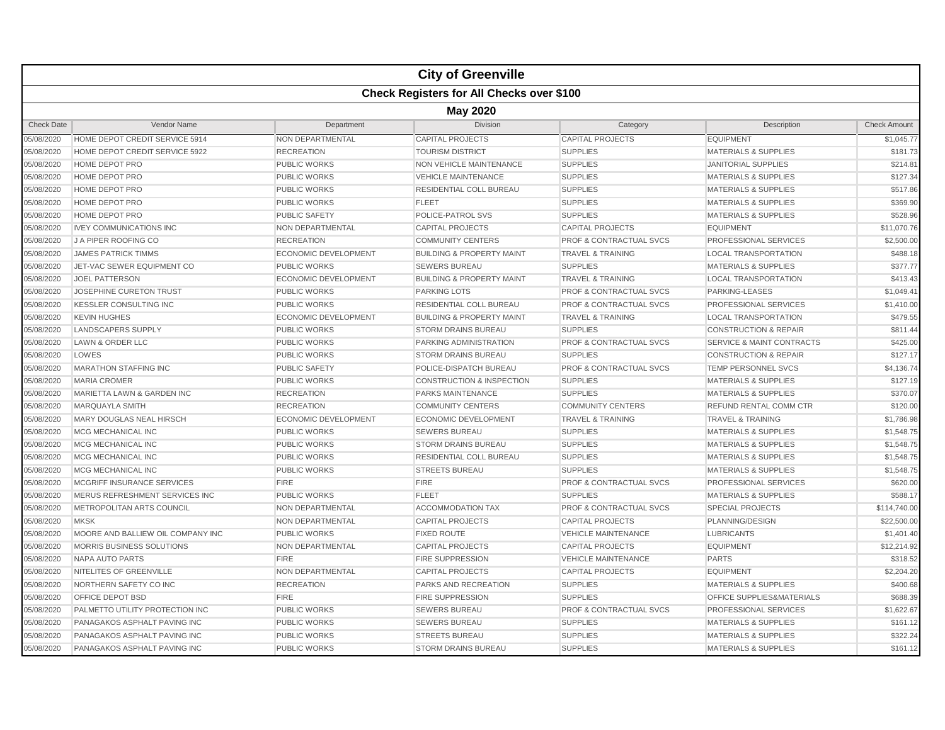|                   |                                                  |                             | <b>City of Greenville</b>            |                                    |                                      |                     |  |  |  |
|-------------------|--------------------------------------------------|-----------------------------|--------------------------------------|------------------------------------|--------------------------------------|---------------------|--|--|--|
|                   | <b>Check Registers for All Checks over \$100</b> |                             |                                      |                                    |                                      |                     |  |  |  |
|                   | <b>May 2020</b>                                  |                             |                                      |                                    |                                      |                     |  |  |  |
| <b>Check Date</b> | Vendor Name                                      | Department                  | <b>Division</b>                      | Category                           | Description                          | <b>Check Amount</b> |  |  |  |
| 05/08/2020        | HOME DEPOT CREDIT SERVICE 5914                   | <b>NON DEPARTMENTAL</b>     | <b>CAPITAL PROJECTS</b>              | <b>CAPITAL PROJECTS</b>            | <b>EQUIPMENT</b>                     | \$1,045.77          |  |  |  |
| 05/08/2020        | HOME DEPOT CREDIT SERVICE 5922                   | <b>RECREATION</b>           | <b>TOURISM DISTRICT</b>              | <b>SUPPLIES</b>                    | <b>MATERIALS &amp; SUPPLIES</b>      | \$181.73            |  |  |  |
| 05/08/2020        | HOME DEPOT PRO                                   | <b>PUBLIC WORKS</b>         | <b>NON VEHICLE MAINTENANCE</b>       | <b>SUPPLIES</b>                    | <b>JANITORIAL SUPPLIES</b>           | \$214.81            |  |  |  |
| 05/08/2020        | HOME DEPOT PRO                                   | <b>PUBLIC WORKS</b>         | <b>VEHICLE MAINTENANCE</b>           | <b>SUPPLIES</b>                    | <b>MATERIALS &amp; SUPPLIES</b>      | \$127.34            |  |  |  |
| 05/08/2020        | <b>HOME DEPOT PRO</b>                            | PUBLIC WORKS                | RESIDENTIAL COLL BUREAU              | <b>SUPPLIES</b>                    | <b>MATERIALS &amp; SUPPLIES</b>      | \$517.86            |  |  |  |
| 05/08/2020        | HOME DEPOT PRO                                   | <b>PUBLIC WORKS</b>         | <b>FLEET</b>                         | <b>SUPPLIES</b>                    | <b>MATERIALS &amp; SUPPLIES</b>      | \$369.90            |  |  |  |
| 05/08/2020        | <b>HOME DEPOT PRO</b>                            | <b>PUBLIC SAFETY</b>        | POLICE-PATROL SVS                    | <b>SUPPLIES</b>                    | <b>MATERIALS &amp; SUPPLIES</b>      | \$528.96            |  |  |  |
| 05/08/2020        | <b>IVEY COMMUNICATIONS INC</b>                   | NON DEPARTMENTAL            | <b>CAPITAL PROJECTS</b>              | <b>CAPITAL PROJECTS</b>            | <b>EQUIPMENT</b>                     | \$11,070.76         |  |  |  |
| 05/08/2020        | J A PIPER ROOFING CO                             | <b>RECREATION</b>           | <b>COMMUNITY CENTERS</b>             | <b>PROF &amp; CONTRACTUAL SVCS</b> | <b>PROFESSIONAL SERVICES</b>         | \$2,500.00          |  |  |  |
| 05/08/2020        | <b>JAMES PATRICK TIMMS</b>                       | <b>ECONOMIC DEVELOPMENT</b> | <b>BUILDING &amp; PROPERTY MAINT</b> | <b>TRAVEL &amp; TRAINING</b>       | <b>LOCAL TRANSPORTATION</b>          | \$488.18            |  |  |  |
| 05/08/2020        | JET-VAC SEWER EQUIPMENT CO                       | <b>PUBLIC WORKS</b>         | <b>SEWERS BUREAU</b>                 | <b>SUPPLIES</b>                    | <b>MATERIALS &amp; SUPPLIES</b>      | \$377.77            |  |  |  |
| 05/08/2020        | <b>JOEL PATTERSON</b>                            | <b>ECONOMIC DEVELOPMENT</b> | <b>BUILDING &amp; PROPERTY MAINT</b> | <b>TRAVEL &amp; TRAINING</b>       | <b>LOCAL TRANSPORTATION</b>          | \$413.43            |  |  |  |
| 05/08/2020        | JOSEPHINE CURETON TRUST                          | <b>PUBLIC WORKS</b>         | <b>PARKING LOTS</b>                  | <b>PROF &amp; CONTRACTUAL SVCS</b> | PARKING-LEASES                       | \$1,049.41          |  |  |  |
| 05/08/2020        | <b>KESSLER CONSULTING INC</b>                    | <b>PUBLIC WORKS</b>         | <b>RESIDENTIAL COLL BUREAU</b>       | <b>PROF &amp; CONTRACTUAL SVCS</b> | <b>PROFESSIONAL SERVICES</b>         | \$1,410.00          |  |  |  |
| 05/08/2020        | <b>KEVIN HUGHES</b>                              | <b>ECONOMIC DEVELOPMENT</b> | <b>BUILDING &amp; PROPERTY MAINT</b> | <b>TRAVEL &amp; TRAINING</b>       | <b>LOCAL TRANSPORTATION</b>          | \$479.55            |  |  |  |
| 05/08/2020        | <b>LANDSCAPERS SUPPLY</b>                        | <b>PUBLIC WORKS</b>         | <b>STORM DRAINS BUREAU</b>           | <b>SUPPLIES</b>                    | <b>CONSTRUCTION &amp; REPAIR</b>     | \$811.44            |  |  |  |
| 05/08/2020        | <b>LAWN &amp; ORDER LLC</b>                      | <b>PUBLIC WORKS</b>         | PARKING ADMINISTRATION               | <b>PROF &amp; CONTRACTUAL SVCS</b> | <b>SERVICE &amp; MAINT CONTRACTS</b> | \$425.00            |  |  |  |
| 05/08/2020        | LOWES                                            | <b>PUBLIC WORKS</b>         | <b>STORM DRAINS BUREAU</b>           | <b>SUPPLIES</b>                    | <b>CONSTRUCTION &amp; REPAIR</b>     | \$127.17            |  |  |  |
| 05/08/2020        | MARATHON STAFFING INC                            | <b>PUBLIC SAFETY</b>        | POLICE-DISPATCH BUREAU               | <b>PROF &amp; CONTRACTUAL SVCS</b> | TEMP PERSONNEL SVCS                  | \$4,136.74          |  |  |  |
| 05/08/2020        | <b>MARIA CROMER</b>                              | <b>PUBLIC WORKS</b>         | CONSTRUCTION & INSPECTION            | <b>SUPPLIES</b>                    | <b>MATERIALS &amp; SUPPLIES</b>      | \$127.19            |  |  |  |
| 05/08/2020        | MARIETTA LAWN & GARDEN INC                       | <b>RECREATION</b>           | <b>PARKS MAINTENANCE</b>             | <b>SUPPLIES</b>                    | <b>MATERIALS &amp; SUPPLIES</b>      | \$370.07            |  |  |  |
| 05/08/2020        | <b>MARQUAYLA SMITH</b>                           | <b>RECREATION</b>           | <b>COMMUNITY CENTERS</b>             | <b>COMMUNITY CENTERS</b>           | REFUND RENTAL COMM CTR               | \$120.00            |  |  |  |
| 05/08/2020        | MARY DOUGLAS NEAL HIRSCH                         | <b>ECONOMIC DEVELOPMENT</b> | <b>ECONOMIC DEVELOPMENT</b>          | <b>TRAVEL &amp; TRAINING</b>       | <b>TRAVEL &amp; TRAINING</b>         | \$1,786.98          |  |  |  |
| 05/08/2020        | <b>MCG MECHANICAL INC</b>                        | <b>PUBLIC WORKS</b>         | <b>SEWERS BUREAU</b>                 | <b>SUPPLIES</b>                    | <b>MATERIALS &amp; SUPPLIES</b>      | \$1,548.75          |  |  |  |
| 05/08/2020        | MCG MECHANICAL INC                               | <b>PUBLIC WORKS</b>         | <b>STORM DRAINS BUREAU</b>           | <b>SUPPLIES</b>                    | <b>MATERIALS &amp; SUPPLIES</b>      | \$1,548.75          |  |  |  |
| 05/08/2020        | MCG MECHANICAL INC                               | <b>PUBLIC WORKS</b>         | RESIDENTIAL COLL BUREAU              | <b>SUPPLIES</b>                    | <b>MATERIALS &amp; SUPPLIES</b>      | \$1,548.75          |  |  |  |
| 05/08/2020        | <b>MCG MECHANICAL INC</b>                        | <b>PUBLIC WORKS</b>         | <b>STREETS BUREAU</b>                | <b>SUPPLIES</b>                    | <b>MATERIALS &amp; SUPPLIES</b>      | \$1,548.75          |  |  |  |
| 05/08/2020        | MCGRIFF INSURANCE SERVICES                       | <b>FIRE</b>                 | <b>FIRE</b>                          | <b>PROF &amp; CONTRACTUAL SVCS</b> | <b>PROFESSIONAL SERVICES</b>         | \$620.00            |  |  |  |
| 05/08/2020        | MERUS REFRESHMENT SERVICES INC                   | <b>PUBLIC WORKS</b>         | <b>FLEET</b>                         | <b>SUPPLIES</b>                    | <b>MATERIALS &amp; SUPPLIES</b>      | \$588.17            |  |  |  |
| 05/08/2020        | METROPOLITAN ARTS COUNCIL                        | NON DEPARTMENTAL            | <b>ACCOMMODATION TAX</b>             | PROF & CONTRACTUAL SVCS            | <b>SPECIAL PROJECTS</b>              | \$114,740.00        |  |  |  |
| 05/08/2020        | <b>MKSK</b>                                      | NON DEPARTMENTAL            | <b>CAPITAL PROJECTS</b>              | <b>CAPITAL PROJECTS</b>            | PLANNING/DESIGN                      | \$22,500.00         |  |  |  |
| 05/08/2020        | MOORE AND BALLIEW OIL COMPANY INC                | <b>PUBLIC WORKS</b>         | <b>FIXED ROUTE</b>                   | <b>VEHICLE MAINTENANCE</b>         | <b>LUBRICANTS</b>                    | \$1,401.40          |  |  |  |
| 05/08/2020        | MORRIS BUSINESS SOLUTIONS                        | NON DEPARTMENTAL            | <b>CAPITAL PROJECTS</b>              | <b>CAPITAL PROJECTS</b>            | <b>EQUIPMENT</b>                     | \$12,214.92         |  |  |  |
| 05/08/2020        | NAPA AUTO PARTS                                  | FIRE                        | <b>FIRE SUPPRESSION</b>              | <b>VEHICLE MAINTENANCE</b>         | <b>PARTS</b>                         | \$318.52            |  |  |  |
| 05/08/2020        | NITELITES OF GREENVILLE                          | NON DEPARTMENTAL            | <b>CAPITAL PROJECTS</b>              | <b>CAPITAL PROJECTS</b>            | <b>EQUIPMENT</b>                     | \$2,204.20          |  |  |  |
| 05/08/2020        | NORTHERN SAFETY CO INC                           | <b>RECREATION</b>           | <b>PARKS AND RECREATION</b>          | <b>SUPPLIES</b>                    | <b>MATERIALS &amp; SUPPLIES</b>      | \$400.68            |  |  |  |
| 05/08/2020        | OFFICE DEPOT BSD                                 | <b>FIRE</b>                 | <b>FIRE SUPPRESSION</b>              | <b>SUPPLIES</b>                    | OFFICE SUPPLIES&MATERIALS            | \$688.39            |  |  |  |
| 05/08/2020        | PALMETTO UTILITY PROTECTION INC                  | <b>PUBLIC WORKS</b>         | <b>SEWERS BUREAU</b>                 | PROF & CONTRACTUAL SVCS            | PROFESSIONAL SERVICES                | \$1,622.67          |  |  |  |
| 05/08/2020        | PANAGAKOS ASPHALT PAVING INC                     | <b>PUBLIC WORKS</b>         | <b>SEWERS BUREAU</b>                 | <b>SUPPLIES</b>                    | <b>MATERIALS &amp; SUPPLIES</b>      | \$161.12            |  |  |  |
| 05/08/2020        | PANAGAKOS ASPHALT PAVING INC                     | <b>PUBLIC WORKS</b>         | <b>STREETS BUREAU</b>                | <b>SUPPLIES</b>                    | <b>MATERIALS &amp; SUPPLIES</b>      | \$322.24            |  |  |  |
| 05/08/2020        | PANAGAKOS ASPHALT PAVING INC                     | <b>PUBLIC WORKS</b>         | <b>STORM DRAINS BUREAU</b>           | <b>SUPPLIES</b>                    | <b>MATERIALS &amp; SUPPLIES</b>      | \$161.12            |  |  |  |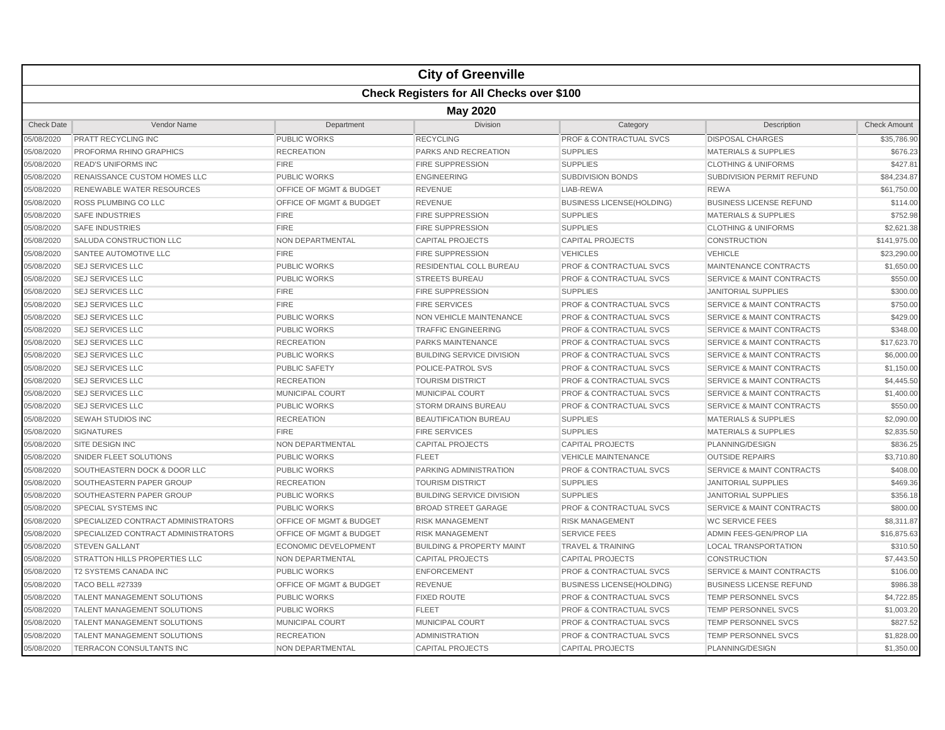|                   |                                                  |                                    | <b>City of Greenville</b>            |                                    |                                      |                     |  |  |  |
|-------------------|--------------------------------------------------|------------------------------------|--------------------------------------|------------------------------------|--------------------------------------|---------------------|--|--|--|
|                   | <b>Check Registers for All Checks over \$100</b> |                                    |                                      |                                    |                                      |                     |  |  |  |
|                   | <b>May 2020</b>                                  |                                    |                                      |                                    |                                      |                     |  |  |  |
| <b>Check Date</b> | Vendor Name                                      | Department                         | Division                             | Category                           | Description                          | <b>Check Amount</b> |  |  |  |
| 05/08/2020        | PRATT RECYCLING INC                              | <b>PUBLIC WORKS</b>                | <b>RECYCLING</b>                     | <b>PROF &amp; CONTRACTUAL SVCS</b> | <b>DISPOSAL CHARGES</b>              | \$35,786.90         |  |  |  |
| 05/08/2020        | PROFORMA RHINO GRAPHICS                          | <b>RECREATION</b>                  | <b>PARKS AND RECREATION</b>          | <b>SUPPLIES</b>                    | <b>MATERIALS &amp; SUPPLIES</b>      | \$676.23            |  |  |  |
| 05/08/2020        | <b>READ'S UNIFORMS INC</b>                       | <b>FIRE</b>                        | <b>FIRE SUPPRESSION</b>              | <b>SUPPLIES</b>                    | <b>CLOTHING &amp; UNIFORMS</b>       | \$427.81            |  |  |  |
| 05/08/2020        | RENAISSANCE CUSTOM HOMES LLC                     | <b>PUBLIC WORKS</b>                | <b>ENGINEERING</b>                   | <b>SUBDIVISION BONDS</b>           | SUBDIVISION PERMIT REFUND            | \$84,234.87         |  |  |  |
| 05/08/2020        | RENEWABLE WATER RESOURCES                        | OFFICE OF MGMT & BUDGET            | <b>REVENUE</b>                       | LIAB-REWA                          | <b>REWA</b>                          | \$61,750.00         |  |  |  |
| 05/08/2020        | ROSS PLUMBING CO LLC                             | OFFICE OF MGMT & BUDGET            | <b>REVENUE</b>                       | <b>BUSINESS LICENSE(HOLDING)</b>   | <b>BUSINESS LICENSE REFUND</b>       | \$114.00            |  |  |  |
| 05/08/2020        | <b>SAFE INDUSTRIES</b>                           | <b>FIRE</b>                        | <b>FIRE SUPPRESSION</b>              | <b>SUPPLIES</b>                    | <b>MATERIALS &amp; SUPPLIES</b>      | \$752.98            |  |  |  |
| 05/08/2020        | <b>SAFE INDUSTRIES</b>                           | <b>FIRE</b>                        | <b>FIRE SUPPRESSION</b>              | <b>SUPPLIES</b>                    | <b>CLOTHING &amp; UNIFORMS</b>       | \$2,621.38          |  |  |  |
| 05/08/2020        | SALUDA CONSTRUCTION LLC                          | <b>NON DEPARTMENTAL</b>            | <b>CAPITAL PROJECTS</b>              | <b>CAPITAL PROJECTS</b>            | <b>CONSTRUCTION</b>                  | \$141.975.00        |  |  |  |
| 05/08/2020        | SANTEE AUTOMOTIVE LLC                            | <b>FIRE</b>                        | <b>FIRE SUPPRESSION</b>              | <b>VEHICLES</b>                    | <b>VEHICLE</b>                       | \$23,290.00         |  |  |  |
| 05/08/2020        | <b>SEJ SERVICES LLC</b>                          | <b>PUBLIC WORKS</b>                | <b>RESIDENTIAL COLL BUREAU</b>       | <b>PROF &amp; CONTRACTUAL SVCS</b> | MAINTENANCE CONTRACTS                | \$1,650.00          |  |  |  |
| 05/08/2020        | <b>SEJ SERVICES LLC</b>                          | <b>PUBLIC WORKS</b>                | <b>STREETS BUREAU</b>                | <b>PROF &amp; CONTRACTUAL SVCS</b> | <b>SERVICE &amp; MAINT CONTRACTS</b> | \$550.00            |  |  |  |
| 05/08/2020        | <b>SEJ SERVICES LLC</b>                          | <b>FIRE</b>                        | <b>FIRE SUPPRESSION</b>              | <b>SUPPLIES</b>                    | <b>JANITORIAL SUPPLIES</b>           | \$300.00            |  |  |  |
| 05/08/2020        | <b>SEJ SERVICES LLC</b>                          | <b>FIRE</b>                        | <b>FIRE SERVICES</b>                 | <b>PROF &amp; CONTRACTUAL SVCS</b> | <b>SERVICE &amp; MAINT CONTRACTS</b> | \$750.00            |  |  |  |
| 05/08/2020        | <b>SEJ SERVICES LLC</b>                          | <b>PUBLIC WORKS</b>                | <b>NON VEHICLE MAINTENANCE</b>       | <b>PROF &amp; CONTRACTUAL SVCS</b> | <b>SERVICE &amp; MAINT CONTRACTS</b> | \$429.00            |  |  |  |
| 05/08/2020        | <b>SEJ SERVICES LLC</b>                          | <b>PUBLIC WORKS</b>                | <b>TRAFFIC ENGINEERING</b>           | <b>PROF &amp; CONTRACTUAL SVCS</b> | <b>SERVICE &amp; MAINT CONTRACTS</b> | \$348.00            |  |  |  |
| 05/08/2020        | <b>SEJ SERVICES LLC</b>                          | <b>RECREATION</b>                  | <b>PARKS MAINTENANCE</b>             | <b>PROF &amp; CONTRACTUAL SVCS</b> | <b>SERVICE &amp; MAINT CONTRACTS</b> | \$17,623.70         |  |  |  |
| 05/08/2020        | <b>SEJ SERVICES LLC</b>                          | <b>PUBLIC WORKS</b>                | <b>BUILDING SERVICE DIVISION</b>     | <b>PROF &amp; CONTRACTUAL SVCS</b> | <b>SERVICE &amp; MAINT CONTRACTS</b> | \$6,000.00          |  |  |  |
| 05/08/2020        | <b>SEJ SERVICES LLC</b>                          | <b>PUBLIC SAFETY</b>               | POLICE-PATROL SVS                    | <b>PROF &amp; CONTRACTUAL SVCS</b> | <b>SERVICE &amp; MAINT CONTRACTS</b> | \$1,150.00          |  |  |  |
| 05/08/2020        | <b>SEJ SERVICES LLC</b>                          | <b>RECREATION</b>                  | <b>TOURISM DISTRICT</b>              | <b>PROF &amp; CONTRACTUAL SVCS</b> | <b>SERVICE &amp; MAINT CONTRACTS</b> | \$4,445.50          |  |  |  |
| 05/08/2020        | <b>SEJ SERVICES LLC</b>                          | <b>MUNICIPAL COURT</b>             | MUNICIPAL COURT                      | <b>PROF &amp; CONTRACTUAL SVCS</b> | <b>SERVICE &amp; MAINT CONTRACTS</b> | \$1,400.00          |  |  |  |
| 05/08/2020        | <b>SEJ SERVICES LLC</b>                          | <b>PUBLIC WORKS</b>                | <b>STORM DRAINS BUREAU</b>           | <b>PROF &amp; CONTRACTUAL SVCS</b> | <b>SERVICE &amp; MAINT CONTRACTS</b> | \$550.00            |  |  |  |
| 05/08/2020        | SEWAH STUDIOS INC                                | <b>RECREATION</b>                  | <b>BEAUTIFICATION BUREAU</b>         | <b>SUPPLIES</b>                    | <b>MATERIALS &amp; SUPPLIES</b>      | \$2,090.00          |  |  |  |
| 05/08/2020        | <b>SIGNATURES</b>                                | <b>FIRE</b>                        | <b>FIRE SERVICES</b>                 | <b>SUPPLIES</b>                    | <b>MATERIALS &amp; SUPPLIES</b>      | \$2,835.50          |  |  |  |
| 05/08/2020        | <b>SITE DESIGN INC</b>                           | NON DEPARTMENTAL                   | <b>CAPITAL PROJECTS</b>              | <b>CAPITAL PROJECTS</b>            | PLANNING/DESIGN                      | \$836.25            |  |  |  |
| 05/08/2020        | SNIDER FLEET SOLUTIONS                           | <b>PUBLIC WORKS</b>                | <b>FLEET</b>                         | <b>VEHICLE MAINTENANCE</b>         | <b>OUTSIDE REPAIRS</b>               | \$3,710.80          |  |  |  |
| 05/08/2020        | SOUTHEASTERN DOCK & DOOR LLC                     | <b>PUBLIC WORKS</b>                | PARKING ADMINISTRATION               | <b>PROF &amp; CONTRACTUAL SVCS</b> | <b>SERVICE &amp; MAINT CONTRACTS</b> | \$408.00            |  |  |  |
| 05/08/2020        | SOUTHEASTERN PAPER GROUP                         | <b>RECREATION</b>                  | <b>TOURISM DISTRICT</b>              | <b>SUPPLIES</b>                    | <b>JANITORIAL SUPPLIES</b>           | \$469.36            |  |  |  |
| 05/08/2020        | SOUTHEASTERN PAPER GROUP                         | <b>PUBLIC WORKS</b>                | <b>BUILDING SERVICE DIVISION</b>     | <b>SUPPLIES</b>                    | <b>JANITORIAL SUPPLIES</b>           | \$356.18            |  |  |  |
| 05/08/2020        | <b>SPECIAL SYSTEMS INC</b>                       | <b>PUBLIC WORKS</b>                | <b>BROAD STREET GARAGE</b>           | <b>PROF &amp; CONTRACTUAL SVCS</b> | <b>SERVICE &amp; MAINT CONTRACTS</b> | \$800.00            |  |  |  |
| 05/08/2020        | SPECIALIZED CONTRACT ADMINISTRATORS              | OFFICE OF MGMT & BUDGET            | <b>RISK MANAGEMENT</b>               | <b>RISK MANAGEMENT</b>             | <b>WC SERVICE FEES</b>               | \$8,311.87          |  |  |  |
| 05/08/2020        | SPECIALIZED CONTRACT ADMINISTRATORS              | <b>OFFICE OF MGMT &amp; BUDGET</b> | <b>RISK MANAGEMENT</b>               | <b>SERVICE FEES</b>                | <b>ADMIN FEES-GEN/PROP LIA</b>       | \$16,875.63         |  |  |  |
| 05/08/2020        | <b>STEVEN GALLANT</b>                            | ECONOMIC DEVELOPMENT               | <b>BUILDING &amp; PROPERTY MAINT</b> | <b>TRAVEL &amp; TRAINING</b>       | <b>LOCAL TRANSPORTATION</b>          | \$310.50            |  |  |  |
| 05/08/2020        | <b>STRATTON HILLS PROPERTIES LLC</b>             | NON DEPARTMENTAL                   | <b>CAPITAL PROJECTS</b>              | <b>CAPITAL PROJECTS</b>            | <b>CONSTRUCTION</b>                  | \$7,443.50          |  |  |  |
| 05/08/2020        | <b>T2 SYSTEMS CANADA INC</b>                     | <b>PUBLIC WORKS</b>                | <b>ENFORCEMENT</b>                   | <b>PROF &amp; CONTRACTUAL SVCS</b> | <b>SERVICE &amp; MAINT CONTRACTS</b> | \$106.00            |  |  |  |
| 05/08/2020        | <b>TACO BELL #27339</b>                          | OFFICE OF MGMT & BUDGET            | <b>REVENUE</b>                       | <b>BUSINESS LICENSE(HOLDING)</b>   | <b>BUSINESS LICENSE REFUND</b>       | \$986.38            |  |  |  |
| 05/08/2020        | TALENT MANAGEMENT SOLUTIONS                      | <b>PUBLIC WORKS</b>                | <b>FIXED ROUTE</b>                   | <b>PROF &amp; CONTRACTUAL SVCS</b> | <b>TEMP PERSONNEL SVCS</b>           | \$4,722.85          |  |  |  |
| 05/08/2020        | <b>TALENT MANAGEMENT SOLUTIONS</b>               | <b>PUBLIC WORKS</b>                | <b>FLEET</b>                         | <b>PROF &amp; CONTRACTUAL SVCS</b> | TEMP PERSONNEL SVCS                  | \$1,003.20          |  |  |  |
| 05/08/2020        | <b>TALENT MANAGEMENT SOLUTIONS</b>               | MUNICIPAL COURT                    | <b>MUNICIPAL COURT</b>               | <b>PROF &amp; CONTRACTUAL SVCS</b> | <b>TEMP PERSONNEL SVCS</b>           | \$827.52            |  |  |  |
| 05/08/2020        | <b>TALENT MANAGEMENT SOLUTIONS</b>               | <b>RECREATION</b>                  | <b>ADMINISTRATION</b>                | <b>PROF &amp; CONTRACTUAL SVCS</b> | <b>TEMP PERSONNEL SVCS</b>           | \$1,828.00          |  |  |  |
| 05/08/2020        | <b>TERRACON CONSULTANTS INC</b>                  | <b>NON DEPARTMENTAL</b>            | <b>CAPITAL PROJECTS</b>              | <b>CAPITAL PROJECTS</b>            | PLANNING/DESIGN                      | \$1,350.00          |  |  |  |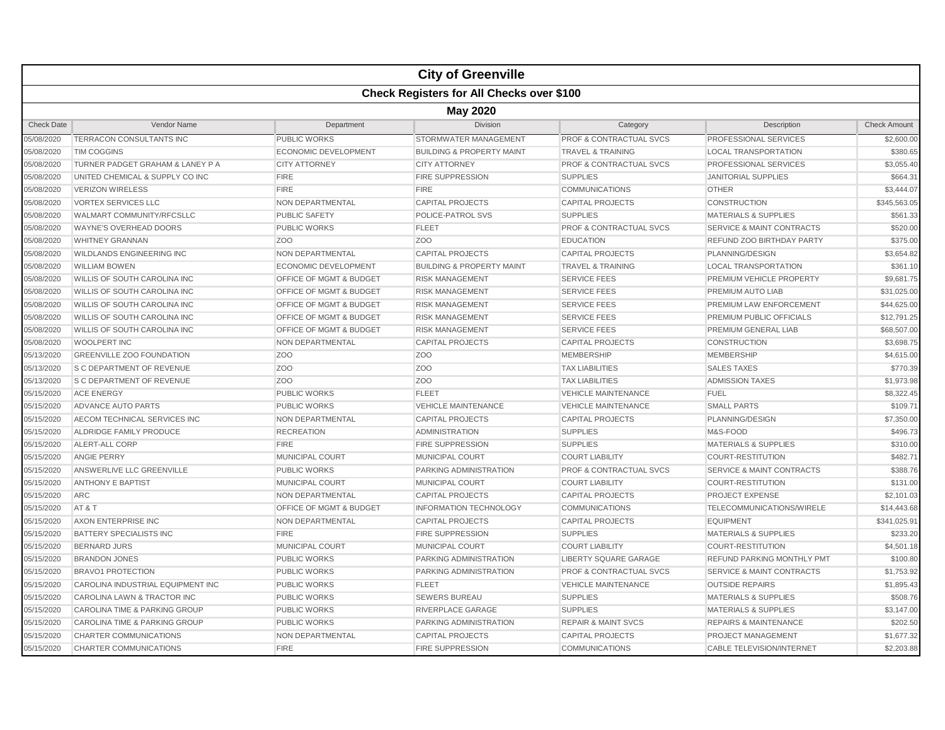|                   |                                                  |                                    | <b>City of Greenville</b>            |                                    |                                      |                     |  |  |  |
|-------------------|--------------------------------------------------|------------------------------------|--------------------------------------|------------------------------------|--------------------------------------|---------------------|--|--|--|
|                   | <b>Check Registers for All Checks over \$100</b> |                                    |                                      |                                    |                                      |                     |  |  |  |
|                   | <b>May 2020</b>                                  |                                    |                                      |                                    |                                      |                     |  |  |  |
| <b>Check Date</b> | Vendor Name                                      | Department                         | <b>Division</b>                      | Category                           | Description                          | <b>Check Amount</b> |  |  |  |
| 05/08/2020        | TERRACON CONSULTANTS INC                         | PUBLIC WORKS                       | STORMWATER MANAGEMENT                | PROF & CONTRACTUAL SVCS            | PROFESSIONAL SERVICES                | \$2,600.00          |  |  |  |
| 05/08/2020        | <b>TIM COGGINS</b>                               | ECONOMIC DEVELOPMENT               | <b>BUILDING &amp; PROPERTY MAINT</b> | <b>TRAVEL &amp; TRAINING</b>       | <b>LOCAL TRANSPORTATION</b>          | \$380.65            |  |  |  |
| 05/08/2020        | TURNER PADGET GRAHAM & LANEY P A                 | <b>CITY ATTORNEY</b>               | <b>CITY ATTORNEY</b>                 | PROF & CONTRACTUAL SVCS            | PROFESSIONAL SERVICES                | \$3,055.40          |  |  |  |
| 05/08/2020        | UNITED CHEMICAL & SUPPLY CO INC                  | <b>FIRE</b>                        | <b>FIRE SUPPRESSION</b>              | <b>SUPPLIES</b>                    | <b>JANITORIAL SUPPLIES</b>           | \$664.31            |  |  |  |
| 05/08/2020        | <b>VERIZON WIRELESS</b>                          | <b>FIRE</b>                        | <b>FIRE</b>                          | <b>COMMUNICATIONS</b>              | <b>OTHER</b>                         | \$3,444.07          |  |  |  |
| 05/08/2020        | <b>VORTEX SERVICES LLC</b>                       | <b>NON DEPARTMENTAL</b>            | <b>CAPITAL PROJECTS</b>              | <b>CAPITAL PROJECTS</b>            | <b>CONSTRUCTION</b>                  | \$345,563.05        |  |  |  |
| 05/08/2020        | WALMART COMMUNITY/RFCSLLC                        | <b>PUBLIC SAFETY</b>               | POLICE-PATROL SVS                    | <b>SUPPLIES</b>                    | <b>MATERIALS &amp; SUPPLIES</b>      | \$561.33            |  |  |  |
| 05/08/2020        | <b>WAYNE'S OVERHEAD DOORS</b>                    | <b>PUBLIC WORKS</b>                | <b>FLEET</b>                         | <b>PROF &amp; CONTRACTUAL SVCS</b> | <b>SERVICE &amp; MAINT CONTRACTS</b> | \$520.00            |  |  |  |
| 05/08/2020        | <b>WHITNEY GRANNAN</b>                           | Z <sub>OO</sub>                    | Z <sub>OO</sub>                      | <b>EDUCATION</b>                   | REFUND ZOO BIRTHDAY PARTY            | \$375.00            |  |  |  |
| 05/08/2020        | <b>WILDLANDS ENGINEERING INC</b>                 | NON DEPARTMENTAL                   | <b>CAPITAL PROJECTS</b>              | <b>CAPITAL PROJECTS</b>            | PLANNING/DESIGN                      | \$3,654.82          |  |  |  |
| 05/08/2020        | <b>WILLIAM BOWEN</b>                             | ECONOMIC DEVELOPMENT               | <b>BUILDING &amp; PROPERTY MAINT</b> | <b>TRAVEL &amp; TRAINING</b>       | <b>LOCAL TRANSPORTATION</b>          | \$361.10            |  |  |  |
| 05/08/2020        | WILLIS OF SOUTH CAROLINA INC                     | OFFICE OF MGMT & BUDGET            | <b>RISK MANAGEMENT</b>               | <b>SERVICE FEES</b>                | PREMIUM VEHICLE PROPERTY             | \$9,681.75          |  |  |  |
| 05/08/2020        | <b>WILLIS OF SOUTH CAROLINA INC</b>              | OFFICE OF MGMT & BUDGET            | <b>RISK MANAGEMENT</b>               | <b>SERVICE FEES</b>                | PREMIUM AUTO LIAB                    | \$31,025.00         |  |  |  |
| 05/08/2020        | WILLIS OF SOUTH CAROLINA INC                     | <b>OFFICE OF MGMT &amp; BUDGET</b> | <b>RISK MANAGEMENT</b>               | <b>SERVICE FEES</b>                | PREMIUM LAW ENFORCEMENT              | \$44,625.00         |  |  |  |
| 05/08/2020        | <b>WILLIS OF SOUTH CAROLINA INC</b>              | OFFICE OF MGMT & BUDGET            | <b>RISK MANAGEMENT</b>               | <b>SERVICE FEES</b>                | PREMIUM PUBLIC OFFICIALS             | \$12,791.25         |  |  |  |
| 05/08/2020        | WILLIS OF SOUTH CAROLINA INC                     | OFFICE OF MGMT & BUDGET            | <b>RISK MANAGEMENT</b>               | <b>SERVICE FEES</b>                | PREMIUM GENERAL LIAB                 | \$68,507.00         |  |  |  |
| 05/08/2020        | <b>WOOLPERT INC</b>                              | <b>NON DEPARTMENTAL</b>            | <b>CAPITAL PROJECTS</b>              | <b>CAPITAL PROJECTS</b>            | <b>CONSTRUCTION</b>                  | \$3,698.75          |  |  |  |
| 05/13/2020        | <b>GREENVILLE ZOO FOUNDATION</b>                 | ZO <sub>O</sub>                    | Z <sub>O</sub> O                     | <b>MEMBERSHIP</b>                  | <b>MEMBERSHIP</b>                    | \$4,615.00          |  |  |  |
| 05/13/2020        | S C DEPARTMENT OF REVENUE                        | ZO <sub>O</sub>                    | Z <sub>OO</sub>                      | <b>TAX LIABILITIES</b>             | <b>SALES TAXES</b>                   | \$770.39            |  |  |  |
| 05/13/2020        | <b>S C DEPARTMENT OF REVENUE</b>                 | Z <sub>O</sub> O                   | Z <sub>O</sub> O                     | <b>TAX LIABILITIES</b>             | <b>ADMISSION TAXES</b>               | \$1,973.98          |  |  |  |
| 05/15/2020        | <b>ACE ENERGY</b>                                | <b>PUBLIC WORKS</b>                | <b>FLEET</b>                         | <b>VEHICLE MAINTENANCE</b>         | <b>FUEL</b>                          | \$8,322.45          |  |  |  |
| 05/15/2020        | ADVANCE AUTO PARTS                               | <b>PUBLIC WORKS</b>                | <b>VEHICLE MAINTENANCE</b>           | <b>VEHICLE MAINTENANCE</b>         | <b>SMALL PARTS</b>                   | \$109.71            |  |  |  |
| 05/15/2020        | AECOM TECHNICAL SERVICES INC                     | <b>NON DEPARTMENTAL</b>            | <b>CAPITAL PROJECTS</b>              | <b>CAPITAL PROJECTS</b>            | PLANNING/DESIGN                      | \$7,350.00          |  |  |  |
| 05/15/2020        | ALDRIDGE FAMILY PRODUCE                          | <b>RECREATION</b>                  | <b>ADMINISTRATION</b>                | <b>SUPPLIES</b>                    | M&S-FOOD                             | \$496.73            |  |  |  |
| 05/15/2020        | <b>ALERT-ALL CORP</b>                            | <b>FIRE</b>                        | <b>FIRE SUPPRESSION</b>              | <b>SUPPLIES</b>                    | <b>MATERIALS &amp; SUPPLIES</b>      | \$310.00            |  |  |  |
| 05/15/2020        | <b>ANGIE PERRY</b>                               | <b>MUNICIPAL COURT</b>             | <b>MUNICIPAL COURT</b>               | <b>COURT LIABILITY</b>             | <b>COURT-RESTITUTION</b>             | \$482.71            |  |  |  |
| 05/15/2020        | ANSWERLIVE LLC GREENVILLE                        | <b>PUBLIC WORKS</b>                | PARKING ADMINISTRATION               | <b>PROF &amp; CONTRACTUAL SVCS</b> | <b>SERVICE &amp; MAINT CONTRACTS</b> | \$388.76            |  |  |  |
| 05/15/2020        | <b>ANTHONY E BAPTIST</b>                         | MUNICIPAL COURT                    | <b>MUNICIPAL COURT</b>               | <b>COURT LIABILITY</b>             | <b>COURT-RESTITUTION</b>             | \$131.00            |  |  |  |
| 05/15/2020        | <b>ARC</b>                                       | NON DEPARTMENTAL                   | <b>CAPITAL PROJECTS</b>              | <b>CAPITAL PROJECTS</b>            | PROJECT EXPENSE                      | \$2,101.03          |  |  |  |
| 05/15/2020        | AT&T                                             | OFFICE OF MGMT & BUDGET            | <b>INFORMATION TECHNOLOGY</b>        | <b>COMMUNICATIONS</b>              | TELECOMMUNICATIONS/WIRELE            | \$14,443.68         |  |  |  |
| 05/15/2020        | AXON ENTERPRISE INC                              | NON DEPARTMENTAL                   | <b>CAPITAL PROJECTS</b>              | <b>CAPITAL PROJECTS</b>            | <b>EQUIPMENT</b>                     | \$341,025.91        |  |  |  |
| 05/15/2020        | <b>BATTERY SPECIALISTS INC</b>                   | <b>FIRE</b>                        | <b>FIRE SUPPRESSION</b>              | <b>SUPPLIES</b>                    | <b>MATERIALS &amp; SUPPLIES</b>      | \$233.20            |  |  |  |
| 05/15/2020        | <b>BERNARD JURS</b>                              | <b>MUNICIPAL COURT</b>             | MUNICIPAL COURT                      | <b>COURT LIABILITY</b>             | <b>COURT-RESTITUTION</b>             | \$4,501.18          |  |  |  |
| 05/15/2020        | <b>BRANDON JONES</b>                             | <b>PUBLIC WORKS</b>                | PARKING ADMINISTRATION               | <b>LIBERTY SQUARE GARAGE</b>       | <b>REFUND PARKING MONTHLY PMT</b>    | \$100.80            |  |  |  |
| 05/15/2020        | <b>BRAVO1 PROTECTION</b>                         | <b>PUBLIC WORKS</b>                | <b>PARKING ADMINISTRATION</b>        | <b>PROF &amp; CONTRACTUAL SVCS</b> | <b>SERVICE &amp; MAINT CONTRACTS</b> | \$1,753.92          |  |  |  |
| 05/15/2020        | CAROLINA INDUSTRIAL EQUIPMENT INC                | <b>PUBLIC WORKS</b>                | <b>FLEET</b>                         | <b>VEHICLE MAINTENANCE</b>         | <b>OUTSIDE REPAIRS</b>               | \$1,895.43          |  |  |  |
| 05/15/2020        | CAROLINA LAWN & TRACTOR INC                      | <b>PUBLIC WORKS</b>                | <b>SEWERS BUREAU</b>                 | <b>SUPPLIES</b>                    | <b>MATERIALS &amp; SUPPLIES</b>      | \$508.76            |  |  |  |
| 05/15/2020        | CAROLINA TIME & PARKING GROUP                    | <b>PUBLIC WORKS</b>                | <b>RIVERPLACE GARAGE</b>             | <b>SUPPLIES</b>                    | <b>MATERIALS &amp; SUPPLIES</b>      | \$3,147.00          |  |  |  |
| 05/15/2020        | CAROLINA TIME & PARKING GROUP                    | <b>PUBLIC WORKS</b>                | PARKING ADMINISTRATION               | <b>REPAIR &amp; MAINT SVCS</b>     | <b>REPAIRS &amp; MAINTENANCE</b>     | \$202.50            |  |  |  |
| 05/15/2020        | <b>CHARTER COMMUNICATIONS</b>                    | <b>NON DEPARTMENTAL</b>            | <b>CAPITAL PROJECTS</b>              | <b>CAPITAL PROJECTS</b>            | <b>PROJECT MANAGEMENT</b>            | \$1,677.32          |  |  |  |
| 05/15/2020        | <b>CHARTER COMMUNICATIONS</b>                    | <b>FIRE</b>                        | <b>FIRE SUPPRESSION</b>              | <b>COMMUNICATIONS</b>              | <b>CABLE TELEVISION/INTERNET</b>     | \$2,203.88          |  |  |  |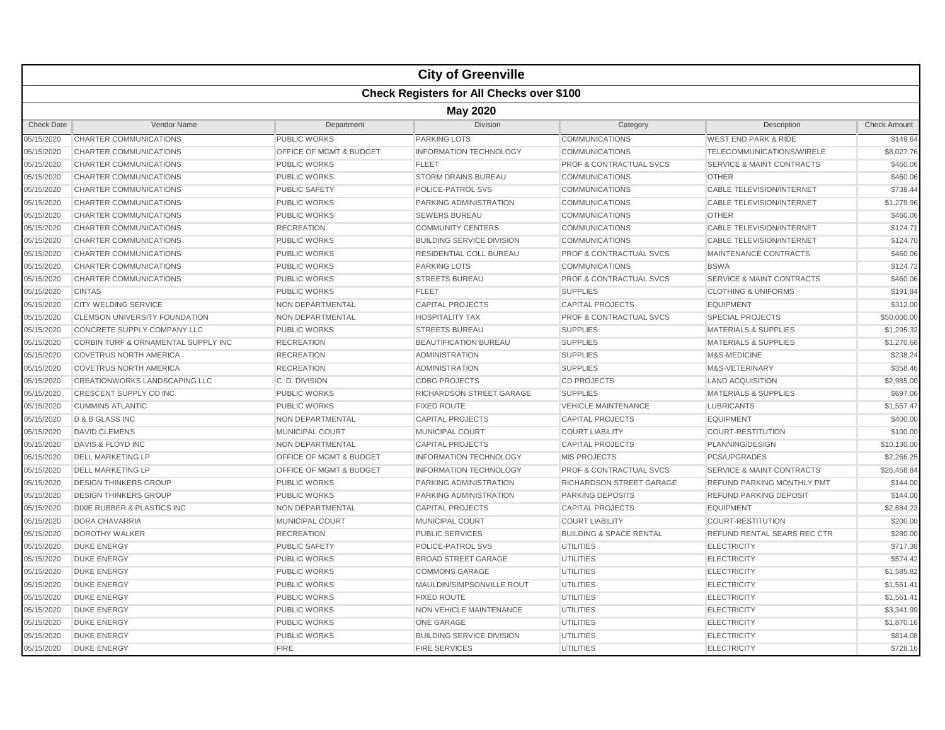|                   | <b>City of Greenville</b>                        |                         |                                  |                                    |                                      |                     |  |  |  |
|-------------------|--------------------------------------------------|-------------------------|----------------------------------|------------------------------------|--------------------------------------|---------------------|--|--|--|
|                   | <b>Check Registers for All Checks over \$100</b> |                         |                                  |                                    |                                      |                     |  |  |  |
|                   | <b>May 2020</b>                                  |                         |                                  |                                    |                                      |                     |  |  |  |
| <b>Check Date</b> | Vendor Name                                      | Department              | Division                         | Category                           | Description                          | <b>Check Amount</b> |  |  |  |
| 05/15/2020        | CHARTER COMMUNICATIONS                           | PUBLIC WORKS            | <b>PARKING LOTS</b>              | <b>COMMUNICATIONS</b>              | <b>WEST END PARK &amp; RIDE</b>      | \$149.64            |  |  |  |
| 05/15/2020        | <b>CHARTER COMMUNICATIONS</b>                    | OFFICE OF MGMT & BUDGET | <b>INFORMATION TECHNOLOGY</b>    | <b>COMMUNICATIONS</b>              | TELECOMMUNICATIONS/WIRELE            | \$8,027.76          |  |  |  |
| 05/15/2020        | <b>CHARTER COMMUNICATIONS</b>                    | <b>PUBLIC WORKS</b>     | <b>FLEET</b>                     | <b>PROF &amp; CONTRACTUAL SVCS</b> | <b>SERVICE &amp; MAINT CONTRACTS</b> | \$460.06            |  |  |  |
| 05/15/2020        | <b>CHARTER COMMUNICATIONS</b>                    | <b>PUBLIC WORKS</b>     | <b>STORM DRAINS BUREAU</b>       | <b>COMMUNICATIONS</b>              | <b>OTHER</b>                         | \$460.06            |  |  |  |
| 05/15/2020        | <b>CHARTER COMMUNICATIONS</b>                    | <b>PUBLIC SAFETY</b>    | POLICE-PATROL SVS                | <b>COMMUNICATIONS</b>              | <b>CABLE TELEVISION/INTERNET</b>     | \$738.44            |  |  |  |
| 05/15/2020        | CHARTER COMMUNICATIONS                           | <b>PUBLIC WORKS</b>     | PARKING ADMINISTRATION           | <b>COMMUNICATIONS</b>              | <b>CABLE TELEVISION/INTERNET</b>     | \$1,279.96          |  |  |  |
| 05/15/2020        | <b>CHARTER COMMUNICATIONS</b>                    | <b>PUBLIC WORKS</b>     | <b>SEWERS BUREAU</b>             | <b>COMMUNICATIONS</b>              | <b>OTHER</b>                         | \$460.06            |  |  |  |
| 05/15/2020        | <b>CHARTER COMMUNICATIONS</b>                    | <b>RECREATION</b>       | <b>COMMUNITY CENTERS</b>         | <b>COMMUNICATIONS</b>              | <b>CABLE TELEVISION/INTERNET</b>     | \$124.71            |  |  |  |
| 05/15/2020        | CHARTER COMMUNICATIONS                           | <b>PUBLIC WORKS</b>     | <b>BUILDING SERVICE DIVISION</b> | <b>COMMUNICATIONS</b>              | <b>CABLE TELEVISION/INTERNET</b>     | \$124.70            |  |  |  |
| 05/15/2020        | <b>CHARTER COMMUNICATIONS</b>                    | <b>PUBLIC WORKS</b>     | <b>RESIDENTIAL COLL BUREAU</b>   | <b>PROF &amp; CONTRACTUAL SVCS</b> | <b>MAINTENANCE CONTRACTS</b>         | \$460.06            |  |  |  |
| 05/15/2020        | CHARTER COMMUNICATIONS                           | <b>PUBLIC WORKS</b>     | <b>PARKING LOTS</b>              | <b>COMMUNICATIONS</b>              | <b>BSWA</b>                          | \$124.72            |  |  |  |
| 05/15/2020        | <b>CHARTER COMMUNICATIONS</b>                    | <b>PUBLIC WORKS</b>     | <b>STREETS BUREAU</b>            | <b>PROF &amp; CONTRACTUAL SVCS</b> | <b>SERVICE &amp; MAINT CONTRACTS</b> | \$460.06            |  |  |  |
| 05/15/2020        | <b>CINTAS</b>                                    | <b>PUBLIC WORKS</b>     | <b>FLEET</b>                     | <b>SUPPLIES</b>                    | <b>CLOTHING &amp; UNIFORMS</b>       | \$191.84            |  |  |  |
| 05/15/2020        | <b>CITY WELDING SERVICE</b>                      | NON DEPARTMENTAL        | <b>CAPITAL PROJECTS</b>          | <b>CAPITAL PROJECTS</b>            | <b>EQUIPMENT</b>                     | \$312.00            |  |  |  |
| 05/15/2020        | <b>CLEMSON UNIVERSITY FOUNDATION</b>             | <b>NON DEPARTMENTAL</b> | <b>HOSPITALITY TAX</b>           | <b>PROF &amp; CONTRACTUAL SVCS</b> | <b>SPECIAL PROJECTS</b>              | \$50,000.00         |  |  |  |
| 05/15/2020        | CONCRETE SUPPLY COMPANY LLC                      | <b>PUBLIC WORKS</b>     | <b>STREETS BUREAU</b>            | <b>SUPPLIES</b>                    | MATERIALS & SUPPLIES                 | \$1,295.32          |  |  |  |
| 05/15/2020        | <b>CORBIN TURF &amp; ORNAMENTAL SUPPLY INC</b>   | <b>RECREATION</b>       | <b>BEAUTIFICATION BUREAU</b>     | <b>SUPPLIES</b>                    | <b>MATERIALS &amp; SUPPLIES</b>      | \$1,270.68          |  |  |  |
| 05/15/2020        | <b>COVETRUS NORTH AMERICA</b>                    | <b>RECREATION</b>       | <b>ADMINISTRATION</b>            | <b>SUPPLIES</b>                    | M&S-MEDICINE                         | \$238.24            |  |  |  |
| 05/15/2020        | <b>COVETRUS NORTH AMERICA</b>                    | <b>RECREATION</b>       | <b>ADMINISTRATION</b>            | <b>SUPPLIES</b>                    | M&S-VETERINARY                       | \$358.46            |  |  |  |
| 05/15/2020        | CREATIONWORKS LANDSCAPING LLC                    | C. D. DIVISION          | <b>CDBG PROJECTS</b>             | <b>CD PROJECTS</b>                 | <b>LAND ACQUISITION</b>              | \$2,985.00          |  |  |  |
| 05/15/2020        | <b>CRESCENT SUPPLY CO INC</b>                    | <b>PUBLIC WORKS</b>     | RICHARDSON STREET GARAGE         | <b>SUPPLIES</b>                    | <b>MATERIALS &amp; SUPPLIES</b>      | \$697.06            |  |  |  |
| 05/15/2020        | <b>CUMMINS ATLANTIC</b>                          | <b>PUBLIC WORKS</b>     | <b>FIXED ROUTE</b>               | <b>VEHICLE MAINTENANCE</b>         | <b>LUBRICANTS</b>                    | \$1,557.47          |  |  |  |
| 05/15/2020        | D & B GLASS INC                                  | <b>NON DEPARTMENTAL</b> | <b>CAPITAL PROJECTS</b>          | <b>CAPITAL PROJECTS</b>            | <b>EQUIPMENT</b>                     | \$400.00            |  |  |  |
| 05/15/2020        | <b>DAVID CLEMENS</b>                             | MUNICIPAL COURT         | MUNICIPAL COURT                  | <b>COURT LIABILITY</b>             | <b>COURT-RESTITUTION</b>             | \$100.00            |  |  |  |
| 05/15/2020        | DAVIS & FLOYD INC                                | <b>NON DEPARTMENTAL</b> | <b>CAPITAL PROJECTS</b>          | <b>CAPITAL PROJECTS</b>            | PLANNING/DESIGN                      | \$10,130.00         |  |  |  |
| 05/15/2020        | <b>DELL MARKETING LP</b>                         | OFFICE OF MGMT & BUDGET | <b>INFORMATION TECHNOLOGY</b>    | <b>MIS PROJECTS</b>                | <b>PCS/UPGRADES</b>                  | \$2,266.25          |  |  |  |
| 05/15/2020        | <b>DELL MARKETING LP</b>                         | OFFICE OF MGMT & BUDGET | <b>INFORMATION TECHNOLOGY</b>    | <b>PROF &amp; CONTRACTUAL SVCS</b> | <b>SERVICE &amp; MAINT CONTRACTS</b> | \$26,458.84         |  |  |  |
| 05/15/2020        | <b>DESIGN THINKERS GROUP</b>                     | <b>PUBLIC WORKS</b>     | PARKING ADMINISTRATION           | RICHARDSON STREET GARAGE           | REFUND PARKING MONTHLY PMT           | \$144.00            |  |  |  |
| 05/15/2020        | <b>DESIGN THINKERS GROUP</b>                     | <b>PUBLIC WORKS</b>     | PARKING ADMINISTRATION           | <b>PARKING DEPOSITS</b>            | <b>REFUND PARKING DEPOSIT</b>        | \$144.00            |  |  |  |
| 05/15/2020        | DIXIE RUBBER & PLASTICS INC                      | NON DEPARTMENTAL        | <b>CAPITAL PROJECTS</b>          | <b>CAPITAL PROJECTS</b>            | <b>EQUIPMENT</b>                     | \$2,684.23          |  |  |  |
| 05/15/2020        | <b>DORA CHAVARRIA</b>                            | MUNICIPAL COURT         | MUNICIPAL COURT                  | <b>COURT LIABILITY</b>             | <b>COURT-RESTITUTION</b>             | \$200.00            |  |  |  |
| 05/15/2020        | <b>DOROTHY WALKER</b>                            | <b>RECREATION</b>       | <b>PUBLIC SERVICES</b>           | <b>BUILDING &amp; SPACE RENTAL</b> | REFUND RENTAL SEARS REC CTR          | \$280.00            |  |  |  |
| 05/15/2020        | <b>DUKE ENERGY</b>                               | <b>PUBLIC SAFETY</b>    | POLICE-PATROL SVS                | <b>UTILITIES</b>                   | <b>ELECTRICITY</b>                   | \$717.38            |  |  |  |
| 05/15/2020        | <b>DUKE ENERGY</b>                               | <b>PUBLIC WORKS</b>     | <b>BROAD STREET GARAGE</b>       | <b>UTILITIES</b>                   | <b>ELECTRICITY</b>                   | \$574.42            |  |  |  |
| 05/15/2020        | <b>DUKE ENERGY</b>                               | <b>PUBLIC WORKS</b>     | <b>COMMONS GARAGE</b>            | <b>UTILITIES</b>                   | <b>ELECTRICITY</b>                   | \$1,585.82          |  |  |  |
| 05/15/2020        | <b>DUKE ENERGY</b>                               | <b>PUBLIC WORKS</b>     | MAULDIN/SIMPSONVILLE ROUT        | <b>UTILITIES</b>                   | <b>ELECTRICITY</b>                   | \$1,561.41          |  |  |  |
| 05/15/2020        | <b>DUKE ENERGY</b>                               | <b>PUBLIC WORKS</b>     | <b>FIXED ROUTE</b>               | UTILITIES                          | <b>ELECTRICITY</b>                   | \$1,561.41          |  |  |  |
| 05/15/2020        | <b>DUKE ENERGY</b>                               | <b>PUBLIC WORKS</b>     | <b>NON VEHICLE MAINTENANCE</b>   | <b>UTILITIES</b>                   | <b>ELECTRICITY</b>                   | \$3,341.99          |  |  |  |
| 05/15/2020        | <b>DUKE ENERGY</b>                               | <b>PUBLIC WORKS</b>     | <b>ONE GARAGE</b>                | <b>UTILITIES</b>                   | <b>ELECTRICITY</b>                   | \$1,870.16          |  |  |  |
| 05/15/2020        | <b>DUKE ENERGY</b>                               | <b>PUBLIC WORKS</b>     | <b>BUILDING SERVICE DIVISION</b> | <b>UTILITIES</b>                   | <b>ELECTRICITY</b>                   | \$814.08            |  |  |  |
| 05/15/2020        | <b>DUKE ENERGY</b>                               | <b>FIRE</b>             | <b>FIRE SERVICES</b>             | <b>UTILITIES</b>                   | <b>ELECTRICITY</b>                   | \$728.16            |  |  |  |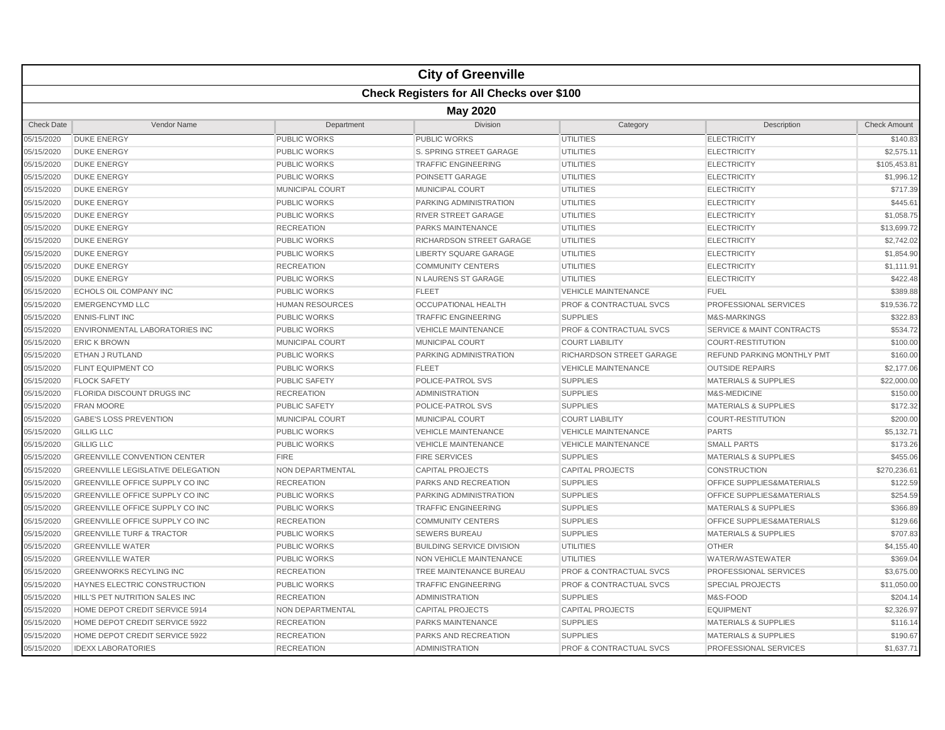|                   |                                                  |                         | <b>City of Greenville</b>        |                                    |                                      |                     |  |  |  |
|-------------------|--------------------------------------------------|-------------------------|----------------------------------|------------------------------------|--------------------------------------|---------------------|--|--|--|
|                   | <b>Check Registers for All Checks over \$100</b> |                         |                                  |                                    |                                      |                     |  |  |  |
|                   | <b>May 2020</b>                                  |                         |                                  |                                    |                                      |                     |  |  |  |
| <b>Check Date</b> | Vendor Name                                      | Department              | Division                         | Category                           | Description                          | <b>Check Amount</b> |  |  |  |
| 05/15/2020        | <b>DUKE ENERGY</b>                               | <b>PUBLIC WORKS</b>     | <b>PUBLIC WORKS</b>              | <b>UTILITIES</b>                   | <b>ELECTRICITY</b>                   | \$140.83            |  |  |  |
| 05/15/2020        | <b>DUKE ENERGY</b>                               | <b>PUBLIC WORKS</b>     | S. SPRING STREET GARAGE          | <b>UTILITIES</b>                   | <b>ELECTRICITY</b>                   | \$2.575.1'          |  |  |  |
| 05/15/2020        | <b>DUKE ENERGY</b>                               | <b>PUBLIC WORKS</b>     | <b>TRAFFIC ENGINEERING</b>       | <b>UTILITIES</b>                   | <b>ELECTRICITY</b>                   | \$105,453.81        |  |  |  |
| 05/15/2020        | <b>DUKE ENERGY</b>                               | <b>PUBLIC WORKS</b>     | POINSETT GARAGE                  | <b>UTILITIES</b>                   | <b>ELECTRICITY</b>                   | \$1,996.12          |  |  |  |
| 05/15/2020        | <b>DUKE ENERGY</b>                               | MUNICIPAL COURT         | MUNICIPAL COURT                  | <b>UTILITIES</b>                   | <b>ELECTRICITY</b>                   | \$717.39            |  |  |  |
| 05/15/2020        | <b>DUKE ENERGY</b>                               | <b>PUBLIC WORKS</b>     | <b>PARKING ADMINISTRATION</b>    | <b>UTILITIES</b>                   | <b>ELECTRICITY</b>                   | \$445.61            |  |  |  |
| 05/15/2020        | <b>DUKE ENERGY</b>                               | <b>PUBLIC WORKS</b>     | <b>RIVER STREET GARAGE</b>       | <b>UTILITIES</b>                   | <b>ELECTRICITY</b>                   | \$1,058.75          |  |  |  |
| 05/15/2020        | <b>DUKE ENERGY</b>                               | <b>RECREATION</b>       | PARKS MAINTENANCE                | <b>UTILITIES</b>                   | <b>ELECTRICITY</b>                   | \$13,699.72         |  |  |  |
| 05/15/2020        | <b>DUKE ENERGY</b>                               | <b>PUBLIC WORKS</b>     | <b>RICHARDSON STREET GARAGE</b>  | <b>UTILITIES</b>                   | <b>ELECTRICITY</b>                   | \$2,742.02          |  |  |  |
| 05/15/2020        | <b>DUKE ENERGY</b>                               | <b>PUBLIC WORKS</b>     | <b>LIBERTY SQUARE GARAGE</b>     | <b>UTILITIES</b>                   | <b>ELECTRICITY</b>                   | \$1,854.90          |  |  |  |
| 05/15/2020        | <b>DUKE ENERGY</b>                               | <b>RECREATION</b>       | <b>COMMUNITY CENTERS</b>         | <b>UTILITIES</b>                   | <b>ELECTRICITY</b>                   | \$1,111.91          |  |  |  |
| 05/15/2020        | <b>DUKE ENERGY</b>                               | <b>PUBLIC WORKS</b>     | N LAURENS ST GARAGE              | <b>UTILITIES</b>                   | <b>ELECTRICITY</b>                   | \$422.48            |  |  |  |
| 05/15/2020        | <b>ECHOLS OIL COMPANY INC</b>                    | <b>PUBLIC WORKS</b>     | <b>FLEET</b>                     | <b>VEHICLE MAINTENANCE</b>         | FUEL                                 | \$389.88            |  |  |  |
| 05/15/2020        | <b>EMERGENCYMD LLC</b>                           | <b>HUMAN RESOURCES</b>  | <b>OCCUPATIONAL HEALTH</b>       | <b>PROF &amp; CONTRACTUAL SVCS</b> | <b>PROFESSIONAL SERVICES</b>         | \$19,536.72         |  |  |  |
| 05/15/2020        | <b>ENNIS-FLINT INC</b>                           | PUBLIC WORKS            | <b>TRAFFIC ENGINEERING</b>       | <b>SUPPLIES</b>                    | M&S-MARKINGS                         | \$322.83            |  |  |  |
| 05/15/2020        | ENVIRONMENTAL LABORATORIES INC                   | <b>PUBLIC WORKS</b>     | <b>VEHICLE MAINTENANCE</b>       | <b>PROF &amp; CONTRACTUAL SVCS</b> | <b>SERVICE &amp; MAINT CONTRACTS</b> | \$534.72            |  |  |  |
| 05/15/2020        | <b>ERIC K BROWN</b>                              | MUNICIPAL COURT         | <b>MUNICIPAL COURT</b>           | <b>COURT LIABILITY</b>             | <b>COURT-RESTITUTION</b>             | \$100.00            |  |  |  |
| 05/15/2020        | <b>ETHAN J RUTLAND</b>                           | <b>PUBLIC WORKS</b>     | PARKING ADMINISTRATION           | RICHARDSON STREET GARAGE           | <b>REFUND PARKING MONTHLY PMT</b>    | \$160.00            |  |  |  |
| 05/15/2020        | <b>FLINT EQUIPMENT CO</b>                        | <b>PUBLIC WORKS</b>     | <b>FLEET</b>                     | <b>VEHICLE MAINTENANCE</b>         | <b>OUTSIDE REPAIRS</b>               | \$2,177.06          |  |  |  |
| 05/15/2020        | <b>FLOCK SAFETY</b>                              | <b>PUBLIC SAFETY</b>    | POLICE-PATROL SVS                | <b>SUPPLIES</b>                    | <b>MATERIALS &amp; SUPPLIES</b>      | \$22,000.00         |  |  |  |
| 05/15/2020        | <b>FLORIDA DISCOUNT DRUGS INC</b>                | <b>RECREATION</b>       | ADMINISTRATION                   | <b>SUPPLIES</b>                    | M&S-MEDICINE                         | \$150.00            |  |  |  |
| 05/15/2020        | <b>FRAN MOORE</b>                                | <b>PUBLIC SAFETY</b>    | POLICE-PATROL SVS                | <b>SUPPLIES</b>                    | <b>MATERIALS &amp; SUPPLIES</b>      | \$172.32            |  |  |  |
| 05/15/2020        | <b>GABE'S LOSS PREVENTION</b>                    | <b>MUNICIPAL COURT</b>  | <b>MUNICIPAL COURT</b>           | <b>COURT LIABILITY</b>             | <b>COURT-RESTITUTION</b>             | \$200.00            |  |  |  |
| 05/15/2020        | <b>GILLIG LLC</b>                                | <b>PUBLIC WORKS</b>     | <b>VEHICLE MAINTENANCE</b>       | <b>VEHICLE MAINTENANCE</b>         | <b>PARTS</b>                         | \$5.132.71          |  |  |  |
| 05/15/2020        | <b>GILLIG LLC</b>                                | <b>PUBLIC WORKS</b>     | <b>VEHICLE MAINTENANCE</b>       | <b>VEHICLE MAINTENANCE</b>         | <b>SMALL PARTS</b>                   | \$173.26            |  |  |  |
| 05/15/2020        | <b>GREENVILLE CONVENTION CENTER</b>              | <b>FIRE</b>             | <b>FIRE SERVICES</b>             | <b>SUPPLIES</b>                    | <b>MATERIALS &amp; SUPPLIES</b>      | \$455.06            |  |  |  |
| 05/15/2020        | <b>GREENVILLE LEGISLATIVE DELEGATION</b>         | <b>NON DEPARTMENTAL</b> | <b>CAPITAL PROJECTS</b>          | <b>CAPITAL PROJECTS</b>            | <b>CONSTRUCTION</b>                  | \$270,236.61        |  |  |  |
| 05/15/2020        | GREENVILLE OFFICE SUPPLY CO INC                  | <b>RECREATION</b>       | PARKS AND RECREATION             | <b>SUPPLIES</b>                    | OFFICE SUPPLIES&MATERIALS            | \$122.59            |  |  |  |
| 05/15/2020        | GREENVILLE OFFICE SUPPLY CO INC                  | <b>PUBLIC WORKS</b>     | PARKING ADMINISTRATION           | <b>SUPPLIES</b>                    | OFFICE SUPPLIES&MATERIALS            | \$254.59            |  |  |  |
| 05/15/2020        | GREENVILLE OFFICE SUPPLY CO INC                  | <b>PUBLIC WORKS</b>     | <b>TRAFFIC ENGINEERING</b>       | <b>SUPPLIES</b>                    | <b>MATERIALS &amp; SUPPLIES</b>      | \$366.89            |  |  |  |
| 05/15/2020        | GREENVILLE OFFICE SUPPLY CO INC                  | <b>RECREATION</b>       | <b>COMMUNITY CENTERS</b>         | <b>SUPPLIES</b>                    | <b>OFFICE SUPPLIES&amp;MATERIALS</b> | \$129.66            |  |  |  |
| 05/15/2020        | <b>GREENVILLE TURF &amp; TRACTOR</b>             | <b>PUBLIC WORKS</b>     | <b>SEWERS BUREAU</b>             | <b>SUPPLIES</b>                    | <b>MATERIALS &amp; SUPPLIES</b>      | \$707.83            |  |  |  |
| 05/15/2020        | <b>GREENVILLE WATER</b>                          | <b>PUBLIC WORKS</b>     | <b>BUILDING SERVICE DIVISION</b> | <b>UTILITIES</b>                   | <b>OTHER</b>                         | \$4,155.40          |  |  |  |
| 05/15/2020        | <b>GREENVILLE WATER</b>                          | <b>PUBLIC WORKS</b>     | NON VEHICLE MAINTENANCE          | <b>UTILITIES</b>                   | <b>WATER/WASTEWATER</b>              | \$369.04            |  |  |  |
| 05/15/2020        | <b>GREENWORKS RECYLING INC</b>                   | <b>RECREATION</b>       | TREE MAINTENANCE BUREAU          | PROF & CONTRACTUAL SVCS            | PROFESSIONAL SERVICES                | \$3,675.00          |  |  |  |
| 05/15/2020        | HAYNES ELECTRIC CONSTRUCTION                     | <b>PUBLIC WORKS</b>     | <b>TRAFFIC ENGINEERING</b>       | <b>PROF &amp; CONTRACTUAL SVCS</b> | <b>SPECIAL PROJECTS</b>              | \$11,050.00         |  |  |  |
| 05/15/2020        | HILL'S PET NUTRITION SALES INC                   | <b>RECREATION</b>       | <b>ADMINISTRATION</b>            | <b>SUPPLIES</b>                    | M&S-FOOD                             | \$204.14            |  |  |  |
| 05/15/2020        | HOME DEPOT CREDIT SERVICE 5914                   | NON DEPARTMENTAL        | <b>CAPITAL PROJECTS</b>          | <b>CAPITAL PROJECTS</b>            | EQUIPMENT                            | \$2,326.97          |  |  |  |
| 05/15/2020        | HOME DEPOT CREDIT SERVICE 5922                   | <b>RECREATION</b>       | <b>PARKS MAINTENANCE</b>         | <b>SUPPLIES</b>                    | <b>MATERIALS &amp; SUPPLIES</b>      | \$116.14            |  |  |  |
| 05/15/2020        | HOME DEPOT CREDIT SERVICE 5922                   | <b>RECREATION</b>       | PARKS AND RECREATION             | <b>SUPPLIES</b>                    | <b>MATERIALS &amp; SUPPLIES</b>      | \$190.67            |  |  |  |
| 05/15/2020        | <b>IDEXX LABORATORIES</b>                        | <b>RECREATION</b>       | <b>ADMINISTRATION</b>            | <b>PROF &amp; CONTRACTUAL SVCS</b> | <b>PROFESSIONAL SERVICES</b>         | \$1,637.71          |  |  |  |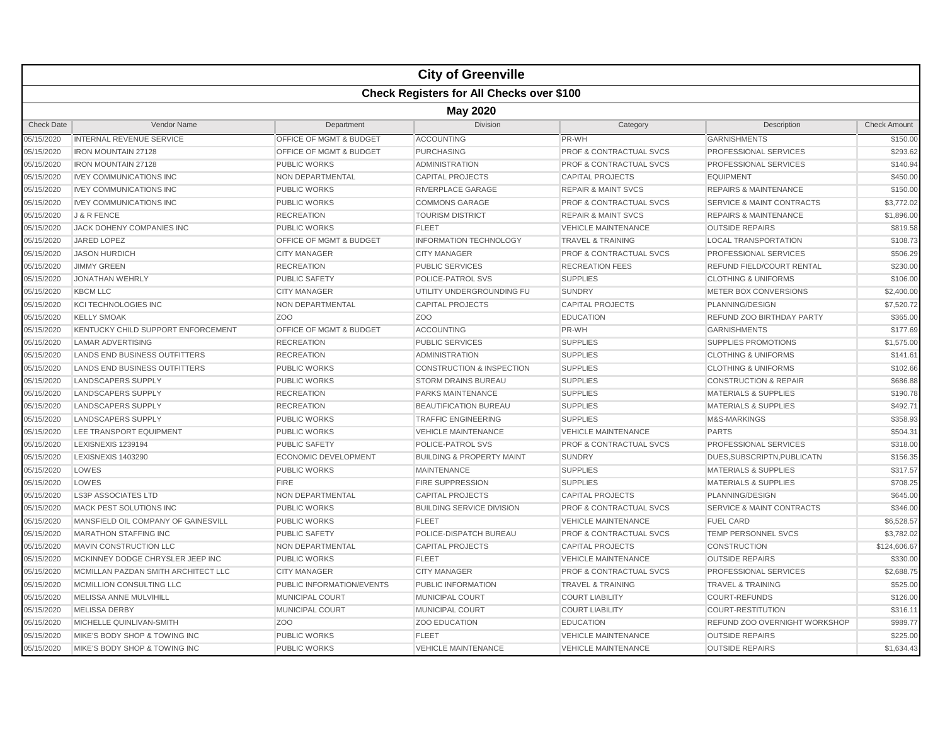|                   |                                                  |                                    | <b>City of Greenville</b>            |                                    |                                      |                     |  |  |  |
|-------------------|--------------------------------------------------|------------------------------------|--------------------------------------|------------------------------------|--------------------------------------|---------------------|--|--|--|
|                   | <b>Check Registers for All Checks over \$100</b> |                                    |                                      |                                    |                                      |                     |  |  |  |
|                   | <b>May 2020</b>                                  |                                    |                                      |                                    |                                      |                     |  |  |  |
| <b>Check Date</b> | Vendor Name                                      | Department                         | <b>Division</b>                      | Category                           | Description                          | <b>Check Amount</b> |  |  |  |
| 05/15/2020        | <b>INTERNAL REVENUE SERVICE</b>                  | <b>OFFICE OF MGMT &amp; BUDGET</b> | <b>ACCOUNTING</b>                    | PR-WH                              | <b>GARNISHMENTS</b>                  | \$150.00            |  |  |  |
| 05/15/2020        | <b>IRON MOUNTAIN 27128</b>                       | <b>OFFICE OF MGMT &amp; BUDGET</b> | <b>PURCHASING</b>                    | <b>PROF &amp; CONTRACTUAL SVCS</b> | PROFESSIONAL SERVICES                | \$293.62            |  |  |  |
| 05/15/2020        | <b>IRON MOUNTAIN 27128</b>                       | PUBLIC WORKS                       | <b>ADMINISTRATION</b>                | <b>PROF &amp; CONTRACTUAL SVCS</b> | PROFESSIONAL SERVICES                | \$140.94            |  |  |  |
| 05/15/2020        | <b>IVEY COMMUNICATIONS INC</b>                   | NON DEPARTMENTAL                   | <b>CAPITAL PROJECTS</b>              | <b>CAPITAL PROJECTS</b>            | <b>EQUIPMENT</b>                     | \$450.00            |  |  |  |
| 05/15/2020        | <b>IVEY COMMUNICATIONS INC</b>                   | <b>PUBLIC WORKS</b>                | RIVERPLACE GARAGE                    | <b>REPAIR &amp; MAINT SVCS</b>     | <b>REPAIRS &amp; MAINTENANCE</b>     | \$150.00            |  |  |  |
| 05/15/2020        | <b>IVEY COMMUNICATIONS INC</b>                   | <b>PUBLIC WORKS</b>                | <b>COMMONS GARAGE</b>                | <b>PROF &amp; CONTRACTUAL SVCS</b> | <b>SERVICE &amp; MAINT CONTRACTS</b> | \$3,772.02          |  |  |  |
| 05/15/2020        | J & R FENCE                                      | <b>RECREATION</b>                  | <b>TOURISM DISTRICT</b>              | <b>REPAIR &amp; MAINT SVCS</b>     | <b>REPAIRS &amp; MAINTENANCE</b>     | \$1,896.00          |  |  |  |
| 05/15/2020        | JACK DOHENY COMPANIES INC                        | <b>PUBLIC WORKS</b>                | <b>FLEET</b>                         | <b>VEHICLE MAINTENANCE</b>         | <b>OUTSIDE REPAIRS</b>               | \$819.58            |  |  |  |
| 05/15/2020        | <b>JARED LOPEZ</b>                               | <b>OFFICE OF MGMT &amp; BUDGET</b> | <b>INFORMATION TECHNOLOGY</b>        | <b>TRAVEL &amp; TRAINING</b>       | <b>LOCAL TRANSPORTATION</b>          | \$108.73            |  |  |  |
| 05/15/2020        | <b>JASON HURDICH</b>                             | <b>CITY MANAGER</b>                | <b>CITY MANAGER</b>                  | <b>PROF &amp; CONTRACTUAL SVCS</b> | PROFESSIONAL SERVICES                | \$506.29            |  |  |  |
| 05/15/2020        | <b>JIMMY GREEN</b>                               | <b>RECREATION</b>                  | <b>PUBLIC SERVICES</b>               | <b>RECREATION FEES</b>             | REFUND FIELD/COURT RENTAL            | \$230.00            |  |  |  |
| 05/15/2020        | <b>JONATHAN WEHRLY</b>                           | <b>PUBLIC SAFETY</b>               | POLICE-PATROL SVS                    | <b>SUPPLIES</b>                    | <b>CLOTHING &amp; UNIFORMS</b>       | \$106.00            |  |  |  |
| 05/15/2020        | <b>KBCM LLC</b>                                  | <b>CITY MANAGER</b>                | UTILITY UNDERGROUNDING FU            | <b>SUNDRY</b>                      | METER BOX CONVERSIONS                | \$2,400.00          |  |  |  |
| 05/15/2020        | <b>KCI TECHNOLOGIES INC</b>                      | NON DEPARTMENTAL                   | <b>CAPITAL PROJECTS</b>              | <b>CAPITAL PROJECTS</b>            | PLANNING/DESIGN                      | \$7,520.72          |  |  |  |
| 05/15/2020        | <b>KELLY SMOAK</b>                               | Z <sub>OO</sub>                    | Z <sub>O</sub> O                     | <b>EDUCATION</b>                   | REFUND ZOO BIRTHDAY PARTY            | \$365.00            |  |  |  |
| 05/15/2020        | KENTUCKY CHILD SUPPORT ENFORCEMENT               | OFFICE OF MGMT & BUDGET            | <b>ACCOUNTING</b>                    | PR-WH                              | <b>GARNISHMENTS</b>                  | \$177.69            |  |  |  |
| 05/15/2020        | <b>LAMAR ADVERTISING</b>                         | <b>RECREATION</b>                  | <b>PUBLIC SERVICES</b>               | <b>SUPPLIES</b>                    | <b>SUPPLIES PROMOTIONS</b>           | \$1,575.00          |  |  |  |
| 05/15/2020        | <b>LANDS END BUSINESS OUTFITTERS</b>             | <b>RECREATION</b>                  | <b>ADMINISTRATION</b>                | <b>SUPPLIES</b>                    | <b>CLOTHING &amp; UNIFORMS</b>       | \$141.61            |  |  |  |
| 05/15/2020        | <b>LANDS END BUSINESS OUTFITTERS</b>             | <b>PUBLIC WORKS</b>                | <b>CONSTRUCTION &amp; INSPECTION</b> | <b>SUPPLIES</b>                    | <b>CLOTHING &amp; UNIFORMS</b>       | \$102.66            |  |  |  |
| 05/15/2020        | <b>LANDSCAPERS SUPPLY</b>                        | <b>PUBLIC WORKS</b>                | <b>STORM DRAINS BUREAU</b>           | <b>SUPPLIES</b>                    | <b>CONSTRUCTION &amp; REPAIR</b>     | \$686.88            |  |  |  |
| 05/15/2020        | <b>LANDSCAPERS SUPPLY</b>                        | <b>RECREATION</b>                  | <b>PARKS MAINTENANCE</b>             | <b>SUPPLIES</b>                    | <b>MATERIALS &amp; SUPPLIES</b>      | \$190.78            |  |  |  |
| 05/15/2020        | LANDSCAPERS SUPPLY                               | <b>RECREATION</b>                  | <b>BEAUTIFICATION BUREAU</b>         | <b>SUPPLIES</b>                    | <b>MATERIALS &amp; SUPPLIES</b>      | \$492.71            |  |  |  |
| 05/15/2020        | <b>LANDSCAPERS SUPPLY</b>                        | <b>PUBLIC WORKS</b>                | <b>TRAFFIC ENGINEERING</b>           | <b>SUPPLIES</b>                    | <b>M&amp;S-MARKINGS</b>              | \$358.93            |  |  |  |
| 05/15/2020        | LEE TRANSPORT EQUIPMENT                          | <b>PUBLIC WORKS</b>                | <b>VEHICLE MAINTENANCE</b>           | <b>VEHICLE MAINTENANCE</b>         | <b>PARTS</b>                         | \$504.31            |  |  |  |
| 05/15/2020        | LEXISNEXIS 1239194                               | <b>PUBLIC SAFETY</b>               | POLICE-PATROL SVS                    | <b>PROF &amp; CONTRACTUAL SVCS</b> | PROFESSIONAL SERVICES                | \$318.00            |  |  |  |
| 05/15/2020        | LEXISNEXIS 1403290                               | <b>ECONOMIC DEVELOPMENT</b>        | <b>BUILDING &amp; PROPERTY MAINT</b> | <b>SUNDRY</b>                      | DUES, SUBSCRIPTN, PUBLICATN          | \$156.35            |  |  |  |
| 05/15/2020        | LOWES                                            | <b>PUBLIC WORKS</b>                | <b>MAINTENANCE</b>                   | <b>SUPPLIES</b>                    | <b>MATERIALS &amp; SUPPLIES</b>      | \$317.57            |  |  |  |
| 05/15/2020        | LOWES                                            | <b>FIRE</b>                        | <b>FIRE SUPPRESSION</b>              | <b>SUPPLIES</b>                    | <b>MATERIALS &amp; SUPPLIES</b>      | \$708.25            |  |  |  |
| 05/15/2020        | <b>LS3P ASSOCIATES LTD</b>                       | NON DEPARTMENTAL                   | <b>CAPITAL PROJECTS</b>              | <b>CAPITAL PROJECTS</b>            | PLANNING/DESIGN                      | \$645.00            |  |  |  |
| 05/15/2020        | MACK PEST SOLUTIONS INC                          | <b>PUBLIC WORKS</b>                | <b>BUILDING SERVICE DIVISION</b>     | PROF & CONTRACTUAL SVCS            | <b>SERVICE &amp; MAINT CONTRACTS</b> | \$346.00            |  |  |  |
| 05/15/2020        | MANSFIELD OIL COMPANY OF GAINESVILL              | <b>PUBLIC WORKS</b>                | <b>FLEET</b>                         | <b>VEHICLE MAINTENANCE</b>         | <b>FUEL CARD</b>                     | \$6,528.57          |  |  |  |
| 05/15/2020        | <b>MARATHON STAFFING INC</b>                     | <b>PUBLIC SAFETY</b>               | POLICE-DISPATCH BUREAU               | <b>PROF &amp; CONTRACTUAL SVCS</b> | TEMP PERSONNEL SVCS                  | \$3,782.02          |  |  |  |
| 05/15/2020        | MAVIN CONSTRUCTION LLC                           | NON DEPARTMENTAL                   | <b>CAPITAL PROJECTS</b>              | <b>CAPITAL PROJECTS</b>            | <b>CONSTRUCTION</b>                  | \$124,606.67        |  |  |  |
| 05/15/2020        | MCKINNEY DODGE CHRYSLER JEEP INC                 | <b>PUBLIC WORKS</b>                | <b>FLEET</b>                         | <b>VEHICLE MAINTENANCE</b>         | <b>OUTSIDE REPAIRS</b>               | \$330.00            |  |  |  |
| 05/15/2020        | MCMILLAN PAZDAN SMITH ARCHITECT LLC              | <b>CITY MANAGER</b>                | <b>CITY MANAGER</b>                  | <b>PROF &amp; CONTRACTUAL SVCS</b> | PROFESSIONAL SERVICES                | \$2,688.75          |  |  |  |
| 05/15/2020        | MCMILLION CONSULTING LLC                         | PUBLIC INFORMATION/EVENTS          | PUBLIC INFORMATION                   | <b>TRAVEL &amp; TRAINING</b>       | <b>TRAVEL &amp; TRAINING</b>         | \$525.00            |  |  |  |
| 05/15/2020        | MELISSA ANNE MULVIHILL                           | <b>MUNICIPAL COURT</b>             | <b>MUNICIPAL COURT</b>               | <b>COURT LIABILITY</b>             | <b>COURT-REFUNDS</b>                 | \$126.00            |  |  |  |
| 05/15/2020        | <b>MELISSA DERBY</b>                             | <b>MUNICIPAL COURT</b>             | <b>MUNICIPAL COURT</b>               | <b>COURT LIABILITY</b>             | <b>COURT-RESTITUTION</b>             | \$316.11            |  |  |  |
| 05/15/2020        | MICHELLE QUINLIVAN-SMITH                         | Z <sub>O</sub> O                   | <b>ZOO EDUCATION</b>                 | <b>EDUCATION</b>                   | REFUND ZOO OVERNIGHT WORKSHOP        | \$989.77            |  |  |  |
| 05/15/2020        | MIKE'S BODY SHOP & TOWING INC                    | <b>PUBLIC WORKS</b>                | <b>FLEET</b>                         | <b>VEHICLE MAINTENANCE</b>         | <b>OUTSIDE REPAIRS</b>               | \$225.00            |  |  |  |
| 05/15/2020        | MIKE'S BODY SHOP & TOWING INC                    | <b>PUBLIC WORKS</b>                | <b>VEHICLE MAINTENANCE</b>           | <b>VEHICLE MAINTENANCE</b>         | <b>OUTSIDE REPAIRS</b>               | \$1.634.43          |  |  |  |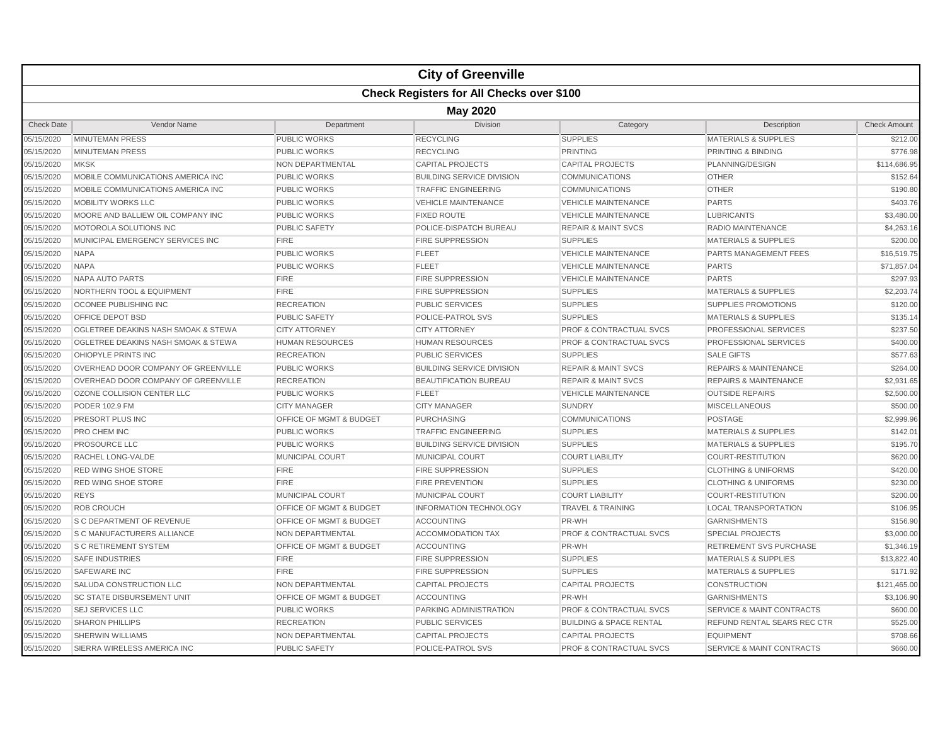|                   |                                                  |                                    | <b>City of Greenville</b>        |                                    |                                      |                     |  |  |  |  |
|-------------------|--------------------------------------------------|------------------------------------|----------------------------------|------------------------------------|--------------------------------------|---------------------|--|--|--|--|
|                   | <b>Check Registers for All Checks over \$100</b> |                                    |                                  |                                    |                                      |                     |  |  |  |  |
|                   | <b>May 2020</b>                                  |                                    |                                  |                                    |                                      |                     |  |  |  |  |
| <b>Check Date</b> | Vendor Name                                      | Department                         | <b>Division</b>                  | Category                           | Description                          | <b>Check Amount</b> |  |  |  |  |
| 05/15/2020        | <b>MINUTEMAN PRESS</b>                           | <b>PUBLIC WORKS</b>                | <b>RECYCLING</b>                 | <b>SUPPLIES</b>                    | <b>MATERIALS &amp; SUPPLIES</b>      | \$212.00            |  |  |  |  |
| 05/15/2020        | <b>MINUTEMAN PRESS</b>                           | <b>PUBLIC WORKS</b>                | <b>RECYCLING</b>                 | <b>PRINTING</b>                    | <b>PRINTING &amp; BINDING</b>        | \$776.98            |  |  |  |  |
| 05/15/2020        | <b>MKSK</b>                                      | NON DEPARTMENTAL                   | <b>CAPITAL PROJECTS</b>          | <b>CAPITAL PROJECTS</b>            | PLANNING/DESIGN                      | \$114,686.95        |  |  |  |  |
| 05/15/2020        | MOBILE COMMUNICATIONS AMERICA INC                | <b>PUBLIC WORKS</b>                | <b>BUILDING SERVICE DIVISION</b> | <b>COMMUNICATIONS</b>              | <b>OTHER</b>                         | \$152.64            |  |  |  |  |
| 05/15/2020        | MOBILE COMMUNICATIONS AMERICA INC                | PUBLIC WORKS                       | <b>TRAFFIC ENGINEERING</b>       | COMMUNICATIONS                     | <b>OTHER</b>                         | \$190.80            |  |  |  |  |
| 05/15/2020        | <b>MOBILITY WORKS LLC</b>                        | <b>PUBLIC WORKS</b>                | <b>VEHICLE MAINTENANCE</b>       | <b>VEHICLE MAINTENANCE</b>         | <b>PARTS</b>                         | \$403.76            |  |  |  |  |
| 05/15/2020        | MOORE AND BALLIEW OIL COMPANY INC                | <b>PUBLIC WORKS</b>                | <b>FIXED ROUTE</b>               | <b>VEHICLE MAINTENANCE</b>         | <b>LUBRICANTS</b>                    | \$3,480.00          |  |  |  |  |
| 05/15/2020        | MOTOROLA SOLUTIONS INC                           | <b>PUBLIC SAFETY</b>               | POLICE-DISPATCH BUREAU           | <b>REPAIR &amp; MAINT SVCS</b>     | RADIO MAINTENANCE                    | \$4,263.16          |  |  |  |  |
| 05/15/2020        | MUNICIPAL EMERGENCY SERVICES INC                 | <b>FIRE</b>                        | <b>FIRE SUPPRESSION</b>          | <b>SUPPLIES</b>                    | <b>MATERIALS &amp; SUPPLIES</b>      | \$200.00            |  |  |  |  |
| 05/15/2020        | <b>NAPA</b>                                      | <b>PUBLIC WORKS</b>                | <b>FLEET</b>                     | <b>VEHICLE MAINTENANCE</b>         | PARTS MANAGEMENT FEES                | \$16,519.75         |  |  |  |  |
| 05/15/2020        | <b>NAPA</b>                                      | <b>PUBLIC WORKS</b>                | <b>FLEET</b>                     | <b>VEHICLE MAINTENANCE</b>         | <b>PARTS</b>                         | \$71,857.04         |  |  |  |  |
| 05/15/2020        | <b>NAPA AUTO PARTS</b>                           | <b>FIRE</b>                        | <b>FIRE SUPPRESSION</b>          | <b>VEHICLE MAINTENANCE</b>         | <b>PARTS</b>                         | \$297.93            |  |  |  |  |
| 05/15/2020        | NORTHERN TOOL & EQUIPMENT                        | <b>FIRE</b>                        | <b>FIRE SUPPRESSION</b>          | <b>SUPPLIES</b>                    | <b>MATERIALS &amp; SUPPLIES</b>      | \$2,203.74          |  |  |  |  |
| 05/15/2020        | OCONEE PUBLISHING INC                            | <b>RECREATION</b>                  | <b>PUBLIC SERVICES</b>           | <b>SUPPLIES</b>                    | <b>SUPPLIES PROMOTIONS</b>           | \$120.00            |  |  |  |  |
| 05/15/2020        | OFFICE DEPOT BSD                                 | <b>PUBLIC SAFETY</b>               | <b>POLICE-PATROL SVS</b>         | <b>SUPPLIES</b>                    | <b>MATERIALS &amp; SUPPLIES</b>      | \$135.14            |  |  |  |  |
| 05/15/2020        | OGLETREE DEAKINS NASH SMOAK & STEWA              | <b>CITY ATTORNEY</b>               | <b>CITY ATTORNEY</b>             | <b>PROF &amp; CONTRACTUAL SVCS</b> | PROFESSIONAL SERVICES                | \$237.50            |  |  |  |  |
| 05/15/2020        | OGLETREE DEAKINS NASH SMOAK & STEWA              | <b>HUMAN RESOURCES</b>             | <b>HUMAN RESOURCES</b>           | PROF & CONTRACTUAL SVCS            | PROFESSIONAL SERVICES                | \$400.00            |  |  |  |  |
| 05/15/2020        | OHIOPYLE PRINTS INC                              | <b>RECREATION</b>                  | <b>PUBLIC SERVICES</b>           | <b>SUPPLIES</b>                    | <b>SALE GIFTS</b>                    | \$577.63            |  |  |  |  |
| 05/15/2020        | OVERHEAD DOOR COMPANY OF GREENVILLE              | <b>PUBLIC WORKS</b>                | <b>BUILDING SERVICE DIVISION</b> | <b>REPAIR &amp; MAINT SVCS</b>     | <b>REPAIRS &amp; MAINTENANCE</b>     | \$264.00            |  |  |  |  |
| 05/15/2020        | OVERHEAD DOOR COMPANY OF GREENVILLE              | <b>RECREATION</b>                  | <b>BEAUTIFICATION BUREAU</b>     | <b>REPAIR &amp; MAINT SVCS</b>     | <b>REPAIRS &amp; MAINTENANCE</b>     | \$2,931.65          |  |  |  |  |
| 05/15/2020        | OZONE COLLISION CENTER LLC                       | <b>PUBLIC WORKS</b>                | <b>FLEET</b>                     | <b>VEHICLE MAINTENANCE</b>         | <b>OUTSIDE REPAIRS</b>               | \$2,500.00          |  |  |  |  |
| 05/15/2020        | <b>PODER 102.9 FM</b>                            | <b>CITY MANAGER</b>                | <b>CITY MANAGER</b>              | <b>SUNDRY</b>                      | <b>MISCELLANEOUS</b>                 | \$500.00            |  |  |  |  |
| 05/15/2020        | PRESORT PLUS INC                                 | OFFICE OF MGMT & BUDGET            | <b>PURCHASING</b>                | <b>COMMUNICATIONS</b>              | <b>POSTAGE</b>                       | \$2,999.96          |  |  |  |  |
| 05/15/2020        | PRO CHEM INC                                     | <b>PUBLIC WORKS</b>                | <b>TRAFFIC ENGINEERING</b>       | <b>SUPPLIES</b>                    | <b>MATERIALS &amp; SUPPLIES</b>      | \$142.01            |  |  |  |  |
| 05/15/2020        | PROSOURCE LLC                                    | <b>PUBLIC WORKS</b>                | <b>BUILDING SERVICE DIVISION</b> | <b>SUPPLIES</b>                    | <b>MATERIALS &amp; SUPPLIES</b>      | \$195.70            |  |  |  |  |
| 05/15/2020        | RACHEL LONG-VALDE                                | <b>MUNICIPAL COURT</b>             | <b>MUNICIPAL COURT</b>           | <b>COURT LIABILITY</b>             | <b>COURT-RESTITUTION</b>             | \$620.00            |  |  |  |  |
| 05/15/2020        | <b>RED WING SHOE STORE</b>                       | <b>FIRE</b>                        | <b>FIRE SUPPRESSION</b>          | <b>SUPPLIES</b>                    | <b>CLOTHING &amp; UNIFORMS</b>       | \$420.00            |  |  |  |  |
| 05/15/2020        | <b>RED WING SHOE STORE</b>                       | <b>FIRE</b>                        | <b>FIRE PREVENTION</b>           | <b>SUPPLIES</b>                    | <b>CLOTHING &amp; UNIFORMS</b>       | \$230.00            |  |  |  |  |
| 05/15/2020        | <b>REYS</b>                                      | <b>MUNICIPAL COURT</b>             | <b>MUNICIPAL COURT</b>           | <b>COURT LIABILITY</b>             | <b>COURT-RESTITUTION</b>             | \$200.00            |  |  |  |  |
| 05/15/2020        | <b>ROB CROUCH</b>                                | <b>OFFICE OF MGMT &amp; BUDGET</b> | <b>INFORMATION TECHNOLOGY</b>    | <b>TRAVEL &amp; TRAINING</b>       | <b>LOCAL TRANSPORTATION</b>          | \$106.95            |  |  |  |  |
| 05/15/2020        | S C DEPARTMENT OF REVENUE                        | OFFICE OF MGMT & BUDGET            | <b>ACCOUNTING</b>                | PR-WH                              | <b>GARNISHMENTS</b>                  | \$156.90            |  |  |  |  |
| 05/15/2020        | <b>S C MANUFACTURERS ALLIANCE</b>                | NON DEPARTMENTAL                   | <b>ACCOMMODATION TAX</b>         | PROF & CONTRACTUAL SVCS            | <b>SPECIAL PROJECTS</b>              | \$3,000.00          |  |  |  |  |
| 05/15/2020        | <b>S C RETIREMENT SYSTEM</b>                     | OFFICE OF MGMT & BUDGET            | <b>ACCOUNTING</b>                | PR-WH                              | <b>RETIREMENT SVS PURCHASE</b>       | \$1,346.19          |  |  |  |  |
| 05/15/2020        | <b>SAFE INDUSTRIES</b>                           | FIRE                               | <b>FIRE SUPPRESSION</b>          | <b>SUPPLIES</b>                    | <b>MATERIALS &amp; SUPPLIES</b>      | \$13,822.40         |  |  |  |  |
| 05/15/2020        | <b>SAFEWARE INC</b>                              | <b>FIRE</b>                        | <b>FIRE SUPPRESSION</b>          | <b>SUPPLIES</b>                    | <b>MATERIALS &amp; SUPPLIES</b>      | \$171.92            |  |  |  |  |
| 05/15/2020        | SALUDA CONSTRUCTION LLC                          | <b>NON DEPARTMENTAL</b>            | <b>CAPITAL PROJECTS</b>          | <b>CAPITAL PROJECTS</b>            | <b>CONSTRUCTION</b>                  | \$121,465.00        |  |  |  |  |
| 05/15/2020        | <b>SC STATE DISBURSEMENT UNIT</b>                | OFFICE OF MGMT & BUDGET            | <b>ACCOUNTING</b>                | PR-WH                              | <b>GARNISHMENTS</b>                  | \$3,106.90          |  |  |  |  |
| 05/15/2020        | <b>SEJ SERVICES LLC</b>                          | <b>PUBLIC WORKS</b>                | PARKING ADMINISTRATION           | <b>PROF &amp; CONTRACTUAL SVCS</b> | <b>SERVICE &amp; MAINT CONTRACTS</b> | \$600.00            |  |  |  |  |
| 05/15/2020        | <b>SHARON PHILLIPS</b>                           | <b>RECREATION</b>                  | <b>PUBLIC SERVICES</b>           | <b>BUILDING &amp; SPACE RENTAL</b> | REFUND RENTAL SEARS REC CTR          | \$525.00            |  |  |  |  |
| 05/15/2020        | <b>SHERWIN WILLIAMS</b>                          | NON DEPARTMENTAL                   | <b>CAPITAL PROJECTS</b>          | <b>CAPITAL PROJECTS</b>            | <b>EQUIPMENT</b>                     | \$708.66            |  |  |  |  |
| 05/15/2020        | SIERRA WIRELESS AMERICA INC                      | <b>PUBLIC SAFETY</b>               | POLICE-PATROL SVS                | <b>PROF &amp; CONTRACTUAL SVCS</b> | <b>SERVICE &amp; MAINT CONTRACTS</b> | \$660.00            |  |  |  |  |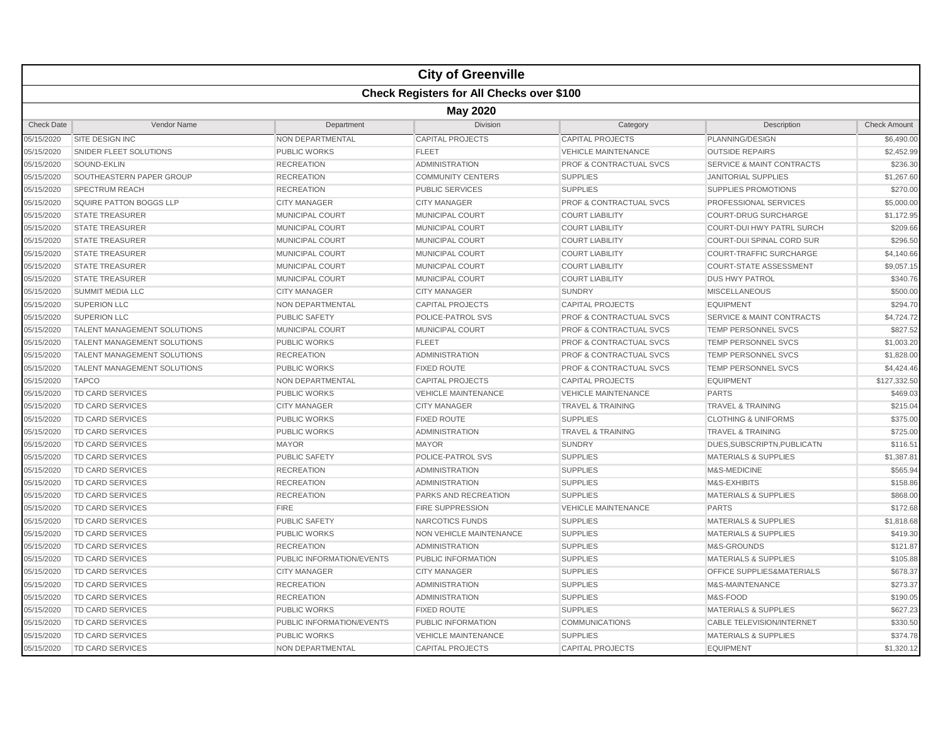|                   |                                                  |                           | <b>City of Greenville</b>      |                                    |                                      |                     |  |  |  |  |
|-------------------|--------------------------------------------------|---------------------------|--------------------------------|------------------------------------|--------------------------------------|---------------------|--|--|--|--|
|                   | <b>Check Registers for All Checks over \$100</b> |                           |                                |                                    |                                      |                     |  |  |  |  |
|                   | <b>May 2020</b>                                  |                           |                                |                                    |                                      |                     |  |  |  |  |
| <b>Check Date</b> | Vendor Name                                      | Department                | Division                       | Category                           | Description                          | <b>Check Amount</b> |  |  |  |  |
| 05/15/2020        | SITE DESIGN INC                                  | NON DEPARTMENTAL          | <b>CAPITAL PROJECTS</b>        | <b>CAPITAL PROJECTS</b>            | PLANNING/DESIGN                      | \$6,490.00          |  |  |  |  |
| 05/15/2020        | SNIDER FLEET SOLUTIONS                           | <b>PUBLIC WORKS</b>       | <b>FLEET</b>                   | <b>VEHICLE MAINTENANCE</b>         | <b>OUTSIDE REPAIRS</b>               | \$2,452.99          |  |  |  |  |
| 05/15/2020        | SOUND-EKLIN                                      | <b>RECREATION</b>         | <b>ADMINISTRATION</b>          | <b>PROF &amp; CONTRACTUAL SVCS</b> | <b>SERVICE &amp; MAINT CONTRACTS</b> | \$236.30            |  |  |  |  |
| 05/15/2020        | SOUTHEASTERN PAPER GROUP                         | <b>RECREATION</b>         | <b>COMMUNITY CENTERS</b>       | <b>SUPPLIES</b>                    | <b>JANITORIAL SUPPLIES</b>           | \$1,267.60          |  |  |  |  |
| 05/15/2020        | <b>SPECTRUM REACH</b>                            | <b>RECREATION</b>         | <b>PUBLIC SERVICES</b>         | <b>SUPPLIES</b>                    | <b>SUPPLIES PROMOTIONS</b>           | \$270.00            |  |  |  |  |
| 05/15/2020        | SQUIRE PATTON BOGGS LLP                          | <b>CITY MANAGER</b>       | <b>CITY MANAGER</b>            | <b>PROF &amp; CONTRACTUAL SVCS</b> | <b>PROFESSIONAL SERVICES</b>         | \$5,000.00          |  |  |  |  |
| 05/15/2020        | <b>STATE TREASURER</b>                           | <b>MUNICIPAL COURT</b>    | <b>MUNICIPAL COURT</b>         | <b>COURT LIABILITY</b>             | <b>COURT-DRUG SURCHARGE</b>          | \$1,172.95          |  |  |  |  |
| 05/15/2020        | <b>STATE TREASURER</b>                           | <b>MUNICIPAL COURT</b>    | <b>MUNICIPAL COURT</b>         | <b>COURT LIABILITY</b>             | <b>COURT-DUI HWY PATRL SURCH</b>     | \$209.66            |  |  |  |  |
| 05/15/2020        | <b>STATE TREASURER</b>                           | MUNICIPAL COURT           | <b>MUNICIPAL COURT</b>         | <b>COURT LIABILITY</b>             | COURT-DUI SPINAL CORD SUR            | \$296.50            |  |  |  |  |
| 05/15/2020        | <b>STATE TREASURER</b>                           | <b>MUNICIPAL COURT</b>    | <b>MUNICIPAL COURT</b>         | <b>COURT LIABILITY</b>             | <b>COURT-TRAFFIC SURCHARGE</b>       | \$4,140.66          |  |  |  |  |
| 05/15/2020        | <b>STATE TREASURER</b>                           | MUNICIPAL COURT           | MUNICIPAL COURT                | <b>COURT LIABILITY</b>             | <b>COURT-STATE ASSESSMENT</b>        | \$9,057.15          |  |  |  |  |
| 05/15/2020        | <b>STATE TREASURER</b>                           | <b>MUNICIPAL COURT</b>    | <b>MUNICIPAL COURT</b>         | <b>COURT LIABILITY</b>             | <b>DUS HWY PATROL</b>                | \$340.76            |  |  |  |  |
| 05/15/2020        | <b>SUMMIT MEDIA LLC</b>                          | <b>CITY MANAGER</b>       | <b>CITY MANAGER</b>            | <b>SUNDRY</b>                      | <b>MISCELLANEOUS</b>                 | \$500.00            |  |  |  |  |
| 05/15/2020        | <b>SUPERION LLC</b>                              | NON DEPARTMENTAL          | <b>CAPITAL PROJECTS</b>        | <b>CAPITAL PROJECTS</b>            | <b>EQUIPMENT</b>                     | \$294.70            |  |  |  |  |
| 05/15/2020        | <b>SUPERION LLC</b>                              | <b>PUBLIC SAFETY</b>      | <b>POLICE-PATROL SVS</b>       | <b>PROF &amp; CONTRACTUAL SVCS</b> | <b>SERVICE &amp; MAINT CONTRACTS</b> | \$4,724.72          |  |  |  |  |
| 05/15/2020        | <b>TALENT MANAGEMENT SOLUTIONS</b>               | MUNICIPAL COURT           | MUNICIPAL COURT                | <b>PROF &amp; CONTRACTUAL SVCS</b> | TEMP PERSONNEL SVCS                  | \$827.52            |  |  |  |  |
| 05/15/2020        | TALENT MANAGEMENT SOLUTIONS                      | <b>PUBLIC WORKS</b>       | <b>FLEET</b>                   | <b>PROF &amp; CONTRACTUAL SVCS</b> | <b>TEMP PERSONNEL SVCS</b>           | \$1,003.20          |  |  |  |  |
| 05/15/2020        | TALENT MANAGEMENT SOLUTIONS                      | <b>RECREATION</b>         | <b>ADMINISTRATION</b>          | <b>PROF &amp; CONTRACTUAL SVCS</b> | <b>TEMP PERSONNEL SVCS</b>           | \$1,828.00          |  |  |  |  |
| 05/15/2020        | <b>TALENT MANAGEMENT SOLUTIONS</b>               | <b>PUBLIC WORKS</b>       | <b>FIXED ROUTE</b>             | <b>PROF &amp; CONTRACTUAL SVCS</b> | <b>TEMP PERSONNEL SVCS</b>           | \$4,424.46          |  |  |  |  |
| 05/15/2020        | <b>TAPCO</b>                                     | <b>NON DEPARTMENTAL</b>   | <b>CAPITAL PROJECTS</b>        | <b>CAPITAL PROJECTS</b>            | <b>EQUIPMENT</b>                     | \$127,332.50        |  |  |  |  |
| 05/15/2020        | TD CARD SERVICES                                 | <b>PUBLIC WORKS</b>       | <b>VEHICLE MAINTENANCE</b>     | <b>VEHICLE MAINTENANCE</b>         | <b>PARTS</b>                         | \$469.03            |  |  |  |  |
| 05/15/2020        | TD CARD SERVICES                                 | <b>CITY MANAGER</b>       | <b>CITY MANAGER</b>            | <b>TRAVEL &amp; TRAINING</b>       | <b>TRAVEL &amp; TRAINING</b>         | \$215.04            |  |  |  |  |
| 05/15/2020        | <b>TD CARD SERVICES</b>                          | <b>PUBLIC WORKS</b>       | <b>FIXED ROUTE</b>             | <b>SUPPLIES</b>                    | <b>CLOTHING &amp; UNIFORMS</b>       | \$375.00            |  |  |  |  |
| 05/15/2020        | TD CARD SERVICES                                 | <b>PUBLIC WORKS</b>       | <b>ADMINISTRATION</b>          | <b>TRAVEL &amp; TRAINING</b>       | <b>TRAVEL &amp; TRAINING</b>         | \$725.00            |  |  |  |  |
| 05/15/2020        | TD CARD SERVICES                                 | <b>MAYOR</b>              | <b>MAYOR</b>                   | <b>SUNDRY</b>                      | DUES, SUBSCRIPTN, PUBLICATN          | \$116.51            |  |  |  |  |
| 05/15/2020        | <b>TD CARD SERVICES</b>                          | PUBLIC SAFETY             | POLICE-PATROL SVS              | <b>SUPPLIES</b>                    | MATERIALS & SUPPLIES                 | \$1,387.81          |  |  |  |  |
| 05/15/2020        | <b>TD CARD SERVICES</b>                          | <b>RECREATION</b>         | <b>ADMINISTRATION</b>          | <b>SUPPLIES</b>                    | M&S-MEDICINE                         | \$565.94            |  |  |  |  |
| 05/15/2020        | <b>TD CARD SERVICES</b>                          | <b>RECREATION</b>         | <b>ADMINISTRATION</b>          | <b>SUPPLIES</b>                    | M&S-EXHIBITS                         | \$158.86            |  |  |  |  |
| 05/15/2020        | TD CARD SERVICES                                 | <b>RECREATION</b>         | PARKS AND RECREATION           | <b>SUPPLIES</b>                    | <b>MATERIALS &amp; SUPPLIES</b>      | \$868.00            |  |  |  |  |
| 05/15/2020        | <b>TD CARD SERVICES</b>                          | <b>FIRE</b>               | <b>FIRE SUPPRESSION</b>        | <b>VEHICLE MAINTENANCE</b>         | <b>PARTS</b>                         | \$172.68            |  |  |  |  |
| 05/15/2020        | <b>TD CARD SERVICES</b>                          | <b>PUBLIC SAFETY</b>      | NARCOTICS FUNDS                | <b>SUPPLIES</b>                    | <b>MATERIALS &amp; SUPPLIES</b>      | \$1,818.68          |  |  |  |  |
| 05/15/2020        | <b>TD CARD SERVICES</b>                          | <b>PUBLIC WORKS</b>       | <b>NON VEHICLE MAINTENANCE</b> | <b>SUPPLIES</b>                    | <b>MATERIALS &amp; SUPPLIES</b>      | \$419.30            |  |  |  |  |
| 05/15/2020        | <b>TD CARD SERVICES</b>                          | <b>RECREATION</b>         | <b>ADMINISTRATION</b>          | <b>SUPPLIES</b>                    | M&S-GROUNDS                          | \$121.87            |  |  |  |  |
| 05/15/2020        | <b>TD CARD SERVICES</b>                          | PUBLIC INFORMATION/EVENTS | PUBLIC INFORMATION             | <b>SUPPLIES</b>                    | <b>MATERIALS &amp; SUPPLIES</b>      | \$105.88            |  |  |  |  |
| 05/15/2020        | TD CARD SERVICES                                 | <b>CITY MANAGER</b>       | <b>CITY MANAGER</b>            | <b>SUPPLIES</b>                    | <b>OFFICE SUPPLIES&amp;MATERIALS</b> | \$678.37            |  |  |  |  |
| 05/15/2020        | TD CARD SERVICES                                 | <b>RECREATION</b>         | <b>ADMINISTRATION</b>          | <b>SUPPLIES</b>                    | M&S-MAINTENANCE                      | \$273.37            |  |  |  |  |
| 05/15/2020        | <b>TD CARD SERVICES</b>                          | <b>RECREATION</b>         | <b>ADMINISTRATION</b>          | <b>SUPPLIES</b>                    | M&S-FOOD                             | \$190.05            |  |  |  |  |
| 05/15/2020        | <b>TD CARD SERVICES</b>                          | <b>PUBLIC WORKS</b>       | <b>FIXED ROUTE</b>             | <b>SUPPLIES</b>                    | <b>MATERIALS &amp; SUPPLIES</b>      | \$627.23            |  |  |  |  |
| 05/15/2020        | <b>TD CARD SERVICES</b>                          | PUBLIC INFORMATION/EVENTS | PUBLIC INFORMATION             | <b>COMMUNICATIONS</b>              | <b>CABLE TELEVISION/INTERNET</b>     | \$330.50            |  |  |  |  |
| 05/15/2020        | TD CARD SERVICES                                 | PUBLIC WORKS              | <b>VEHICLE MAINTENANCE</b>     | <b>SUPPLIES</b>                    | <b>MATERIALS &amp; SUPPLIES</b>      | \$374.78            |  |  |  |  |
| 05/15/2020        | <b>TD CARD SERVICES</b>                          | NON DEPARTMENTAL          | <b>CAPITAL PROJECTS</b>        | <b>CAPITAL PROJECTS</b>            | <b>EQUIPMENT</b>                     | \$1,320.12          |  |  |  |  |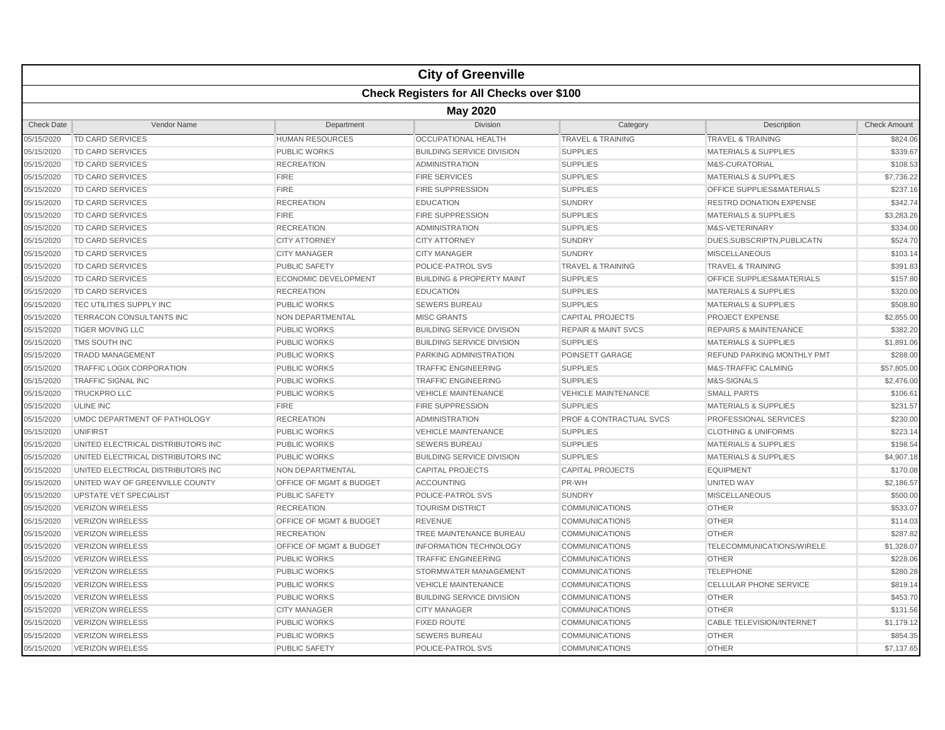|                   |                                                  |                             | <b>City of Greenville</b>            |                                |                                  |                     |  |  |  |  |
|-------------------|--------------------------------------------------|-----------------------------|--------------------------------------|--------------------------------|----------------------------------|---------------------|--|--|--|--|
|                   | <b>Check Registers for All Checks over \$100</b> |                             |                                      |                                |                                  |                     |  |  |  |  |
|                   | <b>May 2020</b>                                  |                             |                                      |                                |                                  |                     |  |  |  |  |
| <b>Check Date</b> | Vendor Name                                      | Department                  | <b>Division</b>                      | Category                       | Description                      | <b>Check Amount</b> |  |  |  |  |
| 05/15/2020        | TD CARD SERVICES                                 | <b>HUMAN RESOURCES</b>      | <b>OCCUPATIONAL HEALTH</b>           | <b>TRAVEL &amp; TRAINING</b>   | <b>TRAVEL &amp; TRAINING</b>     | \$824.06            |  |  |  |  |
| 05/15/2020        | <b>TD CARD SERVICES</b>                          | <b>PUBLIC WORKS</b>         | <b>BUILDING SERVICE DIVISION</b>     | <b>SUPPLIES</b>                | <b>MATERIALS &amp; SUPPLIES</b>  | \$339.67            |  |  |  |  |
| 05/15/2020        | TD CARD SERVICES                                 | <b>RECREATION</b>           | <b>ADMINISTRATION</b>                | <b>SUPPLIES</b>                | M&S-CURATORIAL                   | \$108.53            |  |  |  |  |
| 05/15/2020        | <b>TD CARD SERVICES</b>                          | <b>FIRE</b>                 | <b>FIRE SERVICES</b>                 | <b>SUPPLIES</b>                | <b>MATERIALS &amp; SUPPLIES</b>  | \$7,736.22          |  |  |  |  |
| 05/15/2020        | TD CARD SERVICES                                 | <b>FIRE</b>                 | <b>FIRE SUPPRESSION</b>              | <b>SUPPLIES</b>                | OFFICE SUPPLIES&MATERIALS        | \$237.16            |  |  |  |  |
| 05/15/2020        | TD CARD SERVICES                                 | <b>RECREATION</b>           | <b>EDUCATION</b>                     | <b>SUNDRY</b>                  | <b>RESTRD DONATION EXPENSE</b>   | \$342.74            |  |  |  |  |
| 05/15/2020        | <b>TD CARD SERVICES</b>                          | <b>FIRE</b>                 | <b>FIRE SUPPRESSION</b>              | <b>SUPPLIES</b>                | <b>MATERIALS &amp; SUPPLIES</b>  | \$3,283.26          |  |  |  |  |
| 05/15/2020        | <b>TD CARD SERVICES</b>                          | <b>RECREATION</b>           | ADMINISTRATION                       | <b>SUPPLIES</b>                | M&S-VETERINARY                   | \$334.00            |  |  |  |  |
| 05/15/2020        | <b>TD CARD SERVICES</b>                          | <b>CITY ATTORNEY</b>        | <b>CITY ATTORNEY</b>                 | <b>SUNDRY</b>                  | DUES.SUBSCRIPTN.PUBLICATN        | \$524.70            |  |  |  |  |
| 05/15/2020        | <b>TD CARD SERVICES</b>                          | <b>CITY MANAGER</b>         | <b>CITY MANAGER</b>                  | <b>SUNDRY</b>                  | <b>MISCELLANEOUS</b>             | \$103.14            |  |  |  |  |
| 05/15/2020        | <b>TD CARD SERVICES</b>                          | <b>PUBLIC SAFETY</b>        | POLICE-PATROL SVS                    | <b>TRAVEL &amp; TRAINING</b>   | <b>TRAVEL &amp; TRAINING</b>     | \$391.83            |  |  |  |  |
| 05/15/2020        | <b>TD CARD SERVICES</b>                          | <b>ECONOMIC DEVELOPMENT</b> | <b>BUILDING &amp; PROPERTY MAINT</b> | <b>SUPPLIES</b>                | OFFICE SUPPLIES&MATERIALS        | \$157.80            |  |  |  |  |
| 05/15/2020        | <b>TD CARD SERVICES</b>                          | <b>RECREATION</b>           | <b>EDUCATION</b>                     | <b>SUPPLIES</b>                | <b>MATERIALS &amp; SUPPLIES</b>  | \$320.00            |  |  |  |  |
| 05/15/2020        | TEC UTILITIES SUPPLY INC                         | <b>PUBLIC WORKS</b>         | <b>SEWERS BUREAU</b>                 | <b>SUPPLIES</b>                | <b>MATERIALS &amp; SUPPLIES</b>  | \$508.80            |  |  |  |  |
| 05/15/2020        | TERRACON CONSULTANTS INC                         | <b>NON DEPARTMENTAL</b>     | <b>MISC GRANTS</b>                   | <b>CAPITAL PROJECTS</b>        | PROJECT EXPENSE                  | \$2,855.00          |  |  |  |  |
| 05/15/2020        | <b>TIGER MOVING LLC</b>                          | <b>PUBLIC WORKS</b>         | <b>BUILDING SERVICE DIVISION</b>     | <b>REPAIR &amp; MAINT SVCS</b> | <b>REPAIRS &amp; MAINTENANCE</b> | \$382.20            |  |  |  |  |
| 05/15/2020        | TMS SOUTH INC                                    | <b>PUBLIC WORKS</b>         | <b>BUILDING SERVICE DIVISION</b>     | <b>SUPPLIES</b>                | <b>MATERIALS &amp; SUPPLIES</b>  | \$1,891.06          |  |  |  |  |
| 05/15/2020        | <b>TRADD MANAGEMENT</b>                          | <b>PUBLIC WORKS</b>         | PARKING ADMINISTRATION               | POINSETT GARAGE                | REFUND PARKING MONTHLY PMT       | \$288.00            |  |  |  |  |
| 05/15/2020        | <b>TRAFFIC LOGIX CORPORATION</b>                 | <b>PUBLIC WORKS</b>         | <b>TRAFFIC ENGINEERING</b>           | <b>SUPPLIES</b>                | <b>M&amp;S-TRAFFIC CALMING</b>   | \$57,805.00         |  |  |  |  |
| 05/15/2020        | <b>TRAFFIC SIGNAL INC</b>                        | <b>PUBLIC WORKS</b>         | <b>TRAFFIC ENGINEERING</b>           | <b>SUPPLIES</b>                | M&S-SIGNALS                      | \$2,476.00          |  |  |  |  |
| 05/15/2020        | <b>TRUCKPROLLC</b>                               | <b>PUBLIC WORKS</b>         | <b>VEHICLE MAINTENANCE</b>           | <b>VEHICLE MAINTENANCE</b>     | <b>SMALL PARTS</b>               | \$106.61            |  |  |  |  |
| 05/15/2020        | <b>ULINE INC</b>                                 | <b>FIRE</b>                 | <b>FIRE SUPPRESSION</b>              | <b>SUPPLIES</b>                | <b>MATERIALS &amp; SUPPLIES</b>  | \$231.57            |  |  |  |  |
| 05/15/2020        | UMDC DEPARTMENT OF PATHOLOGY                     | <b>RECREATION</b>           | <b>ADMINISTRATION</b>                | PROF & CONTRACTUAL SVCS        | PROFESSIONAL SERVICES            | \$230.00            |  |  |  |  |
| 05/15/2020        | <b>UNIFIRST</b>                                  | <b>PUBLIC WORKS</b>         | <b>VEHICLE MAINTENANCE</b>           | <b>SUPPLIES</b>                | <b>CLOTHING &amp; UNIFORMS</b>   | \$223.14            |  |  |  |  |
| 05/15/2020        | UNITED ELECTRICAL DISTRIBUTORS INC               | <b>PUBLIC WORKS</b>         | <b>SEWERS BUREAU</b>                 | <b>SUPPLIES</b>                | <b>MATERIALS &amp; SUPPLIES</b>  | \$198.54            |  |  |  |  |
| 05/15/2020        | UNITED ELECTRICAL DISTRIBUTORS INC               | <b>PUBLIC WORKS</b>         | <b>BUILDING SERVICE DIVISION</b>     | <b>SUPPLIES</b>                | <b>MATERIALS &amp; SUPPLIES</b>  | \$4,907.18          |  |  |  |  |
| 05/15/2020        | UNITED ELECTRICAL DISTRIBUTORS INC               | <b>NON DEPARTMENTAL</b>     | <b>CAPITAL PROJECTS</b>              | <b>CAPITAL PROJECTS</b>        | <b>EQUIPMENT</b>                 | \$170.08            |  |  |  |  |
| 05/15/2020        | UNITED WAY OF GREENVILLE COUNTY                  | OFFICE OF MGMT & BUDGET     | <b>ACCOUNTING</b>                    | PR-WH                          | <b>UNITED WAY</b>                | \$2,186.57          |  |  |  |  |
| 05/15/2020        | UPSTATE VET SPECIALIST                           | <b>PUBLIC SAFETY</b>        | POLICE-PATROL SVS                    | <b>SUNDRY</b>                  | <b>MISCELLANEOUS</b>             | \$500.00            |  |  |  |  |
| 05/15/2020        | <b>VERIZON WIRELESS</b>                          | <b>RECREATION</b>           | <b>TOURISM DISTRICT</b>              | <b>COMMUNICATIONS</b>          | <b>OTHER</b>                     | \$533.07            |  |  |  |  |
| 05/15/2020        | <b>VERIZON WIRELESS</b>                          | OFFICE OF MGMT & BUDGET     | <b>REVENUE</b>                       | <b>COMMUNICATIONS</b>          | <b>OTHER</b>                     | \$114.03            |  |  |  |  |
| 05/15/2020        | <b>VERIZON WIRELESS</b>                          | <b>RECREATION</b>           | TREE MAINTENANCE BUREAU              | <b>COMMUNICATIONS</b>          | <b>OTHER</b>                     | \$287.82            |  |  |  |  |
| 05/15/2020        | <b>VERIZON WIRELESS</b>                          | OFFICE OF MGMT & BUDGET     | <b>INFORMATION TECHNOLOGY</b>        | <b>COMMUNICATIONS</b>          | TELECOMMUNICATIONS/WIRELE        | \$1,328.07          |  |  |  |  |
| 05/15/2020        | <b>VERIZON WIRELESS</b>                          | <b>PUBLIC WORKS</b>         | <b>TRAFFIC ENGINEERING</b>           | <b>COMMUNICATIONS</b>          | <b>OTHER</b>                     | \$228.06            |  |  |  |  |
| 05/15/2020        | <b>VERIZON WIRELESS</b>                          | <b>PUBLIC WORKS</b>         | STORMWATER MANAGEMENT                | <b>COMMUNICATIONS</b>          | <b>TELEPHONE</b>                 | \$280.28            |  |  |  |  |
| 05/15/2020        | <b>VERIZON WIRELESS</b>                          | <b>PUBLIC WORKS</b>         | <b>VEHICLE MAINTENANCE</b>           | <b>COMMUNICATIONS</b>          | <b>CELLULAR PHONE SERVICE</b>    | \$819.14            |  |  |  |  |
| 05/15/2020        | <b>VERIZON WIRELESS</b>                          | <b>PUBLIC WORKS</b>         | <b>BUILDING SERVICE DIVISION</b>     | <b>COMMUNICATIONS</b>          | <b>OTHER</b>                     | \$453.70            |  |  |  |  |
| 05/15/2020        | <b>VERIZON WIRELESS</b>                          | <b>CITY MANAGER</b>         | <b>CITY MANAGER</b>                  | <b>COMMUNICATIONS</b>          | <b>OTHER</b>                     | \$131.56            |  |  |  |  |
| 05/15/2020        | <b>VERIZON WIRELESS</b>                          | <b>PUBLIC WORKS</b>         | <b>FIXED ROUTE</b>                   | <b>COMMUNICATIONS</b>          | <b>CABLE TELEVISION/INTERNET</b> | \$1,179.12          |  |  |  |  |
| 05/15/2020        | <b>VERIZON WIRELESS</b>                          | PUBLIC WORKS                | <b>SEWERS BUREAU</b>                 | <b>COMMUNICATIONS</b>          | <b>OTHER</b>                     | \$854.35            |  |  |  |  |
| 05/15/2020        | <b>VERIZON WIRELESS</b>                          | <b>PUBLIC SAFETY</b>        | POLICE-PATROL SVS                    | COMMUNICATIONS                 | <b>OTHER</b>                     | \$7,137.65          |  |  |  |  |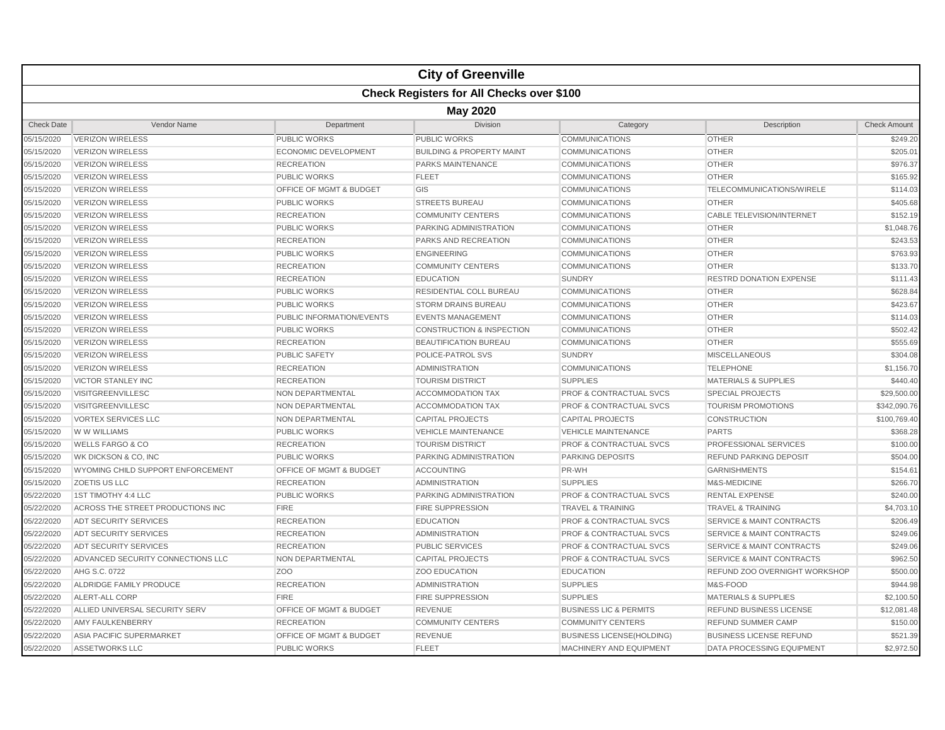|                   | <b>City of Greenville</b>                        |                                    |                                      |                                    |                                      |                     |  |  |  |
|-------------------|--------------------------------------------------|------------------------------------|--------------------------------------|------------------------------------|--------------------------------------|---------------------|--|--|--|
|                   | <b>Check Registers for All Checks over \$100</b> |                                    |                                      |                                    |                                      |                     |  |  |  |
|                   | <b>May 2020</b>                                  |                                    |                                      |                                    |                                      |                     |  |  |  |
| <b>Check Date</b> | Vendor Name                                      | Department                         | Division                             | Category                           | Description                          | <b>Check Amount</b> |  |  |  |
| 05/15/2020        | <b>VERIZON WIRELESS</b>                          | <b>PUBLIC WORKS</b>                | <b>PUBLIC WORKS</b>                  | <b>COMMUNICATIONS</b>              | <b>OTHER</b>                         | \$249.20            |  |  |  |
| 05/15/2020        | <b>VERIZON WIRELESS</b>                          | ECONOMIC DEVELOPMENT               | <b>BUILDING &amp; PROPERTY MAINT</b> | <b>COMMUNICATIONS</b>              | <b>OTHER</b>                         | \$205.01            |  |  |  |
| 05/15/2020        | <b>VERIZON WIRELESS</b>                          | <b>RECREATION</b>                  | PARKS MAINTENANCE                    | <b>COMMUNICATIONS</b>              | <b>OTHER</b>                         | \$976.37            |  |  |  |
| 05/15/2020        | <b>VERIZON WIRELESS</b>                          | <b>PUBLIC WORKS</b>                | <b>FLEET</b>                         | <b>COMMUNICATIONS</b>              | <b>OTHER</b>                         | \$165.92            |  |  |  |
| 05/15/2020        | <b>VERIZON WIRELESS</b>                          | OFFICE OF MGMT & BUDGET            | GIS                                  | <b>COMMUNICATIONS</b>              | TELECOMMUNICATIONS/WIRELE            | \$114.03            |  |  |  |
| 05/15/2020        | <b>VERIZON WIRELESS</b>                          | <b>PUBLIC WORKS</b>                | <b>STREETS BUREAU</b>                | <b>COMMUNICATIONS</b>              | <b>OTHER</b>                         | \$405.68            |  |  |  |
| 05/15/2020        | <b>VERIZON WIRELESS</b>                          | <b>RECREATION</b>                  | <b>COMMUNITY CENTERS</b>             | <b>COMMUNICATIONS</b>              | <b>CABLE TELEVISION/INTERNET</b>     | \$152.19            |  |  |  |
| 05/15/2020        | <b>VERIZON WIRELESS</b>                          | <b>PUBLIC WORKS</b>                | <b>PARKING ADMINISTRATION</b>        | <b>COMMUNICATIONS</b>              | <b>OTHER</b>                         | \$1,048.76          |  |  |  |
| 05/15/2020        | <b>VERIZON WIRELESS</b>                          | <b>RECREATION</b>                  | PARKS AND RECREATION                 | <b>COMMUNICATIONS</b>              | <b>OTHER</b>                         | \$243.53            |  |  |  |
| 05/15/2020        | <b>VERIZON WIRELESS</b>                          | <b>PUBLIC WORKS</b>                | <b>ENGINEERING</b>                   | <b>COMMUNICATIONS</b>              | <b>OTHER</b>                         | \$763.93            |  |  |  |
| 05/15/2020        | <b>VERIZON WIRELESS</b>                          | <b>RECREATION</b>                  | <b>COMMUNITY CENTERS</b>             | <b>COMMUNICATIONS</b>              | <b>OTHER</b>                         | \$133.70            |  |  |  |
| 05/15/2020        | <b>VERIZON WIRELESS</b>                          | <b>RECREATION</b>                  | <b>EDUCATION</b>                     | <b>SUNDRY</b>                      | <b>RESTRD DONATION EXPENSE</b>       | \$111.43            |  |  |  |
| 05/15/2020        | <b>VERIZON WIRELESS</b>                          | <b>PUBLIC WORKS</b>                | RESIDENTIAL COLL BUREAU              | <b>COMMUNICATIONS</b>              | <b>OTHER</b>                         | \$628.84            |  |  |  |
| 05/15/2020        | <b>VERIZON WIRELESS</b>                          | <b>PUBLIC WORKS</b>                | <b>STORM DRAINS BUREAU</b>           | <b>COMMUNICATIONS</b>              | <b>OTHER</b>                         | \$423.67            |  |  |  |
| 05/15/2020        | <b>VERIZON WIRELESS</b>                          | PUBLIC INFORMATION/EVENTS          | <b>EVENTS MANAGEMENT</b>             | <b>COMMUNICATIONS</b>              | <b>OTHER</b>                         | \$114.03            |  |  |  |
| 05/15/2020        | <b>VERIZON WIRELESS</b>                          | <b>PUBLIC WORKS</b>                | <b>CONSTRUCTION &amp; INSPECTION</b> | <b>COMMUNICATIONS</b>              | <b>OTHER</b>                         | \$502.42            |  |  |  |
| 05/15/2020        | <b>VERIZON WIRELESS</b>                          | <b>RECREATION</b>                  | <b>BEAUTIFICATION BUREAU</b>         | <b>COMMUNICATIONS</b>              | <b>OTHER</b>                         | \$555.69            |  |  |  |
| 05/15/2020        | <b>VERIZON WIRELESS</b>                          | <b>PUBLIC SAFETY</b>               | POLICE-PATROL SVS                    | <b>SUNDRY</b>                      | <b>MISCELLANEOUS</b>                 | \$304.08            |  |  |  |
| 05/15/2020        | <b>VERIZON WIRELESS</b>                          | <b>RECREATION</b>                  | <b>ADMINISTRATION</b>                | <b>COMMUNICATIONS</b>              | <b>TELEPHONE</b>                     | \$1,156.70          |  |  |  |
| 05/15/2020        | <b>VICTOR STANLEY INC</b>                        | <b>RECREATION</b>                  | <b>TOURISM DISTRICT</b>              | <b>SUPPLIES</b>                    | <b>MATERIALS &amp; SUPPLIES</b>      | \$440.40            |  |  |  |
| 05/15/2020        | <b>VISITGREENVILLESC</b>                         | NON DEPARTMENTAL                   | <b>ACCOMMODATION TAX</b>             | <b>PROF &amp; CONTRACTUAL SVCS</b> | <b>SPECIAL PROJECTS</b>              | \$29,500.00         |  |  |  |
| 05/15/2020        | <b>VISITGREENVILLESC</b>                         | NON DEPARTMENTAL                   | <b>ACCOMMODATION TAX</b>             | <b>PROF &amp; CONTRACTUAL SVCS</b> | <b>TOURISM PROMOTIONS</b>            | \$342,090.76        |  |  |  |
| 05/15/2020        | <b>VORTEX SERVICES LLC</b>                       | NON DEPARTMENTAL                   | <b>CAPITAL PROJECTS</b>              | <b>CAPITAL PROJECTS</b>            | <b>CONSTRUCTION</b>                  | \$100,769.40        |  |  |  |
| 05/15/2020        | W W WILLIAMS                                     | <b>PUBLIC WORKS</b>                | <b>VEHICLE MAINTENANCE</b>           | <b>VEHICLE MAINTENANCE</b>         | <b>PARTS</b>                         | \$368.28            |  |  |  |
| 05/15/2020        | <b>WELLS FARGO &amp; CO</b>                      | <b>RECREATION</b>                  | <b>TOURISM DISTRICT</b>              | <b>PROF &amp; CONTRACTUAL SVCS</b> | PROFESSIONAL SERVICES                | \$100.00            |  |  |  |
| 05/15/2020        | WK DICKSON & CO, INC                             | <b>PUBLIC WORKS</b>                | PARKING ADMINISTRATION               | <b>PARKING DEPOSITS</b>            | <b>REFUND PARKING DEPOSIT</b>        | \$504.00            |  |  |  |
| 05/15/2020        | WYOMING CHILD SUPPORT ENFORCEMENT                | OFFICE OF MGMT & BUDGET            | <b>ACCOUNTING</b>                    | PR-WH                              | <b>GARNISHMENTS</b>                  | \$154.61            |  |  |  |
| 05/15/2020        | <b>ZOETIS US LLC</b>                             | <b>RECREATION</b>                  | <b>ADMINISTRATION</b>                | <b>SUPPLIES</b>                    | M&S-MEDICINE                         | \$266.70            |  |  |  |
| 05/22/2020        | 1ST TIMOTHY 4:4 LLC                              | <b>PUBLIC WORKS</b>                | <b>PARKING ADMINISTRATION</b>        | <b>PROF &amp; CONTRACTUAL SVCS</b> | <b>RENTAL EXPENSE</b>                | \$240.00            |  |  |  |
| 05/22/2020        | ACROSS THE STREET PRODUCTIONS INC                | <b>FIRE</b>                        | <b>FIRE SUPPRESSION</b>              | <b>TRAVEL &amp; TRAINING</b>       | <b>TRAVEL &amp; TRAINING</b>         | \$4,703.10          |  |  |  |
| 05/22/2020        | <b>ADT SECURITY SERVICES</b>                     | <b>RECREATION</b>                  | <b>EDUCATION</b>                     | <b>PROF &amp; CONTRACTUAL SVCS</b> | <b>SERVICE &amp; MAINT CONTRACTS</b> | \$206.49            |  |  |  |
| 05/22/2020        | <b>ADT SECURITY SERVICES</b>                     | <b>RECREATION</b>                  | <b>ADMINISTRATION</b>                | <b>PROF &amp; CONTRACTUAL SVCS</b> | <b>SERVICE &amp; MAINT CONTRACTS</b> | \$249.06            |  |  |  |
| 05/22/2020        | <b>ADT SECURITY SERVICES</b>                     | <b>RECREATION</b>                  | <b>PUBLIC SERVICES</b>               | <b>PROF &amp; CONTRACTUAL SVCS</b> | <b>SERVICE &amp; MAINT CONTRACTS</b> | \$249.06            |  |  |  |
| 05/22/2020        | ADVANCED SECURITY CONNECTIONS LLC                | NON DEPARTMENTAL                   | <b>CAPITAL PROJECTS</b>              | PROF & CONTRACTUAL SVCS            | <b>SERVICE &amp; MAINT CONTRACTS</b> | \$962.50            |  |  |  |
| 05/22/2020        | AHG S.C. 0722                                    | ZO <sub>O</sub>                    | <b>ZOO EDUCATION</b>                 | <b>EDUCATION</b>                   | REFUND ZOO OVERNIGHT WORKSHOP        | \$500.00            |  |  |  |
| 05/22/2020        | ALDRIDGE FAMILY PRODUCE                          | <b>RECREATION</b>                  | <b>ADMINISTRATION</b>                | <b>SUPPLIES</b>                    | M&S-FOOD                             | \$944.98            |  |  |  |
| 05/22/2020        | ALERT-ALL CORP                                   | <b>FIRE</b>                        | <b>FIRE SUPPRESSION</b>              | <b>SUPPLIES</b>                    | <b>MATERIALS &amp; SUPPLIES</b>      | \$2,100.50          |  |  |  |
| 05/22/2020        | ALLIED UNIVERSAL SECURITY SERV                   | OFFICE OF MGMT & BUDGET            | <b>REVENUE</b>                       | <b>BUSINESS LIC &amp; PERMITS</b>  | <b>REFUND BUSINESS LICENSE</b>       | \$12,081.48         |  |  |  |
| 05/22/2020        | AMY FAULKENBERRY                                 | <b>RECREATION</b>                  | <b>COMMUNITY CENTERS</b>             | <b>COMMUNITY CENTERS</b>           | <b>REFUND SUMMER CAMP</b>            | \$150.00            |  |  |  |
| 05/22/2020        | ASIA PACIFIC SUPERMARKET                         | <b>OFFICE OF MGMT &amp; BUDGET</b> | <b>REVENUE</b>                       | <b>BUSINESS LICENSE(HOLDING)</b>   | <b>BUSINESS LICENSE REFUND</b>       | \$521.39            |  |  |  |
| 05/22/2020        | <b>ASSETWORKS LLC</b>                            | <b>PUBLIC WORKS</b>                | <b>FLEET</b>                         | <b>MACHINERY AND EQUIPMENT</b>     | <b>DATA PROCESSING EQUIPMENT</b>     | \$2,972.50          |  |  |  |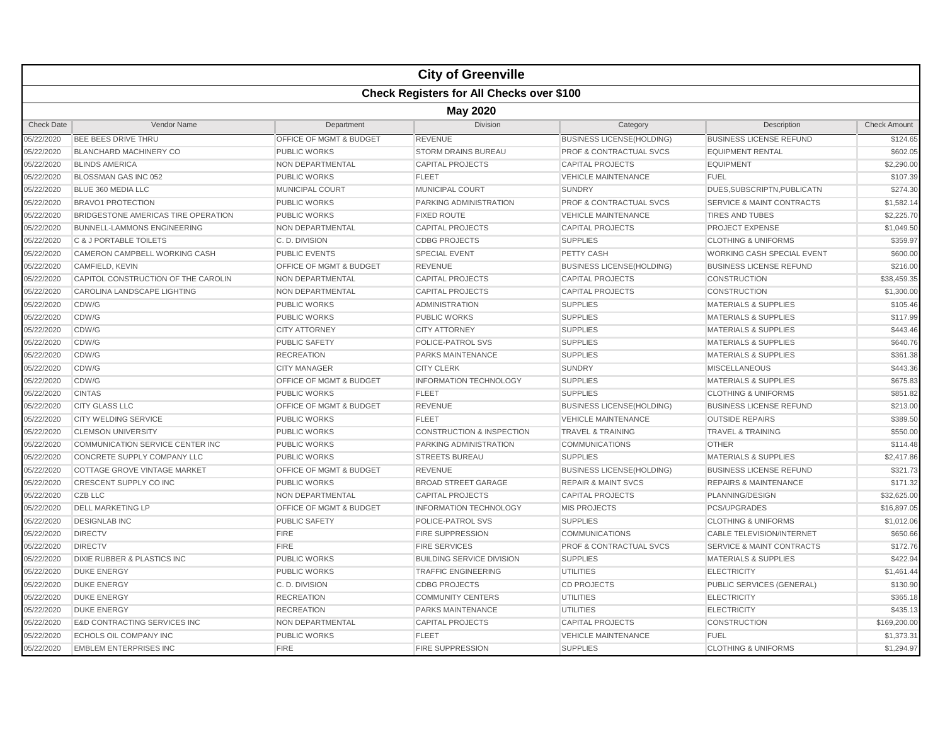|                   |                                                  |                                    | <b>City of Greenville</b>            |                                    |                                      |                     |  |  |  |  |
|-------------------|--------------------------------------------------|------------------------------------|--------------------------------------|------------------------------------|--------------------------------------|---------------------|--|--|--|--|
|                   | <b>Check Registers for All Checks over \$100</b> |                                    |                                      |                                    |                                      |                     |  |  |  |  |
|                   | <b>May 2020</b>                                  |                                    |                                      |                                    |                                      |                     |  |  |  |  |
| <b>Check Date</b> | Vendor Name                                      | Department                         | <b>Division</b>                      | Category                           | Description                          | <b>Check Amount</b> |  |  |  |  |
| 05/22/2020        | BEE BEES DRIVE THRU                              | OFFICE OF MGMT & BUDGET            | <b>REVENUE</b>                       | <b>BUSINESS LICENSE(HOLDING)</b>   | <b>BUSINESS LICENSE REFUND</b>       | \$124.65            |  |  |  |  |
| 05/22/2020        | <b>BLANCHARD MACHINERY CO</b>                    | <b>PUBLIC WORKS</b>                | <b>STORM DRAINS BUREAU</b>           | <b>PROF &amp; CONTRACTUAL SVCS</b> | <b>EQUIPMENT RENTAL</b>              | \$602.05            |  |  |  |  |
| 05/22/2020        | <b>BLINDS AMERICA</b>                            | NON DEPARTMENTAL                   | <b>CAPITAL PROJECTS</b>              | <b>CAPITAL PROJECTS</b>            | <b>EQUIPMENT</b>                     | \$2,290.00          |  |  |  |  |
| 05/22/2020        | BLOSSMAN GAS INC 052                             | <b>PUBLIC WORKS</b>                | <b>FLEET</b>                         | <b>VEHICLE MAINTENANCE</b>         | <b>FUEL</b>                          | \$107.39            |  |  |  |  |
| 05/22/2020        | BLUE 360 MEDIA LLC                               | <b>MUNICIPAL COURT</b>             | MUNICIPAL COURT                      | <b>SUNDRY</b>                      | DUES, SUBSCRIPTN, PUBLICATN          | \$274.30            |  |  |  |  |
| 05/22/2020        | <b>BRAVO1 PROTECTION</b>                         | <b>PUBLIC WORKS</b>                | PARKING ADMINISTRATION               | <b>PROF &amp; CONTRACTUAL SVCS</b> | <b>SERVICE &amp; MAINT CONTRACTS</b> | \$1,582.14          |  |  |  |  |
| 05/22/2020        | BRIDGESTONE AMERICAS TIRE OPERATION              | <b>PUBLIC WORKS</b>                | <b>FIXED ROUTE</b>                   | <b>VEHICLE MAINTENANCE</b>         | <b>TIRES AND TUBES</b>               | \$2,225.70          |  |  |  |  |
| 05/22/2020        | <b>BUNNELL-LAMMONS ENGINEERING</b>               | NON DEPARTMENTAL                   | <b>CAPITAL PROJECTS</b>              | <b>CAPITAL PROJECTS</b>            | <b>PROJECT EXPENSE</b>               | \$1,049.50          |  |  |  |  |
| 05/22/2020        | C & J PORTABLE TOILETS                           | C.D. DIVISION                      | <b>CDBG PROJECTS</b>                 | <b>SUPPLIES</b>                    | <b>CLOTHING &amp; UNIFORMS</b>       | \$359.97            |  |  |  |  |
| 05/22/2020        | <b>CAMERON CAMPBELL WORKING CASH</b>             | <b>PUBLIC EVENTS</b>               | <b>SPECIAL EVENT</b>                 | PETTY CASH                         | WORKING CASH SPECIAL EVENT           | \$600.00            |  |  |  |  |
| 05/22/2020        | <b>CAMFIELD, KEVIN</b>                           | <b>OFFICE OF MGMT &amp; BUDGET</b> | <b>REVENUE</b>                       | <b>BUSINESS LICENSE(HOLDING)</b>   | <b>BUSINESS LICENSE REFUND</b>       | \$216.00            |  |  |  |  |
| 05/22/2020        | CAPITOL CONSTRUCTION OF THE CAROLIN              | <b>NON DEPARTMENTAL</b>            | <b>CAPITAL PROJECTS</b>              | <b>CAPITAL PROJECTS</b>            | <b>CONSTRUCTION</b>                  | \$38,459.35         |  |  |  |  |
| 05/22/2020        | CAROLINA LANDSCAPE LIGHTING                      | NON DEPARTMENTAL                   | <b>CAPITAL PROJECTS</b>              | <b>CAPITAL PROJECTS</b>            | <b>CONSTRUCTION</b>                  | \$1,300.00          |  |  |  |  |
| 05/22/2020        | CDW/G                                            | <b>PUBLIC WORKS</b>                | <b>ADMINISTRATION</b>                | <b>SUPPLIES</b>                    | <b>MATERIALS &amp; SUPPLIES</b>      | \$105.46            |  |  |  |  |
| 05/22/2020        | CDW/G                                            | <b>PUBLIC WORKS</b>                | <b>PUBLIC WORKS</b>                  | <b>SUPPLIES</b>                    | <b>MATERIALS &amp; SUPPLIES</b>      | \$117.99            |  |  |  |  |
| 05/22/2020        | CDW/G                                            | <b>CITY ATTORNEY</b>               | <b>CITY ATTORNEY</b>                 | <b>SUPPLIES</b>                    | <b>MATERIALS &amp; SUPPLIES</b>      | \$443.46            |  |  |  |  |
| 05/22/2020        | CDW/G                                            | <b>PUBLIC SAFETY</b>               | POLICE-PATROL SVS                    | <b>SUPPLIES</b>                    | <b>MATERIALS &amp; SUPPLIES</b>      | \$640.76            |  |  |  |  |
| 05/22/2020        | CDW/G                                            | <b>RECREATION</b>                  | PARKS MAINTENANCE                    | <b>SUPPLIES</b>                    | <b>MATERIALS &amp; SUPPLIES</b>      | \$361.38            |  |  |  |  |
| 05/22/2020        | CDW/G                                            | <b>CITY MANAGER</b>                | <b>CITY CLERK</b>                    | <b>SUNDRY</b>                      | <b>MISCELLANEOUS</b>                 | \$443.36            |  |  |  |  |
| 05/22/2020        | CDW/G                                            | <b>OFFICE OF MGMT &amp; BUDGET</b> | <b>INFORMATION TECHNOLOGY</b>        | <b>SUPPLIES</b>                    | <b>MATERIALS &amp; SUPPLIES</b>      | \$675.83            |  |  |  |  |
| 05/22/2020        | <b>CINTAS</b>                                    | <b>PUBLIC WORKS</b>                | <b>FLEET</b>                         | <b>SUPPLIES</b>                    | <b>CLOTHING &amp; UNIFORMS</b>       | \$851.82            |  |  |  |  |
| 05/22/2020        | <b>CITY GLASS LLC</b>                            | <b>OFFICE OF MGMT &amp; BUDGET</b> | <b>REVENUE</b>                       | <b>BUSINESS LICENSE(HOLDING)</b>   | <b>BUSINESS LICENSE REFUND</b>       | \$213.00            |  |  |  |  |
| 05/22/2020        | <b>CITY WELDING SERVICE</b>                      | <b>PUBLIC WORKS</b>                | <b>FLEET</b>                         | <b>VEHICLE MAINTENANCE</b>         | <b>OUTSIDE REPAIRS</b>               | \$389.50            |  |  |  |  |
| 05/22/2020        | <b>CLEMSON UNIVERSITY</b>                        | <b>PUBLIC WORKS</b>                | <b>CONSTRUCTION &amp; INSPECTION</b> | <b>TRAVEL &amp; TRAINING</b>       | <b>TRAVEL &amp; TRAINING</b>         | \$550.00            |  |  |  |  |
| 05/22/2020        | <b>COMMUNICATION SERVICE CENTER INC</b>          | <b>PUBLIC WORKS</b>                | PARKING ADMINISTRATION               | <b>COMMUNICATIONS</b>              | <b>OTHER</b>                         | \$114.48            |  |  |  |  |
| 05/22/2020        | CONCRETE SUPPLY COMPANY LLC                      | <b>PUBLIC WORKS</b>                | <b>STREETS BUREAU</b>                | <b>SUPPLIES</b>                    | <b>MATERIALS &amp; SUPPLIES</b>      | \$2,417.86          |  |  |  |  |
| 05/22/2020        | COTTAGE GROVE VINTAGE MARKET                     | OFFICE OF MGMT & BUDGET            | <b>REVENUE</b>                       | <b>BUSINESS LICENSE(HOLDING)</b>   | <b>BUSINESS LICENSE REFUND</b>       | \$321.73            |  |  |  |  |
| 05/22/2020        | CRESCENT SUPPLY CO INC                           | <b>PUBLIC WORKS</b>                | <b>BROAD STREET GARAGE</b>           | <b>REPAIR &amp; MAINT SVCS</b>     | <b>REPAIRS &amp; MAINTENANCE</b>     | \$171.32            |  |  |  |  |
| 05/22/2020        | <b>CZB LLC</b>                                   | NON DEPARTMENTAL                   | <b>CAPITAL PROJECTS</b>              | <b>CAPITAL PROJECTS</b>            | PLANNING/DESIGN                      | \$32,625.00         |  |  |  |  |
| 05/22/2020        | <b>DELL MARKETING LP</b>                         | OFFICE OF MGMT & BUDGET            | <b>INFORMATION TECHNOLOGY</b>        | <b>MIS PROJECTS</b>                | PCS/UPGRADES                         | \$16,897.05         |  |  |  |  |
| 05/22/2020        | <b>DESIGNLAB INC</b>                             | <b>PUBLIC SAFETY</b>               | POLICE-PATROL SVS                    | <b>SUPPLIES</b>                    | <b>CLOTHING &amp; UNIFORMS</b>       | \$1,012.06          |  |  |  |  |
| 05/22/2020        | <b>DIRECTV</b>                                   | <b>FIRE</b>                        | <b>FIRE SUPPRESSION</b>              | <b>COMMUNICATIONS</b>              | <b>CABLE TELEVISION/INTERNET</b>     | \$650.66            |  |  |  |  |
| 05/22/2020        | <b>DIRECTV</b>                                   | <b>FIRE</b>                        | <b>FIRE SERVICES</b>                 | <b>PROF &amp; CONTRACTUAL SVCS</b> | <b>SERVICE &amp; MAINT CONTRACTS</b> | \$172.76            |  |  |  |  |
| 05/22/2020        | DIXIE RUBBER & PLASTICS INC                      | <b>PUBLIC WORKS</b>                | <b>BUILDING SERVICE DIVISION</b>     | <b>SUPPLIES</b>                    | <b>MATERIALS &amp; SUPPLIES</b>      | \$422.94            |  |  |  |  |
| 05/22/2020        | <b>DUKE ENERGY</b>                               | <b>PUBLIC WORKS</b>                | <b>TRAFFIC ENGINEERING</b>           | <b>UTILITIES</b>                   | <b>ELECTRICITY</b>                   | \$1,461.44          |  |  |  |  |
| 05/22/2020        | <b>DUKE ENERGY</b>                               | C.D. DIVISION                      | <b>CDBG PROJECTS</b>                 | <b>CD PROJECTS</b>                 | PUBLIC SERVICES (GENERAL)            | \$130.90            |  |  |  |  |
| 05/22/2020        | <b>DUKE ENERGY</b>                               | <b>RECREATION</b>                  | <b>COMMUNITY CENTERS</b>             | <b>UTILITIES</b>                   | <b>ELECTRICITY</b>                   | \$365.18            |  |  |  |  |
| 05/22/2020        | <b>DUKE ENERGY</b>                               | <b>RECREATION</b>                  | PARKS MAINTENANCE                    | <b>UTILITIES</b>                   | <b>ELECTRICITY</b>                   | \$435.13            |  |  |  |  |
| 05/22/2020        | <b>E&amp;D CONTRACTING SERVICES INC</b>          | NON DEPARTMENTAL                   | <b>CAPITAL PROJECTS</b>              | <b>CAPITAL PROJECTS</b>            | <b>CONSTRUCTION</b>                  | \$169,200,00        |  |  |  |  |
| 05/22/2020        | ECHOLS OIL COMPANY INC                           | PUBLIC WORKS                       | <b>FLEET</b>                         | <b>VEHICLE MAINTENANCE</b>         | <b>FUEL</b>                          | \$1,373.31          |  |  |  |  |
| 05/22/2020        | <b>EMBLEM ENTERPRISES INC</b>                    | <b>FIRE</b>                        | <b>FIRE SUPPRESSION</b>              | <b>SUPPLIES</b>                    | <b>CLOTHING &amp; UNIFORMS</b>       | \$1,294.97          |  |  |  |  |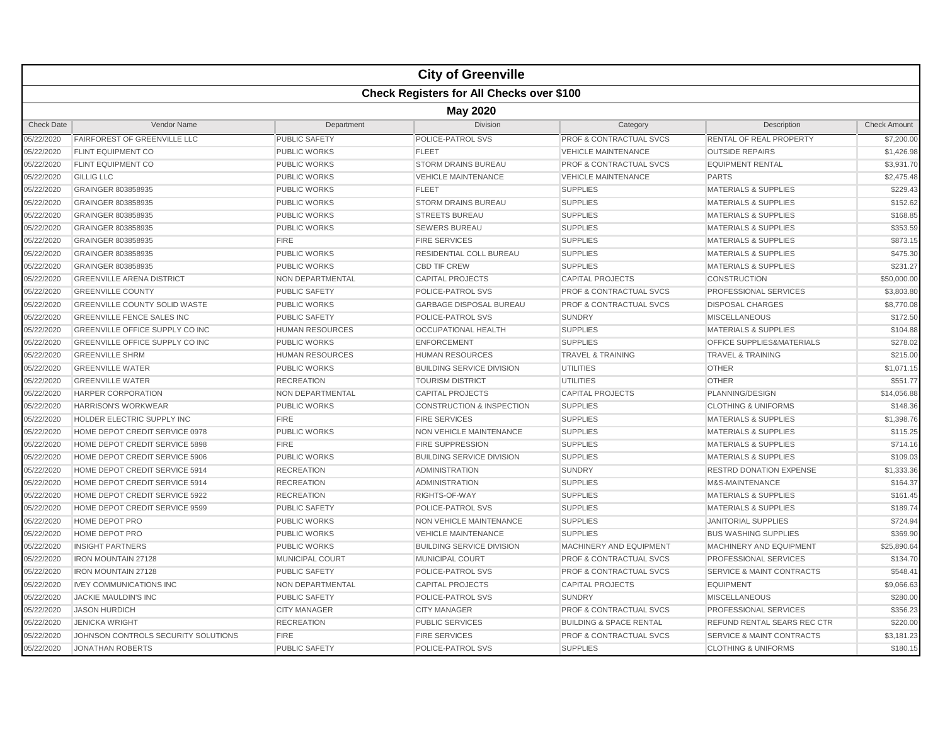|                   |                                                  |                         | <b>City of Greenville</b>            |                                    |                                      |                     |  |  |  |  |
|-------------------|--------------------------------------------------|-------------------------|--------------------------------------|------------------------------------|--------------------------------------|---------------------|--|--|--|--|
|                   | <b>Check Registers for All Checks over \$100</b> |                         |                                      |                                    |                                      |                     |  |  |  |  |
|                   | <b>May 2020</b>                                  |                         |                                      |                                    |                                      |                     |  |  |  |  |
| <b>Check Date</b> | Vendor Name                                      | Department              | <b>Division</b>                      | Category                           | Description                          | <b>Check Amount</b> |  |  |  |  |
| 05/22/2020        | FAIRFOREST OF GREENVILLE LLC                     | <b>PUBLIC SAFETY</b>    | POLICE-PATROL SVS                    | <b>PROF &amp; CONTRACTUAL SVCS</b> | RENTAL OF REAL PROPERTY              | \$7,200.00          |  |  |  |  |
| 05/22/2020        | <b>FLINT EQUIPMENT CO</b>                        | <b>PUBLIC WORKS</b>     | <b>FLEET</b>                         | <b>VEHICLE MAINTENANCE</b>         | <b>OUTSIDE REPAIRS</b>               | \$1,426.98          |  |  |  |  |
| 05/22/2020        | <b>FLINT EQUIPMENT CO</b>                        | <b>PUBLIC WORKS</b>     | <b>STORM DRAINS BUREAU</b>           | PROF & CONTRACTUAL SVCS            | <b>EQUIPMENT RENTAL</b>              | \$3,931.70          |  |  |  |  |
| 05/22/2020        | <b>GILLIG LLC</b>                                | <b>PUBLIC WORKS</b>     | <b>VEHICLE MAINTENANCE</b>           | <b>VEHICLE MAINTENANCE</b>         | <b>PARTS</b>                         | \$2,475.48          |  |  |  |  |
| 05/22/2020        | GRAINGER 803858935                               | <b>PUBLIC WORKS</b>     | <b>FLEET</b>                         | <b>SUPPLIES</b>                    | <b>MATERIALS &amp; SUPPLIES</b>      | \$229.43            |  |  |  |  |
| 05/22/2020        | GRAINGER 803858935                               | <b>PUBLIC WORKS</b>     | <b>STORM DRAINS BUREAU</b>           | <b>SUPPLIES</b>                    | <b>MATERIALS &amp; SUPPLIES</b>      | \$152.62            |  |  |  |  |
| 05/22/2020        | GRAINGER 803858935                               | <b>PUBLIC WORKS</b>     | <b>STREETS BUREAU</b>                | <b>SUPPLIES</b>                    | <b>MATERIALS &amp; SUPPLIES</b>      | \$168.85            |  |  |  |  |
| 05/22/2020        | GRAINGER 803858935                               | <b>PUBLIC WORKS</b>     | <b>SEWERS BUREAU</b>                 | <b>SUPPLIES</b>                    | <b>MATERIALS &amp; SUPPLIES</b>      | \$353.59            |  |  |  |  |
| 05/22/2020        | GRAINGER 803858935                               | <b>FIRE</b>             | <b>FIRE SERVICES</b>                 | <b>SUPPLIES</b>                    | <b>MATERIALS &amp; SUPPLIES</b>      | \$873.15            |  |  |  |  |
| 05/22/2020        | GRAINGER 803858935                               | <b>PUBLIC WORKS</b>     | RESIDENTIAL COLL BUREAU              | <b>SUPPLIES</b>                    | <b>MATERIALS &amp; SUPPLIES</b>      | \$475.30            |  |  |  |  |
| 05/22/2020        | GRAINGER 803858935                               | <b>PUBLIC WORKS</b>     | <b>CBD TIF CREW</b>                  | <b>SUPPLIES</b>                    | <b>MATERIALS &amp; SUPPLIES</b>      | \$231.27            |  |  |  |  |
| 05/22/2020        | <b>GREENVILLE ARENA DISTRICT</b>                 | NON DEPARTMENTAL        | <b>CAPITAL PROJECTS</b>              | <b>CAPITAL PROJECTS</b>            | <b>CONSTRUCTION</b>                  | \$50,000.00         |  |  |  |  |
| 05/22/2020        | <b>GREENVILLE COUNTY</b>                         | <b>PUBLIC SAFETY</b>    | POLICE-PATROL SVS                    | <b>PROF &amp; CONTRACTUAL SVCS</b> | <b>PROFESSIONAL SERVICES</b>         | \$3,803.80          |  |  |  |  |
| 05/22/2020        | <b>GREENVILLE COUNTY SOLID WASTE</b>             | <b>PUBLIC WORKS</b>     | <b>GARBAGE DISPOSAL BUREAU</b>       | <b>PROF &amp; CONTRACTUAL SVCS</b> | <b>DISPOSAL CHARGES</b>              | \$8,770.08          |  |  |  |  |
| 05/22/2020        | <b>GREENVILLE FENCE SALES INC</b>                | <b>PUBLIC SAFETY</b>    | POLICE-PATROL SVS                    | <b>SUNDRY</b>                      | <b>MISCELLANEOUS</b>                 | \$172.50            |  |  |  |  |
| 05/22/2020        | GREENVILLE OFFICE SUPPLY CO INC                  | <b>HUMAN RESOURCES</b>  | <b>OCCUPATIONAL HEALTH</b>           | <b>SUPPLIES</b>                    | <b>MATERIALS &amp; SUPPLIES</b>      | \$104.88            |  |  |  |  |
| 05/22/2020        | GREENVILLE OFFICE SUPPLY CO INC                  | <b>PUBLIC WORKS</b>     | <b>ENFORCEMENT</b>                   | <b>SUPPLIES</b>                    | OFFICE SUPPLIES&MATERIALS            | \$278.02            |  |  |  |  |
| 05/22/2020        | <b>GREENVILLE SHRM</b>                           | <b>HUMAN RESOURCES</b>  | <b>HUMAN RESOURCES</b>               | <b>TRAVEL &amp; TRAINING</b>       | <b>TRAVEL &amp; TRAINING</b>         | \$215.00            |  |  |  |  |
| 05/22/2020        | <b>GREENVILLE WATER</b>                          | <b>PUBLIC WORKS</b>     | <b>BUILDING SERVICE DIVISION</b>     | <b>UTILITIES</b>                   | <b>OTHER</b>                         | \$1,071.15          |  |  |  |  |
| 05/22/2020        | <b>GREENVILLE WATER</b>                          | <b>RECREATION</b>       | <b>TOURISM DISTRICT</b>              | <b>UTILITIES</b>                   | <b>OTHER</b>                         | \$551.77            |  |  |  |  |
| 05/22/2020        | <b>HARPER CORPORATION</b>                        | <b>NON DEPARTMENTAL</b> | <b>CAPITAL PROJECTS</b>              | <b>CAPITAL PROJECTS</b>            | PLANNING/DESIGN                      | \$14,056.88         |  |  |  |  |
| 05/22/2020        | <b>HARRISON'S WORKWEAR</b>                       | <b>PUBLIC WORKS</b>     | <b>CONSTRUCTION &amp; INSPECTION</b> | <b>SUPPLIES</b>                    | <b>CLOTHING &amp; UNIFORMS</b>       | \$148.36            |  |  |  |  |
| 05/22/2020        | HOLDER ELECTRIC SUPPLY INC                       | <b>FIRE</b>             | <b>FIRE SERVICES</b>                 | <b>SUPPLIES</b>                    | <b>MATERIALS &amp; SUPPLIES</b>      | \$1,398.76          |  |  |  |  |
| 05/22/2020        | HOME DEPOT CREDIT SERVICE 0978                   | <b>PUBLIC WORKS</b>     | <b>NON VEHICLE MAINTENANCE</b>       | <b>SUPPLIES</b>                    | <b>MATERIALS &amp; SUPPLIES</b>      | \$115.25            |  |  |  |  |
| 05/22/2020        | HOME DEPOT CREDIT SERVICE 5898                   | <b>FIRE</b>             | <b>FIRE SUPPRESSION</b>              | <b>SUPPLIES</b>                    | <b>MATERIALS &amp; SUPPLIES</b>      | \$714.16            |  |  |  |  |
| 05/22/2020        | HOME DEPOT CREDIT SERVICE 5906                   | <b>PUBLIC WORKS</b>     | <b>BUILDING SERVICE DIVISION</b>     | <b>SUPPLIES</b>                    | <b>MATERIALS &amp; SUPPLIES</b>      | \$109.03            |  |  |  |  |
| 05/22/2020        | HOME DEPOT CREDIT SERVICE 5914                   | <b>RECREATION</b>       | <b>ADMINISTRATION</b>                | <b>SUNDRY</b>                      | <b>RESTRD DONATION EXPENSE</b>       | \$1,333.36          |  |  |  |  |
| 05/22/2020        | HOME DEPOT CREDIT SERVICE 5914                   | <b>RECREATION</b>       | <b>ADMINISTRATION</b>                | <b>SUPPLIES</b>                    | M&S-MAINTENANCE                      | \$164.37            |  |  |  |  |
| 05/22/2020        | HOME DEPOT CREDIT SERVICE 5922                   | <b>RECREATION</b>       | RIGHTS-OF-WAY                        | <b>SUPPLIES</b>                    | <b>MATERIALS &amp; SUPPLIES</b>      | \$161.45            |  |  |  |  |
| 05/22/2020        | HOME DEPOT CREDIT SERVICE 9599                   | <b>PUBLIC SAFETY</b>    | POLICE-PATROL SVS                    | <b>SUPPLIES</b>                    | <b>MATERIALS &amp; SUPPLIES</b>      | \$189.74            |  |  |  |  |
| 05/22/2020        | HOME DEPOT PRO                                   | <b>PUBLIC WORKS</b>     | NON VEHICLE MAINTENANCE              | <b>SUPPLIES</b>                    | <b>JANITORIAL SUPPLIES</b>           | \$724.94            |  |  |  |  |
| 05/22/2020        | HOME DEPOT PRO                                   | <b>PUBLIC WORKS</b>     | <b>VEHICLE MAINTENANCE</b>           | <b>SUPPLIES</b>                    | <b>BUS WASHING SUPPLIES</b>          | \$369.90            |  |  |  |  |
| 05/22/2020        | <b>INSIGHT PARTNERS</b>                          | <b>PUBLIC WORKS</b>     | <b>BUILDING SERVICE DIVISION</b>     | <b>MACHINERY AND EQUIPMENT</b>     | MACHINERY AND EQUIPMENT              | \$25,890.64         |  |  |  |  |
| 05/22/2020        | <b>IRON MOUNTAIN 27128</b>                       | <b>MUNICIPAL COURT</b>  | <b>MUNICIPAL COURT</b>               | <b>PROF &amp; CONTRACTUAL SVCS</b> | PROFESSIONAL SERVICES                | \$134.70            |  |  |  |  |
| 05/22/2020        | <b>IRON MOUNTAIN 27128</b>                       | PUBLIC SAFETY           | POLICE-PATROL SVS                    | <b>PROF &amp; CONTRACTUAL SVCS</b> | <b>SERVICE &amp; MAINT CONTRACTS</b> | \$548.41            |  |  |  |  |
| 05/22/2020        | <b>IVEY COMMUNICATIONS INC</b>                   | <b>NON DEPARTMENTAL</b> | <b>CAPITAL PROJECTS</b>              | <b>CAPITAL PROJECTS</b>            | <b>EQUIPMENT</b>                     | \$9,066.63          |  |  |  |  |
| 05/22/2020        | JACKIE MAULDIN'S INC                             | <b>PUBLIC SAFETY</b>    | POLICE-PATROL SVS                    | <b>SUNDRY</b>                      | <b>MISCELLANEOUS</b>                 | \$280.00            |  |  |  |  |
| 05/22/2020        | <b>JASON HURDICH</b>                             | <b>CITY MANAGER</b>     | <b>CITY MANAGER</b>                  | <b>PROF &amp; CONTRACTUAL SVCS</b> | PROFESSIONAL SERVICES                | \$356.23            |  |  |  |  |
| 05/22/2020        | <b>JENICKA WRIGHT</b>                            | <b>RECREATION</b>       | <b>PUBLIC SERVICES</b>               | <b>BUILDING &amp; SPACE RENTAL</b> | <b>REFUND RENTAL SEARS REC CTR</b>   | \$220.00            |  |  |  |  |
| 05/22/2020        | JOHNSON CONTROLS SECURITY SOLUTIONS              | <b>FIRE</b>             | <b>FIRE SERVICES</b>                 | <b>PROF &amp; CONTRACTUAL SVCS</b> | <b>SERVICE &amp; MAINT CONTRACTS</b> | \$3,181.23          |  |  |  |  |
| 05/22/2020        | <b>JONATHAN ROBERTS</b>                          | <b>PUBLIC SAFETY</b>    | POLICE-PATROL SVS                    | <b>SUPPLIES</b>                    | <b>CLOTHING &amp; UNIFORMS</b>       | \$180.15            |  |  |  |  |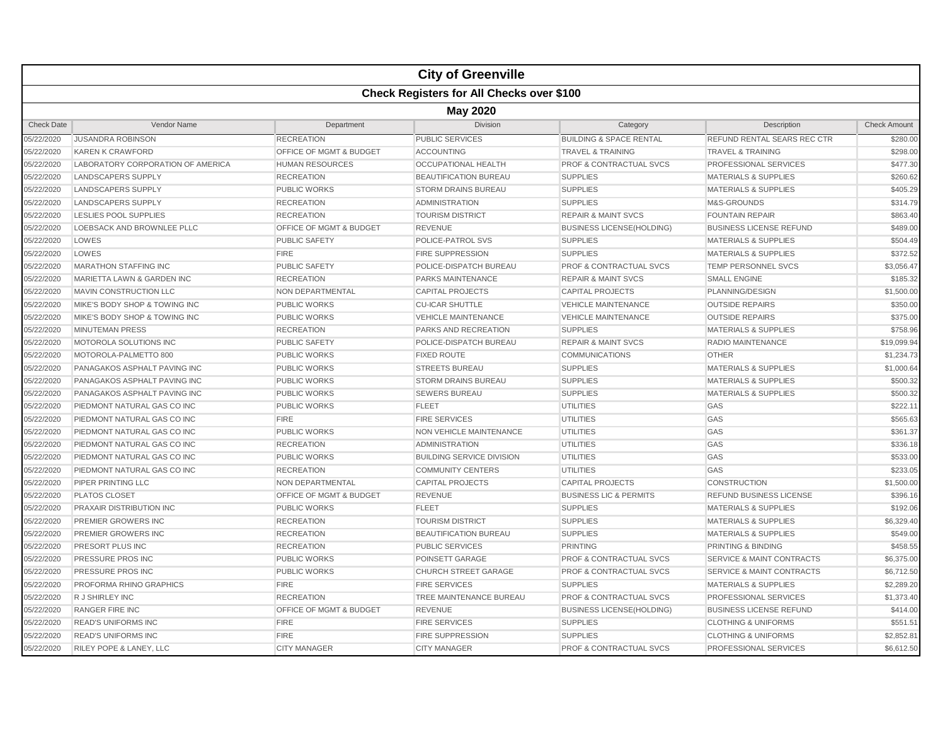|                   |                                                  |                                    | <b>City of Greenville</b>        |                                    |                                      |                     |  |  |  |
|-------------------|--------------------------------------------------|------------------------------------|----------------------------------|------------------------------------|--------------------------------------|---------------------|--|--|--|
|                   | <b>Check Registers for All Checks over \$100</b> |                                    |                                  |                                    |                                      |                     |  |  |  |
|                   | <b>May 2020</b>                                  |                                    |                                  |                                    |                                      |                     |  |  |  |
| <b>Check Date</b> | Vendor Name                                      | Department                         | <b>Division</b>                  | Category                           | Description                          | <b>Check Amount</b> |  |  |  |
| 05/22/2020        | <b>JUSANDRA ROBINSON</b>                         | <b>RECREATION</b>                  | PUBLIC SERVICES                  | <b>BUILDING &amp; SPACE RENTAL</b> | REFUND RENTAL SEARS REC CTR          | \$280.00            |  |  |  |
| 05/22/2020        | <b>KAREN K CRAWFORD</b>                          | OFFICE OF MGMT & BUDGET            | <b>ACCOUNTING</b>                | <b>TRAVEL &amp; TRAINING</b>       | <b>TRAVEL &amp; TRAINING</b>         | \$298.00            |  |  |  |
| 05/22/2020        | LABORATORY CORPORATION OF AMERICA                | <b>HUMAN RESOURCES</b>             | <b>OCCUPATIONAL HEALTH</b>       | <b>PROF &amp; CONTRACTUAL SVCS</b> | <b>PROFESSIONAL SERVICES</b>         | \$477.30            |  |  |  |
| 05/22/2020        | <b>LANDSCAPERS SUPPLY</b>                        | <b>RECREATION</b>                  | <b>BEAUTIFICATION BUREAU</b>     | <b>SUPPLIES</b>                    | <b>MATERIALS &amp; SUPPLIES</b>      | \$260.62            |  |  |  |
| 05/22/2020        | <b>LANDSCAPERS SUPPLY</b>                        | <b>PUBLIC WORKS</b>                | <b>STORM DRAINS BUREAU</b>       | <b>SUPPLIES</b>                    | <b>MATERIALS &amp; SUPPLIES</b>      | \$405.29            |  |  |  |
| 05/22/2020        | <b>LANDSCAPERS SUPPLY</b>                        | <b>RECREATION</b>                  | ADMINISTRATION                   | <b>SUPPLIES</b>                    | M&S-GROUNDS                          | \$314.79            |  |  |  |
| 05/22/2020        | <b>LESLIES POOL SUPPLIES</b>                     | <b>RECREATION</b>                  | <b>TOURISM DISTRICT</b>          | <b>REPAIR &amp; MAINT SVCS</b>     | <b>FOUNTAIN REPAIR</b>               | \$863.40            |  |  |  |
| 05/22/2020        | LOEBSACK AND BROWNLEE PLLC                       | OFFICE OF MGMT & BUDGET            | <b>REVENUE</b>                   | <b>BUSINESS LICENSE(HOLDING)</b>   | <b>BUSINESS LICENSE REFUND</b>       | \$489.00            |  |  |  |
| 05/22/2020        | LOWES                                            | <b>PUBLIC SAFETY</b>               | POLICE-PATROL SVS                | <b>SUPPLIES</b>                    | <b>MATERIALS &amp; SUPPLIES</b>      | \$504.49            |  |  |  |
| 05/22/2020        | LOWES                                            | <b>FIRE</b>                        | <b>FIRE SUPPRESSION</b>          | <b>SUPPLIES</b>                    | <b>MATERIALS &amp; SUPPLIES</b>      | \$372.52            |  |  |  |
| 05/22/2020        | <b>MARATHON STAFFING INC</b>                     | <b>PUBLIC SAFETY</b>               | POLICE-DISPATCH BUREAU           | <b>PROF &amp; CONTRACTUAL SVCS</b> | <b>TEMP PERSONNEL SVCS</b>           | \$3,056.47          |  |  |  |
| 05/22/2020        | MARIETTA LAWN & GARDEN INC                       | <b>RECREATION</b>                  | <b>PARKS MAINTENANCE</b>         | <b>REPAIR &amp; MAINT SVCS</b>     | <b>SMALL ENGINE</b>                  | \$185.32            |  |  |  |
| 05/22/2020        | MAVIN CONSTRUCTION LLC                           | NON DEPARTMENTAL                   | <b>CAPITAL PROJECTS</b>          | <b>CAPITAL PROJECTS</b>            | PLANNING/DESIGN                      | \$1,500.00          |  |  |  |
| 05/22/2020        | MIKE'S BODY SHOP & TOWING INC                    | <b>PUBLIC WORKS</b>                | <b>CU-ICAR SHUTTLE</b>           | <b>VEHICLE MAINTENANCE</b>         | <b>OUTSIDE REPAIRS</b>               | \$350.00            |  |  |  |
| 05/22/2020        | MIKE'S BODY SHOP & TOWING INC                    | <b>PUBLIC WORKS</b>                | <b>VEHICLE MAINTENANCE</b>       | <b>VEHICLE MAINTENANCE</b>         | <b>OUTSIDE REPAIRS</b>               | \$375.00            |  |  |  |
| 05/22/2020        | <b>MINUTEMAN PRESS</b>                           | <b>RECREATION</b>                  | <b>PARKS AND RECREATION</b>      | <b>SUPPLIES</b>                    | <b>MATERIALS &amp; SUPPLIES</b>      | \$758.96            |  |  |  |
| 05/22/2020        | <b>MOTOROLA SOLUTIONS INC</b>                    | <b>PUBLIC SAFETY</b>               | POLICE-DISPATCH BUREAU           | <b>REPAIR &amp; MAINT SVCS</b>     | <b>RADIO MAINTENANCE</b>             | \$19,099.94         |  |  |  |
| 05/22/2020        | MOTOROLA-PALMETTO 800                            | <b>PUBLIC WORKS</b>                | <b>FIXED ROUTE</b>               | <b>COMMUNICATIONS</b>              | <b>OTHER</b>                         | \$1,234.73          |  |  |  |
| 05/22/2020        | PANAGAKOS ASPHALT PAVING INC                     | <b>PUBLIC WORKS</b>                | <b>STREETS BUREAU</b>            | <b>SUPPLIES</b>                    | <b>MATERIALS &amp; SUPPLIES</b>      | \$1,000.64          |  |  |  |
| 05/22/2020        | PANAGAKOS ASPHALT PAVING INC                     | <b>PUBLIC WORKS</b>                | <b>STORM DRAINS BUREAU</b>       | <b>SUPPLIES</b>                    | <b>MATERIALS &amp; SUPPLIES</b>      | \$500.32            |  |  |  |
| 05/22/2020        | PANAGAKOS ASPHALT PAVING INC                     | <b>PUBLIC WORKS</b>                | <b>SEWERS BUREAU</b>             | <b>SUPPLIES</b>                    | <b>MATERIALS &amp; SUPPLIES</b>      | \$500.32            |  |  |  |
| 05/22/2020        | PIEDMONT NATURAL GAS CO INC                      | <b>PUBLIC WORKS</b>                | <b>FLEET</b>                     | <b>UTILITIES</b>                   | GAS                                  | \$222.11            |  |  |  |
| 05/22/2020        | PIEDMONT NATURAL GAS CO INC                      | <b>FIRE</b>                        | <b>FIRE SERVICES</b>             | <b>UTILITIES</b>                   | GAS                                  | \$565.63            |  |  |  |
| 05/22/2020        | PIEDMONT NATURAL GAS CO INC                      | <b>PUBLIC WORKS</b>                | NON VEHICLE MAINTENANCE          | <b>UTILITIES</b>                   | GAS                                  | \$361.37            |  |  |  |
| 05/22/2020        | PIEDMONT NATURAL GAS CO INC                      | <b>RECREATION</b>                  | ADMINISTRATION                   | <b>UTILITIES</b>                   | GAS                                  | \$336.18            |  |  |  |
| 05/22/2020        | PIEDMONT NATURAL GAS CO INC                      | <b>PUBLIC WORKS</b>                | <b>BUILDING SERVICE DIVISION</b> | UTILITIES                          | GAS                                  | \$533.00            |  |  |  |
| 05/22/2020        | PIEDMONT NATURAL GAS CO INC                      | <b>RECREATION</b>                  | <b>COMMUNITY CENTERS</b>         | <b>UTILITIES</b>                   | GAS                                  | \$233.05            |  |  |  |
| 05/22/2020        | PIPER PRINTING LLC                               | NON DEPARTMENTAL                   | <b>CAPITAL PROJECTS</b>          | <b>CAPITAL PROJECTS</b>            | <b>CONSTRUCTION</b>                  | \$1,500.00          |  |  |  |
| 05/22/2020        | <b>PLATOS CLOSET</b>                             | <b>OFFICE OF MGMT &amp; BUDGET</b> | <b>REVENUE</b>                   | <b>BUSINESS LIC &amp; PERMITS</b>  | <b>REFUND BUSINESS LICENSE</b>       | \$396.16            |  |  |  |
| 05/22/2020        | PRAXAIR DISTRIBUTION INC                         | <b>PUBLIC WORKS</b>                | <b>FLEET</b>                     | <b>SUPPLIES</b>                    | <b>MATERIALS &amp; SUPPLIES</b>      | \$192.06            |  |  |  |
| 05/22/2020        | PREMIER GROWERS INC                              | <b>RECREATION</b>                  | <b>TOURISM DISTRICT</b>          | <b>SUPPLIES</b>                    | <b>MATERIALS &amp; SUPPLIES</b>      | \$6,329.40          |  |  |  |
| 05/22/2020        | PREMIER GROWERS INC                              | <b>RECREATION</b>                  | <b>BEAUTIFICATION BUREAU</b>     | <b>SUPPLIES</b>                    | <b>MATERIALS &amp; SUPPLIES</b>      | \$549.00            |  |  |  |
| 05/22/2020        | PRESORT PLUS INC                                 | <b>RECREATION</b>                  | PUBLIC SERVICES                  | <b>PRINTING</b>                    | PRINTING & BINDING                   | \$458.55            |  |  |  |
| 05/22/2020        | PRESSURE PROS INC                                | <b>PUBLIC WORKS</b>                | POINSETT GARAGE                  | <b>PROF &amp; CONTRACTUAL SVCS</b> | <b>SERVICE &amp; MAINT CONTRACTS</b> | \$6,375.00          |  |  |  |
| 05/22/2020        | PRESSURE PROS INC                                | <b>PUBLIC WORKS</b>                | <b>CHURCH STREET GARAGE</b>      | <b>PROF &amp; CONTRACTUAL SVCS</b> | <b>SERVICE &amp; MAINT CONTRACTS</b> | \$6,712.50          |  |  |  |
| 05/22/2020        | PROFORMA RHINO GRAPHICS                          | <b>FIRE</b>                        | <b>FIRE SERVICES</b>             | <b>SUPPLIES</b>                    | <b>MATERIALS &amp; SUPPLIES</b>      | \$2,289.20          |  |  |  |
| 05/22/2020        | R J SHIRLEY INC                                  | <b>RECREATION</b>                  | TREE MAINTENANCE BUREAU          | <b>PROF &amp; CONTRACTUAL SVCS</b> | PROFESSIONAL SERVICES                | \$1,373.40          |  |  |  |
| 05/22/2020        | <b>RANGER FIRE INC</b>                           | OFFICE OF MGMT & BUDGET            | <b>REVENUE</b>                   | <b>BUSINESS LICENSE(HOLDING)</b>   | <b>BUSINESS LICENSE REFUND</b>       | \$414.00            |  |  |  |
| 05/22/2020        | <b>READ'S UNIFORMS INC</b>                       | <b>FIRE</b>                        | <b>FIRE SERVICES</b>             | <b>SUPPLIES</b>                    | <b>CLOTHING &amp; UNIFORMS</b>       | \$551.51            |  |  |  |
| 05/22/2020        | <b>READ'S UNIFORMS INC</b>                       | <b>FIRE</b>                        | <b>FIRE SUPPRESSION</b>          | <b>SUPPLIES</b>                    | <b>CLOTHING &amp; UNIFORMS</b>       | \$2,852.81          |  |  |  |
| 05/22/2020        | <b>RILEY POPE &amp; LANEY, LLC</b>               | <b>CITY MANAGER</b>                | <b>CITY MANAGER</b>              | <b>PROF &amp; CONTRACTUAL SVCS</b> | PROFESSIONAL SERVICES                | \$6.612.50          |  |  |  |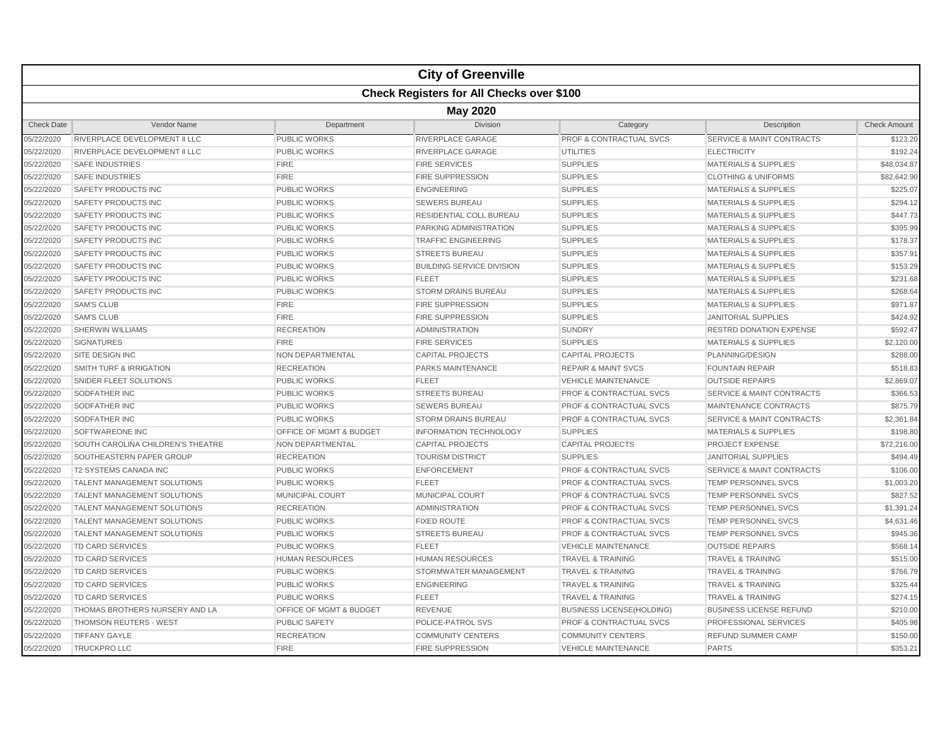|                   |                                                  |                                    | <b>City of Greenville</b>        |                                    |                                      |                     |  |  |  |  |
|-------------------|--------------------------------------------------|------------------------------------|----------------------------------|------------------------------------|--------------------------------------|---------------------|--|--|--|--|
|                   | <b>Check Registers for All Checks over \$100</b> |                                    |                                  |                                    |                                      |                     |  |  |  |  |
|                   | <b>May 2020</b>                                  |                                    |                                  |                                    |                                      |                     |  |  |  |  |
| <b>Check Date</b> | Vendor Name                                      | Department                         | <b>Division</b>                  | Category                           | Description                          | <b>Check Amount</b> |  |  |  |  |
| 05/22/2020        | RIVERPLACE DEVELOPMENT II LLC                    | <b>PUBLIC WORKS</b>                | <b>RIVERPLACE GARAGE</b>         | <b>PROF &amp; CONTRACTUAL SVCS</b> | <b>SERVICE &amp; MAINT CONTRACTS</b> | \$123.20            |  |  |  |  |
| 05/22/2020        | RIVERPLACE DEVELOPMENT II LLC                    | <b>PUBLIC WORKS</b>                | RIVERPLACE GARAGE                | <b>UTILITIES</b>                   | <b>ELECTRICITY</b>                   | \$192.24            |  |  |  |  |
| 05/22/2020        | <b>SAFE INDUSTRIES</b>                           | <b>FIRE</b>                        | <b>FIRE SERVICES</b>             | <b>SUPPLIES</b>                    | <b>MATERIALS &amp; SUPPLIES</b>      | \$48,034.87         |  |  |  |  |
| 05/22/2020        | <b>SAFE INDUSTRIES</b>                           | <b>FIRE</b>                        | <b>FIRE SUPPRESSION</b>          | <b>SUPPLIES</b>                    | <b>CLOTHING &amp; UNIFORMS</b>       | \$82,642.90         |  |  |  |  |
| 05/22/2020        | <b>SAFETY PRODUCTS INC</b>                       | <b>PUBLIC WORKS</b>                | <b>ENGINEERING</b>               | <b>SUPPLIES</b>                    | <b>MATERIALS &amp; SUPPLIES</b>      | \$225.07            |  |  |  |  |
| 05/22/2020        | SAFETY PRODUCTS INC                              | <b>PUBLIC WORKS</b>                | <b>SEWERS BUREAU</b>             | <b>SUPPLIES</b>                    | <b>MATERIALS &amp; SUPPLIES</b>      | \$294.12            |  |  |  |  |
| 05/22/2020        | <b>SAFETY PRODUCTS INC</b>                       | <b>PUBLIC WORKS</b>                | RESIDENTIAL COLL BUREAU          | <b>SUPPLIES</b>                    | <b>MATERIALS &amp; SUPPLIES</b>      | \$447.73            |  |  |  |  |
| 05/22/2020        | <b>SAFETY PRODUCTS INC</b>                       | <b>PUBLIC WORKS</b>                | PARKING ADMINISTRATION           | <b>SUPPLIES</b>                    | <b>MATERIALS &amp; SUPPLIES</b>      | \$395.99            |  |  |  |  |
| 05/22/2020        | SAFETY PRODUCTS INC                              | <b>PUBLIC WORKS</b>                | <b>TRAFFIC ENGINEERING</b>       | <b>SUPPLIES</b>                    | <b>MATERIALS &amp; SUPPLIES</b>      | \$178.37            |  |  |  |  |
| 05/22/2020        | <b>SAFETY PRODUCTS INC</b>                       | <b>PUBLIC WORKS</b>                | <b>STREETS BUREAU</b>            | <b>SUPPLIES</b>                    | <b>MATERIALS &amp; SUPPLIES</b>      | \$357.91            |  |  |  |  |
| 05/22/2020        | SAFETY PRODUCTS INC                              | PUBLIC WORKS                       | <b>BUILDING SERVICE DIVISION</b> | <b>SUPPLIES</b>                    | <b>MATERIALS &amp; SUPPLIES</b>      | \$153.29            |  |  |  |  |
| 05/22/2020        | SAFETY PRODUCTS INC                              | <b>PUBLIC WORKS</b>                | <b>FLEET</b>                     | <b>SUPPLIES</b>                    | <b>MATERIALS &amp; SUPPLIES</b>      | \$231.68            |  |  |  |  |
| 05/22/2020        | <b>SAFETY PRODUCTS INC</b>                       | <b>PUBLIC WORKS</b>                | <b>STORM DRAINS BUREAU</b>       | <b>SUPPLIES</b>                    | <b>MATERIALS &amp; SUPPLIES</b>      | \$268.64            |  |  |  |  |
| 05/22/2020        | <b>SAM'S CLUB</b>                                | <b>FIRE</b>                        | <b>FIRE SUPPRESSION</b>          | <b>SUPPLIES</b>                    | <b>MATERIALS &amp; SUPPLIES</b>      | \$971.87            |  |  |  |  |
| 05/22/2020        | <b>SAM'S CLUB</b>                                | <b>FIRE</b>                        | <b>FIRE SUPPRESSION</b>          | <b>SUPPLIES</b>                    | <b>JANITORIAL SUPPLIES</b>           | \$424.92            |  |  |  |  |
| 05/22/2020        | <b>SHERWIN WILLIAMS</b>                          | <b>RECREATION</b>                  | <b>ADMINISTRATION</b>            | <b>SUNDRY</b>                      | <b>RESTRD DONATION EXPENSE</b>       | \$592.47            |  |  |  |  |
| 05/22/2020        | <b>SIGNATURES</b>                                | <b>FIRE</b>                        | <b>FIRE SERVICES</b>             | <b>SUPPLIES</b>                    | <b>MATERIALS &amp; SUPPLIES</b>      | \$2,120.00          |  |  |  |  |
| 05/22/2020        | SITE DESIGN INC                                  | NON DEPARTMENTAL                   | <b>CAPITAL PROJECTS</b>          | <b>CAPITAL PROJECTS</b>            | PLANNING/DESIGN                      | \$288.00            |  |  |  |  |
| 05/22/2020        | SMITH TURF & IRRIGATION                          | <b>RECREATION</b>                  | PARKS MAINTENANCE                | <b>REPAIR &amp; MAINT SVCS</b>     | <b>FOUNTAIN REPAIR</b>               | \$518.83            |  |  |  |  |
| 05/22/2020        | SNIDER FLEET SOLUTIONS                           | <b>PUBLIC WORKS</b>                | <b>FLEET</b>                     | <b>VEHICLE MAINTENANCE</b>         | <b>OUTSIDE REPAIRS</b>               | \$2,869.07          |  |  |  |  |
| 05/22/2020        | SODFATHER INC                                    | <b>PUBLIC WORKS</b>                | <b>STREETS BUREAU</b>            | <b>PROF &amp; CONTRACTUAL SVCS</b> | <b>SERVICE &amp; MAINT CONTRACTS</b> | \$366.53            |  |  |  |  |
| 05/22/2020        | SODFATHER INC                                    | <b>PUBLIC WORKS</b>                | <b>SEWERS BUREAU</b>             | PROF & CONTRACTUAL SVCS            | MAINTENANCE CONTRACTS                | \$875.79            |  |  |  |  |
| 05/22/2020        | <b>SODFATHER INC</b>                             | <b>PUBLIC WORKS</b>                | <b>STORM DRAINS BUREAU</b>       | <b>PROF &amp; CONTRACTUAL SVCS</b> | <b>SERVICE &amp; MAINT CONTRACTS</b> | \$2,361.84          |  |  |  |  |
| 05/22/2020        | <b>SOFTWAREONE INC</b>                           | <b>OFFICE OF MGMT &amp; BUDGET</b> | <b>INFORMATION TECHNOLOGY</b>    | <b>SUPPLIES</b>                    | <b>MATERIALS &amp; SUPPLIES</b>      | \$198.80            |  |  |  |  |
| 05/22/2020        | SOUTH CAROLINA CHILDREN'S THEATRE                | <b>NON DEPARTMENTAL</b>            | <b>CAPITAL PROJECTS</b>          | <b>CAPITAL PROJECTS</b>            | <b>PROJECT EXPENSE</b>               | \$72,216.00         |  |  |  |  |
| 05/22/2020        | SOUTHEASTERN PAPER GROUP                         | <b>RECREATION</b>                  | <b>TOURISM DISTRICT</b>          | <b>SUPPLIES</b>                    | <b>JANITORIAL SUPPLIES</b>           | \$494.49            |  |  |  |  |
| 05/22/2020        | <b>T2 SYSTEMS CANADA INC</b>                     | <b>PUBLIC WORKS</b>                | <b>ENFORCEMENT</b>               | <b>PROF &amp; CONTRACTUAL SVCS</b> | <b>SERVICE &amp; MAINT CONTRACTS</b> | \$106.00            |  |  |  |  |
| 05/22/2020        | <b>TALENT MANAGEMENT SOLUTIONS</b>               | <b>PUBLIC WORKS</b>                | <b>FLEET</b>                     | <b>PROF &amp; CONTRACTUAL SVCS</b> | <b>TEMP PERSONNEL SVCS</b>           | \$1,003.20          |  |  |  |  |
| 05/22/2020        | <b>TALENT MANAGEMENT SOLUTIONS</b>               | MUNICIPAL COURT                    | <b>MUNICIPAL COURT</b>           | PROF & CONTRACTUAL SVCS            | TEMP PERSONNEL SVCS                  | \$827.52            |  |  |  |  |
| 05/22/2020        | <b>TALENT MANAGEMENT SOLUTIONS</b>               | <b>RECREATION</b>                  | <b>ADMINISTRATION</b>            | <b>PROF &amp; CONTRACTUAL SVCS</b> | <b>TEMP PERSONNEL SVCS</b>           | \$1,391.24          |  |  |  |  |
| 05/22/2020        | <b>TALENT MANAGEMENT SOLUTIONS</b>               | <b>PUBLIC WORKS</b>                | <b>FIXED ROUTE</b>               | <b>PROF &amp; CONTRACTUAL SVCS</b> | <b>TEMP PERSONNEL SVCS</b>           | \$4,631.46          |  |  |  |  |
| 05/22/2020        | <b>TALENT MANAGEMENT SOLUTIONS</b>               | <b>PUBLIC WORKS</b>                | <b>STREETS BUREAU</b>            | <b>PROF &amp; CONTRACTUAL SVCS</b> | <b>TEMP PERSONNEL SVCS</b>           | \$945.36            |  |  |  |  |
| 05/22/2020        | <b>TD CARD SERVICES</b>                          | <b>PUBLIC WORKS</b>                | <b>FLEET</b>                     | <b>VEHICLE MAINTENANCE</b>         | <b>OUTSIDE REPAIRS</b>               | \$568.14            |  |  |  |  |
| 05/22/2020        | TD CARD SERVICES                                 | <b>HUMAN RESOURCES</b>             | <b>HUMAN RESOURCES</b>           | <b>TRAVEL &amp; TRAINING</b>       | <b>TRAVEL &amp; TRAINING</b>         | \$515.00            |  |  |  |  |
| 05/22/2020        | TD CARD SERVICES                                 | PUBLIC WORKS                       | STORMWATER MANAGEMENT            | <b>TRAVEL &amp; TRAINING</b>       | <b>TRAVEL &amp; TRAINING</b>         | \$766.79            |  |  |  |  |
| 05/22/2020        | <b>TD CARD SERVICES</b>                          | <b>PUBLIC WORKS</b>                | <b>ENGINEERING</b>               | <b>TRAVEL &amp; TRAINING</b>       | <b>TRAVEL &amp; TRAINING</b>         | \$325.44            |  |  |  |  |
| 05/22/2020        | <b>TD CARD SERVICES</b>                          | <b>PUBLIC WORKS</b>                | <b>FLEET</b>                     | <b>TRAVEL &amp; TRAINING</b>       | <b>TRAVEL &amp; TRAINING</b>         | \$274.15            |  |  |  |  |
| 05/22/2020        | THOMAS BROTHERS NURSERY AND LA                   | OFFICE OF MGMT & BUDGET            | <b>REVENUE</b>                   | <b>BUSINESS LICENSE(HOLDING)</b>   | <b>BUSINESS LICENSE REFUND</b>       | \$210.00            |  |  |  |  |
| 05/22/2020        | <b>THOMSON REUTERS - WEST</b>                    | <b>PUBLIC SAFETY</b>               | POLICE-PATROL SVS                | <b>PROF &amp; CONTRACTUAL SVCS</b> | PROFESSIONAL SERVICES                | \$405.98            |  |  |  |  |
| 05/22/2020        | <b>TIFFANY GAYLE</b>                             | <b>RECREATION</b>                  | <b>COMMUNITY CENTERS</b>         | <b>COMMUNITY CENTERS</b>           | <b>REFUND SUMMER CAMP</b>            | \$150.00            |  |  |  |  |
| 05/22/2020        | <b>TRUCKPRO LLC</b>                              | <b>FIRE</b>                        | <b>FIRE SUPPRESSION</b>          | <b>VEHICLE MAINTENANCE</b>         | <b>PARTS</b>                         | \$353.21            |  |  |  |  |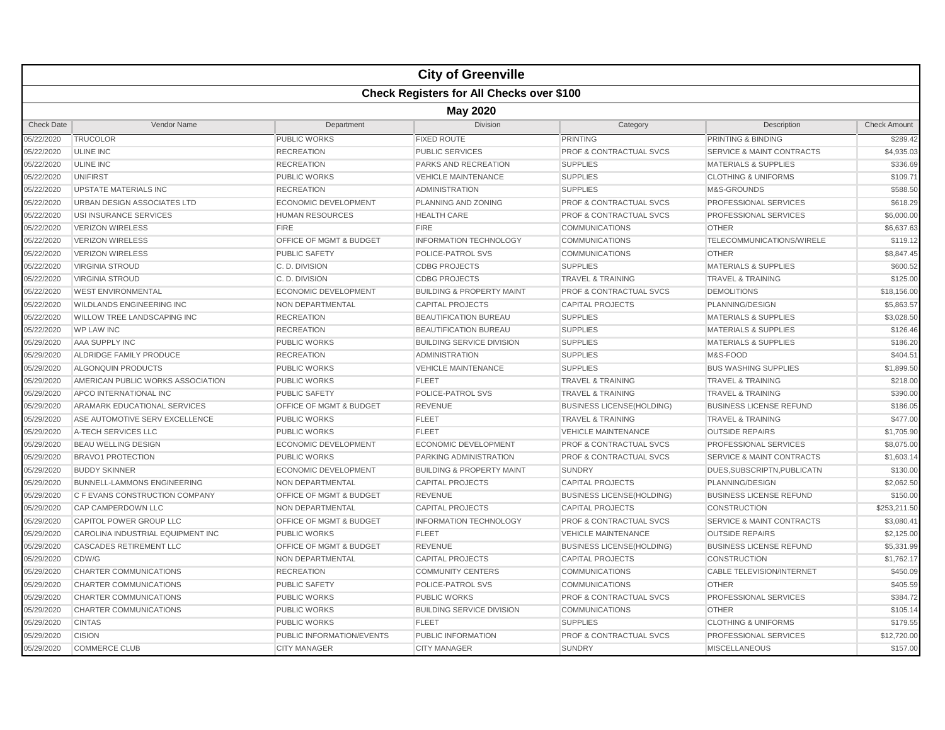|                   |                                                  |                                    | <b>City of Greenville</b>            |                                    |                                      |                     |  |  |  |
|-------------------|--------------------------------------------------|------------------------------------|--------------------------------------|------------------------------------|--------------------------------------|---------------------|--|--|--|
|                   | <b>Check Registers for All Checks over \$100</b> |                                    |                                      |                                    |                                      |                     |  |  |  |
|                   | <b>May 2020</b>                                  |                                    |                                      |                                    |                                      |                     |  |  |  |
| <b>Check Date</b> | Vendor Name                                      | Department                         | <b>Division</b>                      | Category                           | Description                          | <b>Check Amount</b> |  |  |  |
| 05/22/2020        | <b>TRUCOLOR</b>                                  | <b>PUBLIC WORKS</b>                | <b>FIXED ROUTE</b>                   | <b>PRINTING</b>                    | PRINTING & BINDING                   | \$289.42            |  |  |  |
| 05/22/2020        | <b>ULINE INC</b>                                 | <b>RECREATION</b>                  | <b>PUBLIC SERVICES</b>               | <b>PROF &amp; CONTRACTUAL SVCS</b> | <b>SERVICE &amp; MAINT CONTRACTS</b> | \$4,935.03          |  |  |  |
| 05/22/2020        | <b>ULINE INC</b>                                 | <b>RECREATION</b>                  | PARKS AND RECREATION                 | <b>SUPPLIES</b>                    | <b>MATERIALS &amp; SUPPLIES</b>      | \$336.69            |  |  |  |
| 05/22/2020        | <b>UNIFIRST</b>                                  | <b>PUBLIC WORKS</b>                | <b>VEHICLE MAINTENANCE</b>           | <b>SUPPLIES</b>                    | <b>CLOTHING &amp; UNIFORMS</b>       | \$109.71            |  |  |  |
| 05/22/2020        | <b>UPSTATE MATERIALS INC</b>                     | <b>RECREATION</b>                  | <b>ADMINISTRATION</b>                | <b>SUPPLIES</b>                    | M&S-GROUNDS                          | \$588.50            |  |  |  |
| 05/22/2020        | URBAN DESIGN ASSOCIATES LTD                      | <b>ECONOMIC DEVELOPMENT</b>        | PLANNING AND ZONING                  | <b>PROF &amp; CONTRACTUAL SVCS</b> | PROFESSIONAL SERVICES                | \$618.29            |  |  |  |
| 05/22/2020        | USI INSURANCE SERVICES                           | <b>HUMAN RESOURCES</b>             | <b>HEALTH CARE</b>                   | <b>PROF &amp; CONTRACTUAL SVCS</b> | PROFESSIONAL SERVICES                | \$6,000.00          |  |  |  |
| 05/22/2020        | <b>VERIZON WIRELESS</b>                          | <b>FIRE</b>                        | <b>FIRE</b>                          | <b>COMMUNICATIONS</b>              | <b>OTHER</b>                         | \$6,637.63          |  |  |  |
| 05/22/2020        | <b>VERIZON WIRELESS</b>                          | <b>OFFICE OF MGMT &amp; BUDGET</b> | <b>INFORMATION TECHNOLOGY</b>        | <b>COMMUNICATIONS</b>              | TELECOMMUNICATIONS/WIRELE            | \$119.12            |  |  |  |
| 05/22/2020        | <b>VERIZON WIRELESS</b>                          | <b>PUBLIC SAFETY</b>               | POLICE-PATROL SVS                    | <b>COMMUNICATIONS</b>              | <b>OTHER</b>                         | \$8,847.45          |  |  |  |
| 05/22/2020        | <b>VIRGINIA STROUD</b>                           | C.D. DIVISION                      | <b>CDBG PROJECTS</b>                 | <b>SUPPLIES</b>                    | <b>MATERIALS &amp; SUPPLIES</b>      | \$600.52            |  |  |  |
| 05/22/2020        | <b>VIRGINIA STROUD</b>                           | C. D. DIVISION                     | <b>CDBG PROJECTS</b>                 | <b>TRAVEL &amp; TRAINING</b>       | <b>TRAVEL &amp; TRAINING</b>         | \$125.00            |  |  |  |
| 05/22/2020        | <b>WEST ENVIRONMENTAL</b>                        | ECONOMIC DEVELOPMENT               | <b>BUILDING &amp; PROPERTY MAINT</b> | PROF & CONTRACTUAL SVCS            | <b>DEMOLITIONS</b>                   | \$18,156.00         |  |  |  |
| 05/22/2020        | WILDLANDS ENGINEERING INC                        | NON DEPARTMENTAL                   | <b>CAPITAL PROJECTS</b>              | <b>CAPITAL PROJECTS</b>            | PLANNING/DESIGN                      | \$5,863.57          |  |  |  |
| 05/22/2020        | <b>WILLOW TREE LANDSCAPING INC</b>               | <b>RECREATION</b>                  | <b>BEAUTIFICATION BUREAU</b>         | <b>SUPPLIES</b>                    | <b>MATERIALS &amp; SUPPLIES</b>      | \$3,028.50          |  |  |  |
| 05/22/2020        | <b>WP LAW INC</b>                                | <b>RECREATION</b>                  | <b>BEAUTIFICATION BUREAU</b>         | <b>SUPPLIES</b>                    | <b>MATERIALS &amp; SUPPLIES</b>      | \$126.46            |  |  |  |
| 05/29/2020        | AAA SUPPLY INC                                   | <b>PUBLIC WORKS</b>                | <b>BUILDING SERVICE DIVISION</b>     | <b>SUPPLIES</b>                    | <b>MATERIALS &amp; SUPPLIES</b>      | \$186.20            |  |  |  |
| 05/29/2020        | ALDRIDGE FAMILY PRODUCE                          | <b>RECREATION</b>                  | <b>ADMINISTRATION</b>                | <b>SUPPLIES</b>                    | M&S-FOOD                             | \$404.51            |  |  |  |
| 05/29/2020        | ALGONQUIN PRODUCTS                               | <b>PUBLIC WORKS</b>                | <b>VEHICLE MAINTENANCE</b>           | <b>SUPPLIES</b>                    | <b>BUS WASHING SUPPLIES</b>          | \$1,899.50          |  |  |  |
| 05/29/2020        | AMERICAN PUBLIC WORKS ASSOCIATION                | <b>PUBLIC WORKS</b>                | <b>FLEET</b>                         | <b>TRAVEL &amp; TRAINING</b>       | <b>TRAVEL &amp; TRAINING</b>         | \$218.00            |  |  |  |
| 05/29/2020        | APCO INTERNATIONAL INC                           | <b>PUBLIC SAFETY</b>               | POLICE-PATROL SVS                    | <b>TRAVEL &amp; TRAINING</b>       | <b>TRAVEL &amp; TRAINING</b>         | \$390.00            |  |  |  |
| 05/29/2020        | ARAMARK EDUCATIONAL SERVICES                     | OFFICE OF MGMT & BUDGET            | <b>REVENUE</b>                       | <b>BUSINESS LICENSE(HOLDING)</b>   | <b>BUSINESS LICENSE REFUND</b>       | \$186.05            |  |  |  |
| 05/29/2020        | ASE AUTOMOTIVE SERV EXCELLENCE                   | <b>PUBLIC WORKS</b>                | <b>FLEET</b>                         | <b>TRAVEL &amp; TRAINING</b>       | <b>TRAVEL &amp; TRAINING</b>         | \$477.00            |  |  |  |
| 05/29/2020        | A-TECH SERVICES LLC                              | <b>PUBLIC WORKS</b>                | <b>FLEET</b>                         | <b>VEHICLE MAINTENANCE</b>         | <b>OUTSIDE REPAIRS</b>               | \$1,705.90          |  |  |  |
| 05/29/2020        | <b>BEAU WELLING DESIGN</b>                       | <b>ECONOMIC DEVELOPMENT</b>        | ECONOMIC DEVELOPMENT                 | <b>PROF &amp; CONTRACTUAL SVCS</b> | PROFESSIONAL SERVICES                | \$8,075.00          |  |  |  |
| 05/29/2020        | <b>BRAVO1 PROTECTION</b>                         | <b>PUBLIC WORKS</b>                | PARKING ADMINISTRATION               | <b>PROF &amp; CONTRACTUAL SVCS</b> | <b>SERVICE &amp; MAINT CONTRACTS</b> | \$1,603.14          |  |  |  |
| 05/29/2020        | <b>BUDDY SKINNER</b>                             | <b>ECONOMIC DEVELOPMENT</b>        | <b>BUILDING &amp; PROPERTY MAINT</b> | <b>SUNDRY</b>                      | DUES, SUBSCRIPTN, PUBLICATN          | \$130.00            |  |  |  |
| 05/29/2020        | <b>BUNNELL-LAMMONS ENGINEERING</b>               | NON DEPARTMENTAL                   | <b>CAPITAL PROJECTS</b>              | <b>CAPITAL PROJECTS</b>            | PLANNING/DESIGN                      | \$2,062.50          |  |  |  |
| 05/29/2020        | C F EVANS CONSTRUCTION COMPANY                   | OFFICE OF MGMT & BUDGET            | <b>REVENUE</b>                       | <b>BUSINESS LICENSE(HOLDING)</b>   | <b>BUSINESS LICENSE REFUND</b>       | \$150.00            |  |  |  |
| 05/29/2020        | CAP CAMPERDOWN LLC                               | NON DEPARTMENTAL                   | <b>CAPITAL PROJECTS</b>              | <b>CAPITAL PROJECTS</b>            | CONSTRUCTION                         | \$253,211.50        |  |  |  |
| 05/29/2020        | <b>CAPITOL POWER GROUP LLC</b>                   | OFFICE OF MGMT & BUDGET            | <b>INFORMATION TECHNOLOGY</b>        | <b>PROF &amp; CONTRACTUAL SVCS</b> | <b>SERVICE &amp; MAINT CONTRACTS</b> | \$3,080.41          |  |  |  |
| 05/29/2020        | CAROLINA INDUSTRIAL EQUIPMENT INC                | <b>PUBLIC WORKS</b>                | <b>FLEET</b>                         | <b>VEHICLE MAINTENANCE</b>         | <b>OUTSIDE REPAIRS</b>               | \$2,125.00          |  |  |  |
| 05/29/2020        | <b>CASCADES RETIREMENT LLC</b>                   | OFFICE OF MGMT & BUDGET            | <b>REVENUE</b>                       | <b>BUSINESS LICENSE(HOLDING)</b>   | <b>BUSINESS LICENSE REFUND</b>       | \$5,331.99          |  |  |  |
| 05/29/2020        | CDW/G                                            | <b>NON DEPARTMENTAL</b>            | <b>CAPITAL PROJECTS</b>              | <b>CAPITAL PROJECTS</b>            | <b>CONSTRUCTION</b>                  | \$1,762.17          |  |  |  |
| 05/29/2020        | CHARTER COMMUNICATIONS                           | <b>RECREATION</b>                  | <b>COMMUNITY CENTERS</b>             | <b>COMMUNICATIONS</b>              | <b>CABLE TELEVISION/INTERNET</b>     | \$450.09            |  |  |  |
| 05/29/2020        | <b>CHARTER COMMUNICATIONS</b>                    | <b>PUBLIC SAFETY</b>               | POLICE-PATROL SVS                    | <b>COMMUNICATIONS</b>              | <b>OTHER</b>                         | \$405.59            |  |  |  |
| 05/29/2020        | <b>CHARTER COMMUNICATIONS</b>                    | <b>PUBLIC WORKS</b>                | <b>PUBLIC WORKS</b>                  | <b>PROF &amp; CONTRACTUAL SVCS</b> | PROFESSIONAL SERVICES                | \$384.72            |  |  |  |
| 05/29/2020        | CHARTER COMMUNICATIONS                           | <b>PUBLIC WORKS</b>                | <b>BUILDING SERVICE DIVISION</b>     | <b>COMMUNICATIONS</b>              | <b>OTHER</b>                         | \$105.14            |  |  |  |
| 05/29/2020        | <b>CINTAS</b>                                    | <b>PUBLIC WORKS</b>                | <b>FLEET</b>                         | <b>SUPPLIES</b>                    | <b>CLOTHING &amp; UNIFORMS</b>       | \$179.55            |  |  |  |
| 05/29/2020        | <b>CISION</b>                                    | PUBLIC INFORMATION/EVENTS          | PUBLIC INFORMATION                   | <b>PROF &amp; CONTRACTUAL SVCS</b> | PROFESSIONAL SERVICES                | \$12,720.00         |  |  |  |
| 05/29/2020        | <b>COMMERCE CLUB</b>                             | <b>CITY MANAGER</b>                | <b>CITY MANAGER</b>                  | <b>SUNDRY</b>                      | <b>MISCELLANEOUS</b>                 | \$157.00            |  |  |  |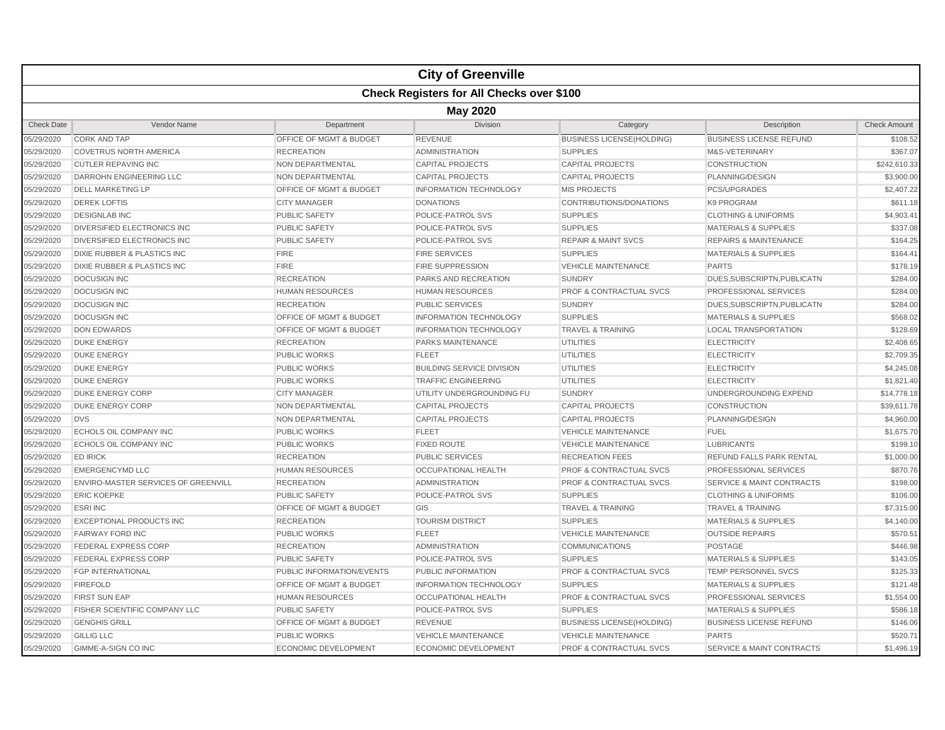|                   |                                        |                                    | <b>City of Greenville</b>                        |                                    |                                      |                     |  |  |  |
|-------------------|----------------------------------------|------------------------------------|--------------------------------------------------|------------------------------------|--------------------------------------|---------------------|--|--|--|
|                   |                                        |                                    | <b>Check Registers for All Checks over \$100</b> |                                    |                                      |                     |  |  |  |
|                   | <b>May 2020</b>                        |                                    |                                                  |                                    |                                      |                     |  |  |  |
| <b>Check Date</b> | Vendor Name                            | Department                         | <b>Division</b>                                  | Category                           | Description                          | <b>Check Amount</b> |  |  |  |
| 05/29/2020        | <b>CORK AND TAP</b>                    | OFFICE OF MGMT & BUDGET            | <b>REVENUE</b>                                   | <b>BUSINESS LICENSE(HOLDING)</b>   | <b>BUSINESS LICENSE REFUND</b>       | \$108.52            |  |  |  |
| 05/29/2020        | <b>COVETRUS NORTH AMERICA</b>          | <b>RECREATION</b>                  | <b>ADMINISTRATION</b>                            | <b>SUPPLIES</b>                    | M&S-VETERINARY                       | \$367.07            |  |  |  |
| 05/29/2020        | <b>CUTLER REPAVING INC</b>             | NON DEPARTMENTAL                   | <b>CAPITAL PROJECTS</b>                          | <b>CAPITAL PROJECTS</b>            | <b>CONSTRUCTION</b>                  | \$242,610.33        |  |  |  |
| 05/29/2020        | <b>DARROHN ENGINEERING LLC</b>         | NON DEPARTMENTAL                   | <b>CAPITAL PROJECTS</b>                          | <b>CAPITAL PROJECTS</b>            | PLANNING/DESIGN                      | \$3,900.00          |  |  |  |
| 05/29/2020        | <b>DELL MARKETING LP</b>               | <b>OFFICE OF MGMT &amp; BUDGET</b> | <b>INFORMATION TECHNOLOGY</b>                    | <b>MIS PROJECTS</b>                | <b>PCS/UPGRADES</b>                  | \$2,407.22          |  |  |  |
| 05/29/2020        | <b>DEREK LOFTIS</b>                    | <b>CITY MANAGER</b>                | <b>DONATIONS</b>                                 | CONTRIBUTIONS/DONATIONS            | <b>K9 PROGRAM</b>                    | \$611.18            |  |  |  |
| 05/29/2020        | <b>DESIGNLAB INC</b>                   | <b>PUBLIC SAFETY</b>               | POLICE-PATROL SVS                                | <b>SUPPLIES</b>                    | <b>CLOTHING &amp; UNIFORMS</b>       | \$4,903.41          |  |  |  |
| 05/29/2020        | DIVERSIFIED ELECTRONICS INC            | <b>PUBLIC SAFETY</b>               | POLICE-PATROL SVS                                | <b>SUPPLIES</b>                    | <b>MATERIALS &amp; SUPPLIES</b>      | \$337.08            |  |  |  |
| 05/29/2020        | <b>DIVERSIFIED ELECTRONICS INC</b>     | <b>PUBLIC SAFETY</b>               | POLICE-PATROL SVS                                | <b>REPAIR &amp; MAINT SVCS</b>     | <b>REPAIRS &amp; MAINTENANCE</b>     | \$164.25            |  |  |  |
| 05/29/2020        | DIXIE RUBBER & PLASTICS INC            | <b>FIRE</b>                        | <b>FIRE SERVICES</b>                             | <b>SUPPLIES</b>                    | <b>MATERIALS &amp; SUPPLIES</b>      | \$164.41            |  |  |  |
| 05/29/2020        | <b>DIXIE RUBBER &amp; PLASTICS INC</b> | <b>FIRE</b>                        | <b>FIRE SUPPRESSION</b>                          | <b>VEHICLE MAINTENANCE</b>         | <b>PARTS</b>                         | \$178.19            |  |  |  |
| 05/29/2020        | <b>DOCUSIGN INC</b>                    | <b>RECREATION</b>                  | PARKS AND RECREATION                             | <b>SUNDRY</b>                      | DUES, SUBSCRIPTN, PUBLICATN          | \$284.00            |  |  |  |
| 05/29/2020        | <b>DOCUSIGN INC</b>                    | <b>HUMAN RESOURCES</b>             | <b>HUMAN RESOURCES</b>                           | <b>PROF &amp; CONTRACTUAL SVCS</b> | <b>PROFESSIONAL SERVICES</b>         | \$284.00            |  |  |  |
| 05/29/2020        | <b>DOCUSIGN INC</b>                    | <b>RECREATION</b>                  | <b>PUBLIC SERVICES</b>                           | <b>SUNDRY</b>                      | DUES, SUBSCRIPTN, PUBLICATN          | \$284.00            |  |  |  |
| 05/29/2020        | <b>DOCUSIGN INC</b>                    | OFFICE OF MGMT & BUDGET            | <b>INFORMATION TECHNOLOGY</b>                    | <b>SUPPLIES</b>                    | <b>MATERIALS &amp; SUPPLIES</b>      | \$568.02            |  |  |  |
| 05/29/2020        | <b>DON EDWARDS</b>                     | OFFICE OF MGMT & BUDGET            | <b>INFORMATION TECHNOLOGY</b>                    | <b>TRAVEL &amp; TRAINING</b>       | <b>LOCAL TRANSPORTATION</b>          | \$128.69            |  |  |  |
| 05/29/2020        | <b>DUKE ENERGY</b>                     | <b>RECREATION</b>                  | <b>PARKS MAINTENANCE</b>                         | <b>UTILITIES</b>                   | <b>ELECTRICITY</b>                   | \$2,408.65          |  |  |  |
| 05/29/2020        | <b>DUKE ENERGY</b>                     | <b>PUBLIC WORKS</b>                | <b>FLEET</b>                                     | <b>UTILITIES</b>                   | <b>ELECTRICITY</b>                   | \$2,709.35          |  |  |  |
| 05/29/2020        | <b>DUKE ENERGY</b>                     | <b>PUBLIC WORKS</b>                | <b>BUILDING SERVICE DIVISION</b>                 | <b>UTILITIES</b>                   | <b>ELECTRICITY</b>                   | \$4,245.08          |  |  |  |
| 05/29/2020        | <b>DUKE ENERGY</b>                     | <b>PUBLIC WORKS</b>                | <b>TRAFFIC ENGINEERING</b>                       | <b>UTILITIES</b>                   | <b>ELECTRICITY</b>                   | \$1,821.40          |  |  |  |
| 05/29/2020        | <b>DUKE ENERGY CORP</b>                | <b>CITY MANAGER</b>                | UTILITY UNDERGROUNDING FU                        | <b>SUNDRY</b>                      | UNDERGROUNDING EXPEND                | \$14,778.18         |  |  |  |
| 05/29/2020        | <b>DUKE ENERGY CORP</b>                | NON DEPARTMENTAL                   | <b>CAPITAL PROJECTS</b>                          | <b>CAPITAL PROJECTS</b>            | <b>CONSTRUCTION</b>                  | \$39,611.78         |  |  |  |
| 05/29/2020        | <b>DVS</b>                             | NON DEPARTMENTAL                   | <b>CAPITAL PROJECTS</b>                          | <b>CAPITAL PROJECTS</b>            | PLANNING/DESIGN                      | \$4,960.00          |  |  |  |
| 05/29/2020        | ECHOLS OIL COMPANY INC                 | <b>PUBLIC WORKS</b>                | <b>FLEET</b>                                     | <b>VEHICLE MAINTENANCE</b>         | <b>FUEL</b>                          | \$1,675.70          |  |  |  |
| 05/29/2020        | ECHOLS OIL COMPANY INC                 | <b>PUBLIC WORKS</b>                | <b>FIXED ROUTE</b>                               | <b>VEHICLE MAINTENANCE</b>         | <b>LUBRICANTS</b>                    | \$199.10            |  |  |  |
| 05/29/2020        | <b>ED IRICK</b>                        | <b>RECREATION</b>                  | PUBLIC SERVICES                                  | <b>RECREATION FEES</b>             | REFUND FALLS PARK RENTAL             | \$1,000.00          |  |  |  |
| 05/29/2020        | <b>EMERGENCYMD LLC</b>                 | <b>HUMAN RESOURCES</b>             | <b>OCCUPATIONAL HEALTH</b>                       | PROF & CONTRACTUAL SVCS            | PROFESSIONAL SERVICES                | \$870.76            |  |  |  |
| 05/29/2020        | ENVIRO-MASTER SERVICES OF GREENVILL    | <b>RECREATION</b>                  | <b>ADMINISTRATION</b>                            | <b>PROF &amp; CONTRACTUAL SVCS</b> | <b>SERVICE &amp; MAINT CONTRACTS</b> | \$198.00            |  |  |  |
| 05/29/2020        | <b>ERIC KOEPKE</b>                     | <b>PUBLIC SAFETY</b>               | POLICE-PATROL SVS                                | <b>SUPPLIES</b>                    | <b>CLOTHING &amp; UNIFORMS</b>       | \$106.00            |  |  |  |
| 05/29/2020        | <b>ESRIINC</b>                         | <b>OFFICE OF MGMT &amp; BUDGET</b> | GIS                                              | <b>TRAVEL &amp; TRAINING</b>       | <b>TRAVEL &amp; TRAINING</b>         | \$7,315.00          |  |  |  |
| 05/29/2020        | <b>EXCEPTIONAL PRODUCTS INC</b>        | <b>RECREATION</b>                  | <b>TOURISM DISTRICT</b>                          | <b>SUPPLIES</b>                    | <b>MATERIALS &amp; SUPPLIES</b>      | \$4,140.00          |  |  |  |
| 05/29/2020        | <b>FAIRWAY FORD INC</b>                | <b>PUBLIC WORKS</b>                | <b>FLEET</b>                                     | <b>VEHICLE MAINTENANCE</b>         | <b>OUTSIDE REPAIRS</b>               | \$570.51            |  |  |  |
| 05/29/2020        | <b>FEDERAL EXPRESS CORP</b>            | <b>RECREATION</b>                  | <b>ADMINISTRATION</b>                            | <b>COMMUNICATIONS</b>              | <b>POSTAGE</b>                       | \$446.98            |  |  |  |
| 05/29/2020        | <b>FEDERAL EXPRESS CORP</b>            | <b>PUBLIC SAFETY</b>               | POLICE-PATROL SVS                                | <b>SUPPLIES</b>                    | <b>MATERIALS &amp; SUPPLIES</b>      | \$143.05            |  |  |  |
| 05/29/2020        | <b>FGP INTERNATIONAL</b>               | PUBLIC INFORMATION/EVENTS          | PUBLIC INFORMATION                               | <b>PROF &amp; CONTRACTUAL SVCS</b> | <b>TEMP PERSONNEL SVCS</b>           | \$125.33            |  |  |  |
| 05/29/2020        | <b>FIREFOLD</b>                        | OFFICE OF MGMT & BUDGET            | <b>INFORMATION TECHNOLOGY</b>                    | <b>SUPPLIES</b>                    | <b>MATERIALS &amp; SUPPLIES</b>      | \$121.48            |  |  |  |
| 05/29/2020        | <b>FIRST SUN EAP</b>                   | <b>HUMAN RESOURCES</b>             | <b>OCCUPATIONAL HEALTH</b>                       | PROF & CONTRACTUAL SVCS            | PROFESSIONAL SERVICES                | \$1,554.00          |  |  |  |
| 05/29/2020        | FISHER SCIENTIFIC COMPANY LLC          | <b>PUBLIC SAFETY</b>               | POLICE-PATROL SVS                                | <b>SUPPLIES</b>                    | <b>MATERIALS &amp; SUPPLIES</b>      | \$586.18            |  |  |  |
| 05/29/2020        | <b>GENGHIS GRILL</b>                   | <b>OFFICE OF MGMT &amp; BUDGET</b> | <b>REVENUE</b>                                   | <b>BUSINESS LICENSE(HOLDING)</b>   | <b>BUSINESS LICENSE REFUND</b>       | \$146.06            |  |  |  |
| 05/29/2020        | <b>GILLIG LLC</b>                      | <b>PUBLIC WORKS</b>                | <b>VEHICLE MAINTENANCE</b>                       | <b>VEHICLE MAINTENANCE</b>         | <b>PARTS</b>                         | \$520.71            |  |  |  |
| 05/29/2020        | GIMME-A-SIGN CO INC                    | <b>ECONOMIC DEVELOPMENT</b>        | <b>ECONOMIC DEVELOPMENT</b>                      | PROF & CONTRACTUAL SVCS            | <b>SERVICE &amp; MAINT CONTRACTS</b> | \$1,496.19          |  |  |  |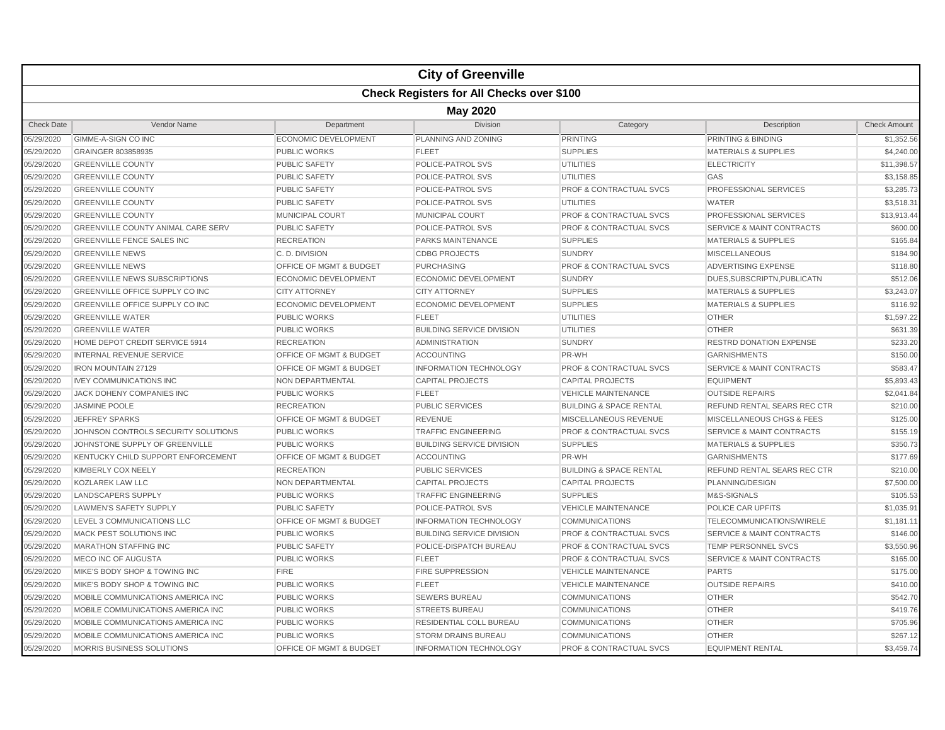|                   |                                                  |                             | <b>City of Greenville</b>        |                                    |                                      |                     |  |  |  |
|-------------------|--------------------------------------------------|-----------------------------|----------------------------------|------------------------------------|--------------------------------------|---------------------|--|--|--|
|                   | <b>Check Registers for All Checks over \$100</b> |                             |                                  |                                    |                                      |                     |  |  |  |
|                   | <b>May 2020</b>                                  |                             |                                  |                                    |                                      |                     |  |  |  |
| <b>Check Date</b> | Vendor Name                                      | Department                  | <b>Division</b>                  | Category                           | Description                          | <b>Check Amount</b> |  |  |  |
| 05/29/2020        | GIMME-A-SIGN CO INC                              | ECONOMIC DEVELOPMENT        | PLANNING AND ZONING              | <b>PRINTING</b>                    | PRINTING & BINDING                   | \$1,352.56          |  |  |  |
| 05/29/2020        | GRAINGER 803858935                               | <b>PUBLIC WORKS</b>         | <b>FLEET</b>                     | <b>SUPPLIES</b>                    | <b>MATERIALS &amp; SUPPLIES</b>      | \$4,240.00          |  |  |  |
| 05/29/2020        | <b>GREENVILLE COUNTY</b>                         | <b>PUBLIC SAFETY</b>        | POLICE-PATROL SVS                | <b>UTILITIES</b>                   | <b>ELECTRICITY</b>                   | \$11,398.57         |  |  |  |
| 05/29/2020        | <b>GREENVILLE COUNTY</b>                         | <b>PUBLIC SAFETY</b>        | POLICE-PATROL SVS                | <b>UTILITIES</b>                   | GAS                                  | \$3,158.85          |  |  |  |
| 05/29/2020        | <b>GREENVILLE COUNTY</b>                         | PUBLIC SAFETY               | POLICE-PATROL SVS                | <b>PROF &amp; CONTRACTUAL SVCS</b> | <b>PROFESSIONAL SERVICES</b>         | \$3,285.73          |  |  |  |
| 05/29/2020        | <b>GREENVILLE COUNTY</b>                         | <b>PUBLIC SAFETY</b>        | POLICE-PATROL SVS                | <b>UTILITIES</b>                   | <b>WATER</b>                         | \$3,518.31          |  |  |  |
| 05/29/2020        | <b>GREENVILLE COUNTY</b>                         | <b>MUNICIPAL COURT</b>      | <b>MUNICIPAL COURT</b>           | <b>PROF &amp; CONTRACTUAL SVCS</b> | PROFESSIONAL SERVICES                | \$13,913.44         |  |  |  |
| 05/29/2020        | <b>GREENVILLE COUNTY ANIMAL CARE SERV</b>        | <b>PUBLIC SAFETY</b>        | POLICE-PATROL SVS                | <b>PROF &amp; CONTRACTUAL SVCS</b> | <b>SERVICE &amp; MAINT CONTRACTS</b> | \$600.00            |  |  |  |
| 05/29/2020        | <b>GREENVILLE FENCE SALES INC</b>                | <b>RECREATION</b>           | <b>PARKS MAINTENANCE</b>         | <b>SUPPLIES</b>                    | <b>MATERIALS &amp; SUPPLIES</b>      | \$165.84            |  |  |  |
| 05/29/2020        | <b>GREENVILLE NEWS</b>                           | C. D. DIVISION              | <b>CDBG PROJECTS</b>             | <b>SUNDRY</b>                      | <b>MISCELLANEOUS</b>                 | \$184.90            |  |  |  |
| 05/29/2020        | <b>GREENVILLE NEWS</b>                           | OFFICE OF MGMT & BUDGET     | <b>PURCHASING</b>                | <b>PROF &amp; CONTRACTUAL SVCS</b> | ADVERTISING EXPENSE                  | \$118.80            |  |  |  |
| 05/29/2020        | <b>GREENVILLE NEWS SUBSCRIPTIONS</b>             | <b>ECONOMIC DEVELOPMENT</b> | <b>ECONOMIC DEVELOPMENT</b>      | <b>SUNDRY</b>                      | DUES.SUBSCRIPTN.PUBLICATN            | \$512.06            |  |  |  |
| 05/29/2020        | <b>GREENVILLE OFFICE SUPPLY CO INC</b>           | <b>CITY ATTORNEY</b>        | <b>CITY ATTORNEY</b>             | <b>SUPPLIES</b>                    | <b>MATERIALS &amp; SUPPLIES</b>      | \$3,243.07          |  |  |  |
| 05/29/2020        | <b>GREENVILLE OFFICE SUPPLY CO INC</b>           | <b>ECONOMIC DEVELOPMENT</b> | <b>ECONOMIC DEVELOPMENT</b>      | <b>SUPPLIES</b>                    | <b>MATERIALS &amp; SUPPLIES</b>      | \$116.92            |  |  |  |
| 05/29/2020        | <b>GREENVILLE WATER</b>                          | <b>PUBLIC WORKS</b>         | <b>FLEET</b>                     | <b>UTILITIES</b>                   | <b>OTHER</b>                         | \$1,597.22          |  |  |  |
| 05/29/2020        | <b>GREENVILLE WATER</b>                          | <b>PUBLIC WORKS</b>         | <b>BUILDING SERVICE DIVISION</b> | UTILITIES                          | <b>OTHER</b>                         | \$631.39            |  |  |  |
| 05/29/2020        | HOME DEPOT CREDIT SERVICE 5914                   | <b>RECREATION</b>           | <b>ADMINISTRATION</b>            | <b>SUNDRY</b>                      | <b>RESTRD DONATION EXPENSE</b>       | \$233.20            |  |  |  |
| 05/29/2020        | <b>INTERNAL REVENUE SERVICE</b>                  | OFFICE OF MGMT & BUDGET     | <b>ACCOUNTING</b>                | PR-WH                              | <b>GARNISHMENTS</b>                  | \$150.00            |  |  |  |
| 05/29/2020        | <b>IRON MOUNTAIN 27129</b>                       | OFFICE OF MGMT & BUDGET     | <b>INFORMATION TECHNOLOGY</b>    | <b>PROF &amp; CONTRACTUAL SVCS</b> | <b>SERVICE &amp; MAINT CONTRACTS</b> | \$583.47            |  |  |  |
| 05/29/2020        | <b>IVEY COMMUNICATIONS INC</b>                   | <b>NON DEPARTMENTAL</b>     | <b>CAPITAL PROJECTS</b>          | <b>CAPITAL PROJECTS</b>            | <b>EQUIPMENT</b>                     | \$5,893.43          |  |  |  |
| 05/29/2020        | <b>JACK DOHENY COMPANIES INC</b>                 | <b>PUBLIC WORKS</b>         | <b>FLEET</b>                     | <b>VEHICLE MAINTENANCE</b>         | <b>OUTSIDE REPAIRS</b>               | \$2,041.84          |  |  |  |
| 05/29/2020        | <b>JASMINE POOLE</b>                             | <b>RECREATION</b>           | <b>PUBLIC SERVICES</b>           | <b>BUILDING &amp; SPACE RENTAL</b> | <b>REFUND RENTAL SEARS REC CTR</b>   | \$210.00            |  |  |  |
| 05/29/2020        | <b>JEFFREY SPARKS</b>                            | OFFICE OF MGMT & BUDGET     | <b>REVENUE</b>                   | <b>MISCELLANEOUS REVENUE</b>       | <b>MISCELLANEOUS CHGS &amp; FEES</b> | \$125.00            |  |  |  |
| 05/29/2020        | JOHNSON CONTROLS SECURITY SOLUTIONS              | <b>PUBLIC WORKS</b>         | <b>TRAFFIC ENGINEERING</b>       | <b>PROF &amp; CONTRACTUAL SVCS</b> | <b>SERVICE &amp; MAINT CONTRACTS</b> | \$155.19            |  |  |  |
| 05/29/2020        | JOHNSTONE SUPPLY OF GREENVILLE                   | <b>PUBLIC WORKS</b>         | <b>BUILDING SERVICE DIVISION</b> | <b>SUPPLIES</b>                    | <b>MATERIALS &amp; SUPPLIES</b>      | \$350.73            |  |  |  |
| 05/29/2020        | KENTUCKY CHILD SUPPORT ENFORCEMENT               | OFFICE OF MGMT & BUDGET     | <b>ACCOUNTING</b>                | PR-WH                              | <b>GARNISHMENTS</b>                  | \$177.69            |  |  |  |
| 05/29/2020        | KIMBERLY COX NEELY                               | <b>RECREATION</b>           | <b>PUBLIC SERVICES</b>           | <b>BUILDING &amp; SPACE RENTAL</b> | <b>REFUND RENTAL SEARS REC CTR</b>   | \$210.00            |  |  |  |
| 05/29/2020        | <b>KOZLAREK LAW LLC</b>                          | <b>NON DEPARTMENTAL</b>     | <b>CAPITAL PROJECTS</b>          | <b>CAPITAL PROJECTS</b>            | PLANNING/DESIGN                      | \$7,500.00          |  |  |  |
| 05/29/2020        | LANDSCAPERS SUPPLY                               | <b>PUBLIC WORKS</b>         | <b>TRAFFIC ENGINEERING</b>       | <b>SUPPLIES</b>                    | M&S-SIGNALS                          | \$105.53            |  |  |  |
| 05/29/2020        | <b>LAWMEN'S SAFETY SUPPLY</b>                    | <b>PUBLIC SAFETY</b>        | POLICE-PATROL SVS                | <b>VEHICLE MAINTENANCE</b>         | POLICE CAR UPFITS                    | \$1,035.91          |  |  |  |
| 05/29/2020        | LEVEL 3 COMMUNICATIONS LLC                       | OFFICE OF MGMT & BUDGET     | <b>INFORMATION TECHNOLOGY</b>    | <b>COMMUNICATIONS</b>              | TELECOMMUNICATIONS/WIRELE            | \$1,181.11          |  |  |  |
| 05/29/2020        | MACK PEST SOLUTIONS INC                          | <b>PUBLIC WORKS</b>         | <b>BUILDING SERVICE DIVISION</b> | <b>PROF &amp; CONTRACTUAL SVCS</b> | <b>SERVICE &amp; MAINT CONTRACTS</b> | \$146.00            |  |  |  |
| 05/29/2020        | MARATHON STAFFING INC                            | <b>PUBLIC SAFETY</b>        | POLICE-DISPATCH BUREAU           | <b>PROF &amp; CONTRACTUAL SVCS</b> | <b>TEMP PERSONNEL SVCS</b>           | \$3,550.96          |  |  |  |
| 05/29/2020        | <b>MECO INC OF AUGUSTA</b>                       | <b>PUBLIC WORKS</b>         | <b>FLEET</b>                     | <b>PROF &amp; CONTRACTUAL SVCS</b> | <b>SERVICE &amp; MAINT CONTRACTS</b> | \$165.00            |  |  |  |
| 05/29/2020        | MIKE'S BODY SHOP & TOWING INC                    | <b>FIRE</b>                 | <b>FIRE SUPPRESSION</b>          | <b>VEHICLE MAINTENANCE</b>         | <b>PARTS</b>                         | \$175.00            |  |  |  |
| 05/29/2020        | MIKE'S BODY SHOP & TOWING INC                    | <b>PUBLIC WORKS</b>         | <b>FLEET</b>                     | <b>VEHICLE MAINTENANCE</b>         | <b>OUTSIDE REPAIRS</b>               | \$410.00            |  |  |  |
| 05/29/2020        | MOBILE COMMUNICATIONS AMERICA INC                | <b>PUBLIC WORKS</b>         | <b>SEWERS BUREAU</b>             | <b>COMMUNICATIONS</b>              | <b>OTHER</b>                         | \$542.70            |  |  |  |
| 05/29/2020        | MOBILE COMMUNICATIONS AMERICA INC                | <b>PUBLIC WORKS</b>         | <b>STREETS BUREAU</b>            | <b>COMMUNICATIONS</b>              | <b>OTHER</b>                         | \$419.76            |  |  |  |
| 05/29/2020        | MOBILE COMMUNICATIONS AMERICA INC                | <b>PUBLIC WORKS</b>         | RESIDENTIAL COLL BUREAU          | <b>COMMUNICATIONS</b>              | <b>OTHER</b>                         | \$705.96            |  |  |  |
| 05/29/2020        | MOBILE COMMUNICATIONS AMERICA INC                | <b>PUBLIC WORKS</b>         | <b>STORM DRAINS BUREAU</b>       | <b>COMMUNICATIONS</b>              | <b>OTHER</b>                         | \$267.12            |  |  |  |
| 05/29/2020        | <b>MORRIS BUSINESS SOLUTIONS</b>                 | OFFICE OF MGMT & BUDGET     | <b>INFORMATION TECHNOLOGY</b>    | <b>PROF &amp; CONTRACTUAL SVCS</b> | <b>EQUIPMENT RENTAL</b>              | \$3.459.74          |  |  |  |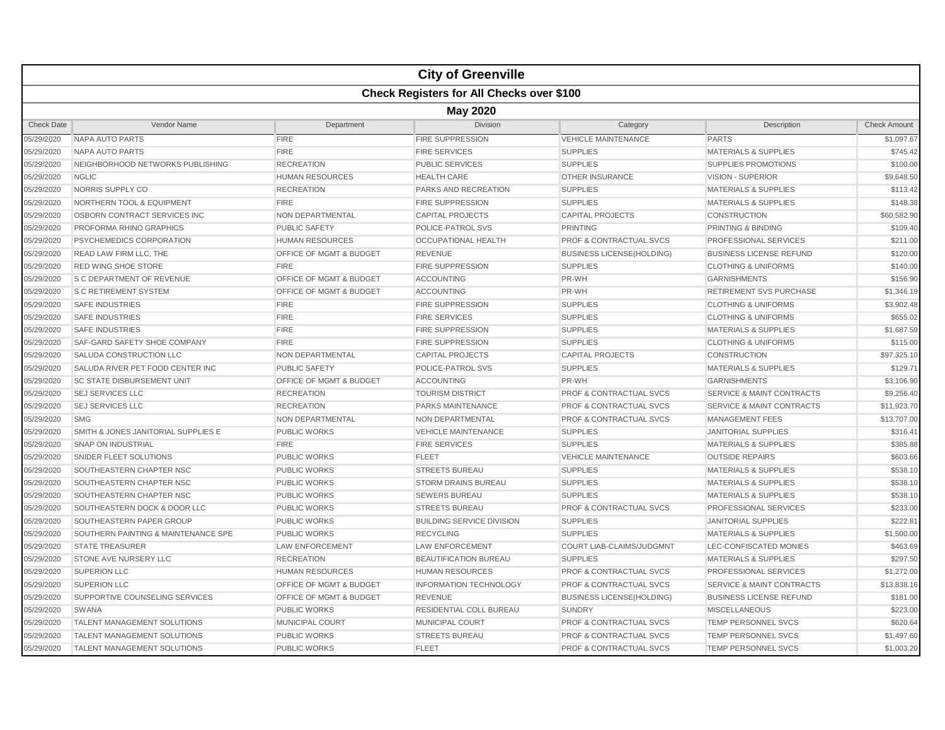|                   |                                                  |                                    | <b>City of Greenville</b>        |                                    |                                      |                     |  |  |  |  |
|-------------------|--------------------------------------------------|------------------------------------|----------------------------------|------------------------------------|--------------------------------------|---------------------|--|--|--|--|
|                   | <b>Check Registers for All Checks over \$100</b> |                                    |                                  |                                    |                                      |                     |  |  |  |  |
|                   | <b>May 2020</b>                                  |                                    |                                  |                                    |                                      |                     |  |  |  |  |
| <b>Check Date</b> | Vendor Name                                      | Department                         | <b>Division</b>                  | Category                           | Description                          | <b>Check Amount</b> |  |  |  |  |
| 05/29/2020        | NAPA AUTO PARTS                                  | <b>FIRE</b>                        | <b>FIRE SUPPRESSION</b>          | <b>VEHICLE MAINTENANCE</b>         | <b>PARTS</b>                         | \$1,097.67          |  |  |  |  |
| 05/29/2020        | <b>NAPA AUTO PARTS</b>                           | <b>FIRE</b>                        | <b>FIRE SERVICES</b>             | <b>SUPPLIES</b>                    | <b>MATERIALS &amp; SUPPLIES</b>      | \$745.42            |  |  |  |  |
| 05/29/2020        | NEIGHBORHOOD NETWORKS PUBLISHING                 | <b>RECREATION</b>                  | <b>PUBLIC SERVICES</b>           | <b>SUPPLIES</b>                    | SUPPLIES PROMOTIONS                  | \$100.00            |  |  |  |  |
| 05/29/2020        | <b>NGLIC</b>                                     | <b>HUMAN RESOURCES</b>             | <b>HEALTH CARE</b>               | <b>OTHER INSURANCE</b>             | <b>VISION - SUPERIOR</b>             | \$9,648.50          |  |  |  |  |
| 05/29/2020        | NORRIS SUPPLY CO                                 | <b>RECREATION</b>                  | PARKS AND RECREATION             | <b>SUPPLIES</b>                    | <b>MATERIALS &amp; SUPPLIES</b>      | \$113.42            |  |  |  |  |
| 05/29/2020        | <b>NORTHERN TOOL &amp; EQUIPMENT</b>             | <b>FIRE</b>                        | <b>FIRE SUPPRESSION</b>          | <b>SUPPLIES</b>                    | <b>MATERIALS &amp; SUPPLIES</b>      | \$148.38            |  |  |  |  |
| 05/29/2020        | OSBORN CONTRACT SERVICES INC                     | NON DEPARTMENTAL                   | <b>CAPITAL PROJECTS</b>          | <b>CAPITAL PROJECTS</b>            | <b>CONSTRUCTION</b>                  | \$60,582.90         |  |  |  |  |
| 05/29/2020        | <b>PROFORMA RHINO GRAPHICS</b>                   | <b>PUBLIC SAFETY</b>               | POLICE-PATROL SVS                | <b>PRINTING</b>                    | PRINTING & BINDING                   | \$109.40            |  |  |  |  |
| 05/29/2020        | PSYCHEMEDICS CORPORATION                         | <b>HUMAN RESOURCES</b>             | <b>OCCUPATIONAL HEALTH</b>       | <b>PROF &amp; CONTRACTUAL SVCS</b> | PROFESSIONAL SERVICES                | \$211.00            |  |  |  |  |
| 05/29/2020        | READ LAW FIRM LLC, THE                           | OFFICE OF MGMT & BUDGET            | <b>REVENUE</b>                   | <b>BUSINESS LICENSE(HOLDING)</b>   | <b>BUSINESS LICENSE REFUND</b>       | \$120.00            |  |  |  |  |
| 05/29/2020        | <b>RED WING SHOE STORE</b>                       | <b>FIRE</b>                        | <b>FIRE SUPPRESSION</b>          | <b>SUPPLIES</b>                    | <b>CLOTHING &amp; UNIFORMS</b>       | \$140.00            |  |  |  |  |
| 05/29/2020        | <b>S C DEPARTMENT OF REVENUE</b>                 | <b>OFFICE OF MGMT &amp; BUDGET</b> | <b>ACCOUNTING</b>                | PR-WH                              | <b>GARNISHMENTS</b>                  | \$156.90            |  |  |  |  |
| 05/29/2020        | <b>S C RETIREMENT SYSTEM</b>                     | OFFICE OF MGMT & BUDGET            | <b>ACCOUNTING</b>                | PR-WH                              | <b>RETIREMENT SVS PURCHASE</b>       | \$1,346.19          |  |  |  |  |
| 05/29/2020        | <b>SAFE INDUSTRIES</b>                           | <b>FIRE</b>                        | <b>FIRE SUPPRESSION</b>          | <b>SUPPLIES</b>                    | <b>CLOTHING &amp; UNIFORMS</b>       | \$3,902.48          |  |  |  |  |
| 05/29/2020        | <b>SAFE INDUSTRIES</b>                           | <b>FIRE</b>                        | <b>FIRE SERVICES</b>             | <b>SUPPLIES</b>                    | <b>CLOTHING &amp; UNIFORMS</b>       | \$655.02            |  |  |  |  |
| 05/29/2020        | <b>SAFE INDUSTRIES</b>                           | <b>FIRE</b>                        | <b>FIRE SUPPRESSION</b>          | <b>SUPPLIES</b>                    | <b>MATERIALS &amp; SUPPLIES</b>      | \$1,687.59          |  |  |  |  |
| 05/29/2020        | SAF-GARD SAFETY SHOE COMPANY                     | <b>FIRE</b>                        | <b>FIRE SUPPRESSION</b>          | <b>SUPPLIES</b>                    | <b>CLOTHING &amp; UNIFORMS</b>       | \$115.00            |  |  |  |  |
| 05/29/2020        | SALUDA CONSTRUCTION LLC                          | NON DEPARTMENTAL                   | <b>CAPITAL PROJECTS</b>          | <b>CAPITAL PROJECTS</b>            | <b>CONSTRUCTION</b>                  | \$97,325.10         |  |  |  |  |
| 05/29/2020        | SALUDA RIVER PET FOOD CENTER INC                 | <b>PUBLIC SAFETY</b>               | POLICE-PATROL SVS                | <b>SUPPLIES</b>                    | <b>MATERIALS &amp; SUPPLIES</b>      | \$129.71            |  |  |  |  |
| 05/29/2020        | <b>SC STATE DISBURSEMENT UNIT</b>                | OFFICE OF MGMT & BUDGET            | <b>ACCOUNTING</b>                | PR-WH                              | <b>GARNISHMENTS</b>                  | \$3,106.90          |  |  |  |  |
| 05/29/2020        | <b>SEJ SERVICES LLC</b>                          | <b>RECREATION</b>                  | <b>TOURISM DISTRICT</b>          | <b>PROF &amp; CONTRACTUAL SVCS</b> | <b>SERVICE &amp; MAINT CONTRACTS</b> | \$9,256.40          |  |  |  |  |
| 05/29/2020        | <b>SEJ SERVICES LLC</b>                          | <b>RECREATION</b>                  | PARKS MAINTENANCE                | <b>PROF &amp; CONTRACTUAL SVCS</b> | <b>SERVICE &amp; MAINT CONTRACTS</b> | \$11,923.70         |  |  |  |  |
| 05/29/2020        | <b>SMG</b>                                       | NON DEPARTMENTAL                   | NON DEPARTMENTAL                 | <b>PROF &amp; CONTRACTUAL SVCS</b> | <b>MANAGEMENT FEES</b>               | \$13,707.00         |  |  |  |  |
| 05/29/2020        | SMITH & JONES JANITORIAL SUPPLIES E              | <b>PUBLIC WORKS</b>                | <b>VEHICLE MAINTENANCE</b>       | <b>SUPPLIES</b>                    | <b>JANITORIAL SUPPLIES</b>           | \$316.41            |  |  |  |  |
| 05/29/2020        | <b>SNAP ON INDUSTRIAL</b>                        | <b>FIRE</b>                        | <b>FIRE SERVICES</b>             | <b>SUPPLIES</b>                    | <b>MATERIALS &amp; SUPPLIES</b>      | \$385.88            |  |  |  |  |
| 05/29/2020        | SNIDER FLEET SOLUTIONS                           | <b>PUBLIC WORKS</b>                | <b>FLEET</b>                     | <b>VEHICLE MAINTENANCE</b>         | <b>OUTSIDE REPAIRS</b>               | \$603.66            |  |  |  |  |
| 05/29/2020        | SOUTHEASTERN CHAPTER NSC                         | <b>PUBLIC WORKS</b>                | <b>STREETS BUREAU</b>            | <b>SUPPLIES</b>                    | <b>MATERIALS &amp; SUPPLIES</b>      | \$538.10            |  |  |  |  |
| 05/29/2020        | SOUTHEASTERN CHAPTER NSC                         | <b>PUBLIC WORKS</b>                | <b>STORM DRAINS BUREAU</b>       | <b>SUPPLIES</b>                    | <b>MATERIALS &amp; SUPPLIES</b>      | \$538.10            |  |  |  |  |
| 05/29/2020        | SOUTHEASTERN CHAPTER NSC                         | <b>PUBLIC WORKS</b>                | <b>SEWERS BUREAU</b>             | <b>SUPPLIES</b>                    | <b>MATERIALS &amp; SUPPLIES</b>      | \$538.10            |  |  |  |  |
| 05/29/2020        | SOUTHEASTERN DOCK & DOOR LLC                     | <b>PUBLIC WORKS</b>                | <b>STREETS BUREAU</b>            | PROF & CONTRACTUAL SVCS            | PROFESSIONAL SERVICES                | \$233.00            |  |  |  |  |
| 05/29/2020        | SOUTHEASTERN PAPER GROUP                         | <b>PUBLIC WORKS</b>                | <b>BUILDING SERVICE DIVISION</b> | <b>SUPPLIES</b>                    | <b>JANITORIAL SUPPLIES</b>           | \$222.81            |  |  |  |  |
| 05/29/2020        | SOUTHERN PAINTING & MAINTENANCE SPE              | <b>PUBLIC WORKS</b>                | <b>RECYCLING</b>                 | <b>SUPPLIES</b>                    | <b>MATERIALS &amp; SUPPLIES</b>      | \$1,500.00          |  |  |  |  |
| 05/29/2020        | <b>STATE TREASURER</b>                           | <b>LAW ENFORCEMENT</b>             | <b>LAW ENFORCEMENT</b>           | <b>COURT LIAB-CLAIMS/JUDGMNT</b>   | LEC-CONFISCATED MONIES               | \$463.69            |  |  |  |  |
| 05/29/2020        | <b>STONE AVE NURSERY LLC</b>                     | <b>RECREATION</b>                  | <b>BEAUTIFICATION BUREAU</b>     | <b>SUPPLIES</b>                    | <b>MATERIALS &amp; SUPPLIES</b>      | \$297.50            |  |  |  |  |
| 05/29/2020        | <b>SUPERION LLC</b>                              | <b>HUMAN RESOURCES</b>             | <b>HUMAN RESOURCES</b>           | <b>PROF &amp; CONTRACTUAL SVCS</b> | PROFESSIONAL SERVICES                | \$1,272.00          |  |  |  |  |
| 05/29/2020        | <b>SUPERION LLC</b>                              | OFFICE OF MGMT & BUDGET            | <b>INFORMATION TECHNOLOGY</b>    | <b>PROF &amp; CONTRACTUAL SVCS</b> | <b>SERVICE &amp; MAINT CONTRACTS</b> | \$13,838.16         |  |  |  |  |
| 05/29/2020        | SUPPORTIVE COUNSELING SERVICES                   | OFFICE OF MGMT & BUDGET            | <b>REVENUE</b>                   | <b>BUSINESS LICENSE(HOLDING)</b>   | <b>BUSINESS LICENSE REFUND</b>       | \$181.00            |  |  |  |  |
| 05/29/2020        | <b>SWANA</b>                                     | <b>PUBLIC WORKS</b>                | RESIDENTIAL COLL BUREAU          | <b>SUNDRY</b>                      | <b>MISCELLANEOUS</b>                 | \$223.00            |  |  |  |  |
| 05/29/2020        | <b>TALENT MANAGEMENT SOLUTIONS</b>               | MUNICIPAL COURT                    | <b>MUNICIPAL COURT</b>           | <b>PROF &amp; CONTRACTUAL SVCS</b> | <b>TEMP PERSONNEL SVCS</b>           | \$620.64            |  |  |  |  |
| 05/29/2020        | <b>TALENT MANAGEMENT SOLUTIONS</b>               | <b>PUBLIC WORKS</b>                | <b>STREETS BUREAU</b>            | <b>PROF &amp; CONTRACTUAL SVCS</b> | <b>TEMP PERSONNEL SVCS</b>           | \$1,497.60          |  |  |  |  |
| 05/29/2020        | <b>TALENT MANAGEMENT SOLUTIONS</b>               | <b>PUBLIC WORKS</b>                | <b>FLEET</b>                     | <b>PROF &amp; CONTRACTUAL SVCS</b> | <b>TEMP PERSONNEL SVCS</b>           | \$1,003.20          |  |  |  |  |